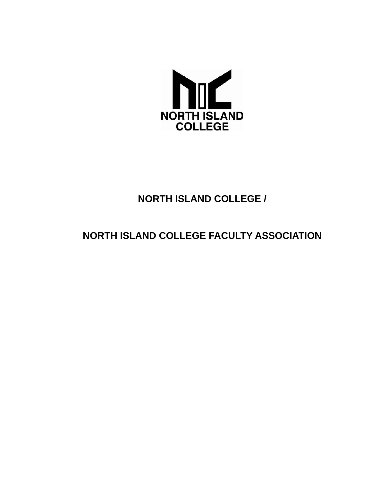

# **NORTH ISLAND COLLEGE /**

# **NORTH ISLAND COLLEGE FACULTY ASSOCIATION**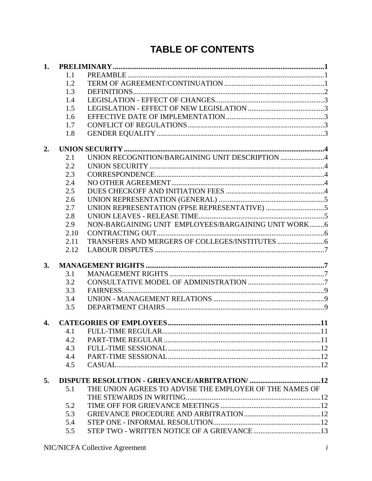# **TABLE OF CONTENTS**

| 1. |      |                                                         |  |
|----|------|---------------------------------------------------------|--|
|    | 1.1  |                                                         |  |
|    | 1.2  |                                                         |  |
|    | 1.3  |                                                         |  |
|    | 1.4  |                                                         |  |
|    | 1.5  |                                                         |  |
|    | 1.6  |                                                         |  |
|    | 1.7  |                                                         |  |
|    | 1.8  |                                                         |  |
| 2. |      |                                                         |  |
|    | 2.1  | UNION RECOGNITION/BARGAINING UNIT DESCRIPTION 4         |  |
|    | 2.2  |                                                         |  |
|    | 2.3  |                                                         |  |
|    | 2.4  |                                                         |  |
|    | 2.5  |                                                         |  |
|    | 2.6  |                                                         |  |
|    | 2.7  |                                                         |  |
|    | 2.8  |                                                         |  |
|    | 2.9  | NON-BARGAINING UNIT EMPLOYEES/BARGAINING UNIT WORK6     |  |
|    | 2.10 |                                                         |  |
|    | 2.11 |                                                         |  |
|    | 2.12 |                                                         |  |
| 3. |      |                                                         |  |
|    | 3.1  |                                                         |  |
|    | 3.2  |                                                         |  |
|    | 3.3  |                                                         |  |
|    | 3.4  |                                                         |  |
|    | 3.5  |                                                         |  |
|    |      |                                                         |  |
| 4. |      |                                                         |  |
|    | 4.1  |                                                         |  |
|    | 4.2  |                                                         |  |
|    | 4.3  |                                                         |  |
|    | 4.4  |                                                         |  |
|    | 4.5  |                                                         |  |
| 5. |      |                                                         |  |
|    | 5.1  | THE UNION AGREES TO ADVISE THE EMPLOYER OF THE NAMES OF |  |
|    |      |                                                         |  |
|    | 5.2  |                                                         |  |
|    | 5.3  |                                                         |  |
|    | 5.4  |                                                         |  |
|    | 5.5  |                                                         |  |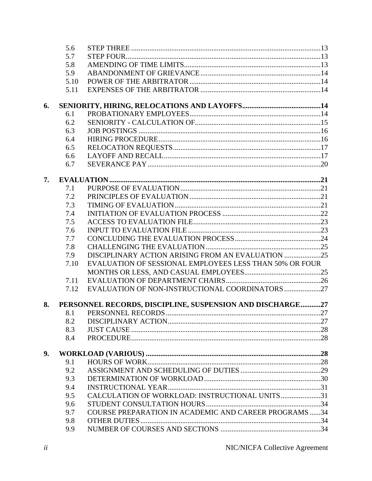|    | 5.6  |                                                           |  |
|----|------|-----------------------------------------------------------|--|
|    | 5.7  |                                                           |  |
|    | 5.8  |                                                           |  |
|    | 5.9  |                                                           |  |
|    | 5.10 |                                                           |  |
|    | 5.11 |                                                           |  |
| 6. |      |                                                           |  |
|    | 6.1  |                                                           |  |
|    | 6.2  |                                                           |  |
|    | 6.3  |                                                           |  |
|    | 6.4  |                                                           |  |
|    | 6.5  |                                                           |  |
|    | 6.6  |                                                           |  |
|    | 6.7  |                                                           |  |
| 7. |      |                                                           |  |
|    | 7.1  |                                                           |  |
|    | 7.2  |                                                           |  |
|    | 7.3  |                                                           |  |
|    | 7.4  |                                                           |  |
|    | 7.5  |                                                           |  |
|    | 7.6  |                                                           |  |
|    | 7.7  |                                                           |  |
|    | 7.8  |                                                           |  |
|    | 7.9  | DISCIPLINARY ACTION ARISING FROM AN EVALUATION 25         |  |
|    | 7.10 | EVALUATION OF SESSIONAL EMPLOYEES LESS THAN 50% OR FOUR   |  |
|    |      |                                                           |  |
|    | 7.11 |                                                           |  |
|    | 7.12 | EVALUATION OF NON-INSTRUCTIONAL COORDINATORS 27           |  |
| 8. |      | PERSONNEL RECORDS, DISCIPLINE, SUSPENSION AND DISCHARGE27 |  |
|    | 8.1  |                                                           |  |
|    | 8.2  |                                                           |  |
|    | 8.3  |                                                           |  |
|    | 8.4  |                                                           |  |
| 9. |      |                                                           |  |
|    | 9.1  |                                                           |  |
|    | 9.2  |                                                           |  |
|    | 9.3  |                                                           |  |
|    | 9.4  |                                                           |  |
|    | 9.5  | CALCULATION OF WORKLOAD: INSTRUCTIONAL UNITS31            |  |
|    | 9.6  |                                                           |  |
|    | 9.7  | COURSE PREPARATION IN ACADEMIC AND CAREER PROGRAMS 34     |  |
|    | 9.8  |                                                           |  |
|    | 9.9  |                                                           |  |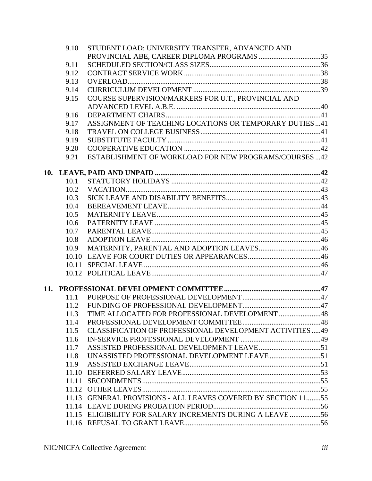| 9.10  | STUDENT LOAD: UNIVERSITY TRANSFER, ADVANCED AND               |  |
|-------|---------------------------------------------------------------|--|
|       | PROVINCIAL ABE, CAREER DIPLOMA PROGRAMS 35                    |  |
| 9.11  |                                                               |  |
| 9.12  |                                                               |  |
| 9.13  |                                                               |  |
| 9.14  |                                                               |  |
| 9.15  | COURSE SUPERVISION/MARKERS FOR U.T., PROVINCIAL AND           |  |
|       |                                                               |  |
| 9.16  |                                                               |  |
| 9.17  | ASSIGNMENT OF TEACHING LOCATIONS OR TEMPORARY DUTIES  41      |  |
| 9.18  |                                                               |  |
| 9.19  |                                                               |  |
| 9.20  |                                                               |  |
| 9.21  | ESTABLISHMENT OF WORKLOAD FOR NEW PROGRAMS/COURSES 42         |  |
|       |                                                               |  |
| 10.1  |                                                               |  |
| 10.2  |                                                               |  |
| 10.3  |                                                               |  |
| 10.4  |                                                               |  |
| 10.5  |                                                               |  |
| 10.6  |                                                               |  |
| 10.7  |                                                               |  |
| 10.8  |                                                               |  |
| 10.9  |                                                               |  |
| 10.10 |                                                               |  |
| 10.11 |                                                               |  |
|       |                                                               |  |
|       |                                                               |  |
| 11.1  |                                                               |  |
| 11.2  |                                                               |  |
| 11.3  | TIME ALLOCATED FOR PROFESSIONAL DEVELOPMENT 48                |  |
| 11.4  |                                                               |  |
| 11.5  | CLASSIFICATION OF PROFESSIONAL DEVELOPMENT ACTIVITIES  49     |  |
| 11.6  |                                                               |  |
| 11.7  |                                                               |  |
| 11.8  |                                                               |  |
| 11.9  |                                                               |  |
| 11.10 |                                                               |  |
| 11.11 |                                                               |  |
|       |                                                               |  |
|       | 11.13 GENERAL PROVISIONS - ALL LEAVES COVERED BY SECTION 1155 |  |
|       |                                                               |  |
|       | 11.15 ELIGIBILITY FOR SALARY INCREMENTS DURING A LEAVE 56     |  |
|       |                                                               |  |
|       |                                                               |  |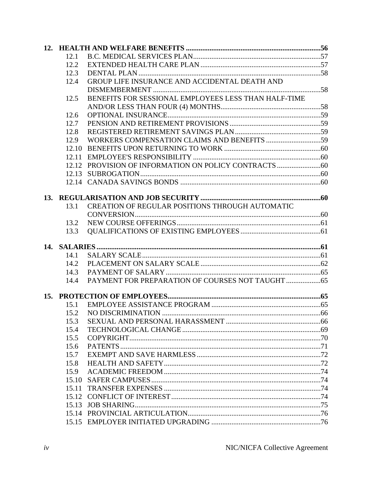| 12.1  |                                                      |  |
|-------|------------------------------------------------------|--|
| 12.2  |                                                      |  |
| 12.3  |                                                      |  |
| 12.4  | GROUP LIFE INSURANCE AND ACCIDENTAL DEATH AND        |  |
|       |                                                      |  |
| 12.5  | BENEFITS FOR SESSIONAL EMPLOYEES LESS THAN HALF-TIME |  |
|       |                                                      |  |
| 12.6  |                                                      |  |
| 12.7  |                                                      |  |
| 12.8  |                                                      |  |
| 12.9  |                                                      |  |
| 12.10 |                                                      |  |
|       |                                                      |  |
|       |                                                      |  |
|       |                                                      |  |
|       |                                                      |  |
|       |                                                      |  |
|       |                                                      |  |
| 13.1  | CREATION OF REGULAR POSITIONS THROUGH AUTOMATIC      |  |
|       |                                                      |  |
| 13.2  |                                                      |  |
| 13.3  |                                                      |  |
|       |                                                      |  |
| 14.1  |                                                      |  |
| 14.2  |                                                      |  |
| 14.3  |                                                      |  |
| 14.4  |                                                      |  |
|       |                                                      |  |
|       |                                                      |  |
| 15.1  |                                                      |  |
| 15.2  |                                                      |  |
| 15.3  |                                                      |  |
| 15.4  |                                                      |  |
| 15.5  |                                                      |  |
| 15.6  |                                                      |  |
| 15.7  |                                                      |  |
| 15.8  |                                                      |  |
| 15.9  |                                                      |  |
| 15.10 |                                                      |  |
| 15.11 |                                                      |  |
|       |                                                      |  |
| 15.13 |                                                      |  |
|       |                                                      |  |
|       |                                                      |  |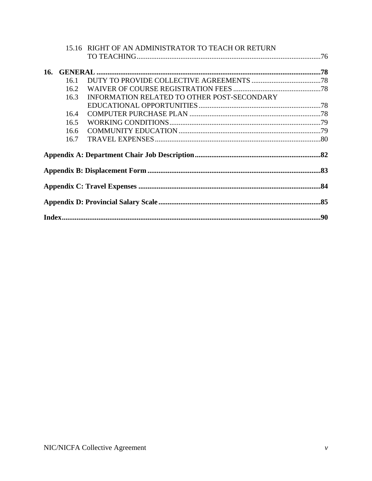|      | 15.16 RIGHT OF AN ADMINISTRATOR TO TEACH OR RETURN |  |
|------|----------------------------------------------------|--|
|      |                                                    |  |
|      |                                                    |  |
| 16.1 |                                                    |  |
| 16.2 |                                                    |  |
| 16.3 | INFORMATION RELATED TO OTHER POST-SECONDARY        |  |
|      |                                                    |  |
| 16.4 |                                                    |  |
| 16.5 |                                                    |  |
| 16.6 |                                                    |  |
| 16.7 |                                                    |  |
|      |                                                    |  |
|      |                                                    |  |
|      |                                                    |  |
|      |                                                    |  |
|      |                                                    |  |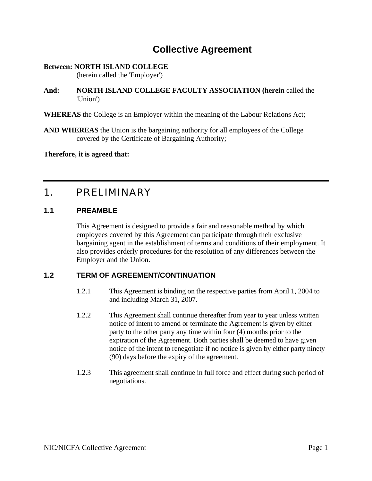# **Collective Agreement**

#### **Between: NORTH ISLAND COLLEGE**

(herein called the 'Employer')

- **And: NORTH ISLAND COLLEGE FACULTY ASSOCIATION (herein** called the 'Union')
- **WHEREAS** the College is an Employer within the meaning of the Labour Relations Act;
- **AND WHEREAS** the Union is the bargaining authority for all employees of the College covered by the Certificate of Bargaining Authority;

**Therefore, it is agreed that:** 

# <span id="page-8-0"></span>1. PRELIMINARY

#### <span id="page-8-1"></span>**1.1 PREAMBLE**

This Agreement is designed to provide a fair and reasonable method by which employees covered by this Agreement can participate through their exclusive bargaining agent in the establishment of terms and conditions of their employment. It also provides orderly procedures for the resolution of any differences between the Employer and the Union.

# <span id="page-8-2"></span>**1.2 TERM OF AGREEMENT/CONTINUATION**

- 1.2.1 This Agreement is binding on the respective parties from April 1, 2004 to and including March 31, 2007.
- 1.2.2 This Agreement shall continue thereafter from year to year unless written notice of intent to amend or terminate the Agreement is given by either party to the other party any time within four (4) months prior to the expiration of the Agreement. Both parties shall be deemed to have given notice of the intent to renegotiate if no notice is given by either party ninety (90) days before the expiry of the agreement.
- 1.2.3 This agreement shall continue in full force and effect during such period of negotiations.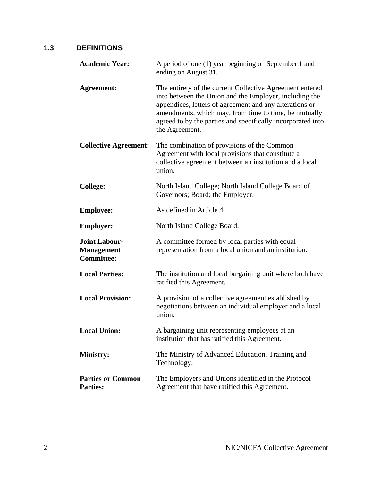# <span id="page-9-0"></span>**1.3 DEFINITIONS**

| <b>Academic Year:</b>                                          | A period of one (1) year beginning on September 1 and<br>ending on August 31.                                                                                                                                                                                                                                           |  |
|----------------------------------------------------------------|-------------------------------------------------------------------------------------------------------------------------------------------------------------------------------------------------------------------------------------------------------------------------------------------------------------------------|--|
| <b>Agreement:</b>                                              | The entirety of the current Collective Agreement entered<br>into between the Union and the Employer, including the<br>appendices, letters of agreement and any alterations or<br>amendments, which may, from time to time, be mutually<br>agreed to by the parties and specifically incorporated into<br>the Agreement. |  |
| <b>Collective Agreement:</b>                                   | The combination of provisions of the Common<br>Agreement with local provisions that constitute a<br>collective agreement between an institution and a local<br>union.                                                                                                                                                   |  |
| <b>College:</b>                                                | North Island College; North Island College Board of<br>Governors; Board; the Employer.                                                                                                                                                                                                                                  |  |
| <b>Employee:</b>                                               | As defined in Article 4.                                                                                                                                                                                                                                                                                                |  |
| <b>Employer:</b>                                               | North Island College Board.                                                                                                                                                                                                                                                                                             |  |
| <b>Joint Labour-</b><br><b>Management</b><br><b>Committee:</b> | A committee formed by local parties with equal<br>representation from a local union and an institution.                                                                                                                                                                                                                 |  |
| <b>Local Parties:</b>                                          | The institution and local bargaining unit where both have<br>ratified this Agreement.                                                                                                                                                                                                                                   |  |
| <b>Local Provision:</b>                                        | A provision of a collective agreement established by<br>negotiations between an individual employer and a local<br>union.                                                                                                                                                                                               |  |
| <b>Local Union:</b>                                            | A bargaining unit representing employees at an<br>institution that has ratified this Agreement.                                                                                                                                                                                                                         |  |
| <b>Ministry:</b>                                               | The Ministry of Advanced Education, Training and<br>Technology.                                                                                                                                                                                                                                                         |  |
| <b>Parties or Common</b><br><b>Parties:</b>                    | The Employers and Unions identified in the Protocol<br>Agreement that have ratified this Agreement.                                                                                                                                                                                                                     |  |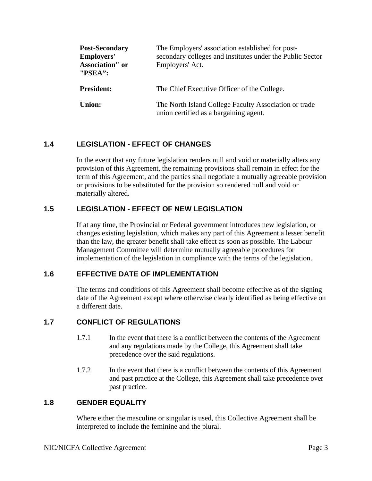| <b>Post-Secondary</b><br><b>Employers'</b><br><b>Association</b> " or<br>"PSEA": | The Employers' association established for post-<br>secondary colleges and institutes under the Public Sector<br>Employers' Act. |
|----------------------------------------------------------------------------------|----------------------------------------------------------------------------------------------------------------------------------|
| <b>President:</b>                                                                | The Chief Executive Officer of the College.                                                                                      |
| <b>Union:</b>                                                                    | The North Island College Faculty Association or trade<br>union certified as a bargaining agent.                                  |

# <span id="page-10-0"></span>**1.4 LEGISLATION - EFFECT OF CHANGES**

In the event that any future legislation renders null and void or materially alters any provision of this Agreement, the remaining provisions shall remain in effect for the term of this Agreement, and the parties shall negotiate a mutually agreeable provision or provisions to be substituted for the provision so rendered null and void or materially altered.

#### <span id="page-10-1"></span>**1.5 LEGISLATION - EFFECT OF NEW LEGISLATION**

If at any time, the Provincial or Federal government introduces new legislation, or changes existing legislation, which makes any part of this Agreement a lesser benefit than the law, the greater benefit shall take effect as soon as possible. The Labour Management Committee will determine mutually agreeable procedures for implementation of the legislation in compliance with the terms of the legislation.

#### <span id="page-10-2"></span>**1.6 EFFECTIVE DATE OF IMPLEMENTATION**

The terms and conditions of this Agreement shall become effective as of the signing date of the Agreement except where otherwise clearly identified as being effective on a different date.

# <span id="page-10-3"></span>**1.7 CONFLICT OF REGULATIONS**

- 1.7.1 In the event that there is a conflict between the contents of the Agreement and any regulations made by the College, this Agreement shall take precedence over the said regulations.
- 1.7.2 In the event that there is a conflict between the contents of this Agreement and past practice at the College, this Agreement shall take precedence over past practice.

#### <span id="page-10-4"></span>**1.8 GENDER EQUALITY**

Where either the masculine or singular is used, this Collective Agreement shall be interpreted to include the feminine and the plural.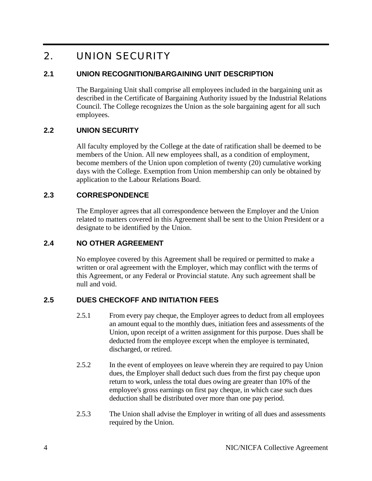# <span id="page-11-0"></span>2. UNION SECURITY

## <span id="page-11-1"></span>**2.1 UNION RECOGNITION/BARGAINING UNIT DESCRIPTION**

The Bargaining Unit shall comprise all employees included in the bargaining unit as described in the Certificate of Bargaining Authority issued by the Industrial Relations Council. The College recognizes the Union as the sole bargaining agent for all such employees.

# <span id="page-11-2"></span>**2.2 UNION SECURITY**

All faculty employed by the College at the date of ratification shall be deemed to be members of the Union. All new employees shall, as a condition of employment, become members of the Union upon completion of twenty (20) cumulative working days with the College. Exemption from Union membership can only be obtained by application to the Labour Relations Board.

#### <span id="page-11-3"></span>**2.3 CORRESPONDENCE**

The Employer agrees that all correspondence between the Employer and the Union related to matters covered in this Agreement shall be sent to the Union President or a designate to be identified by the Union.

#### <span id="page-11-4"></span>**2.4 NO OTHER AGREEMENT**

No employee covered by this Agreement shall be required or permitted to make a written or oral agreement with the Employer, which may conflict with the terms of this Agreement, or any Federal or Provincial statute. Any such agreement shall be null and void.

# <span id="page-11-5"></span>**2.5 DUES CHECKOFF AND INITIATION FEES**

- 2.5.1 From every pay cheque, the Employer agrees to deduct from all employees an amount equal to the monthly dues, initiation fees and assessments of the Union, upon receipt of a written assignment for this purpose. Dues shall be deducted from the employee except when the employee is terminated, discharged, or retired.
- 2.5.2 In the event of employees on leave wherein they are required to pay Union dues, the Employer shall deduct such dues from the first pay cheque upon return to work, unless the total dues owing are greater than 10% of the employee's gross earnings on first pay cheque, in which case such dues deduction shall be distributed over more than one pay period.
- 2.5.3 The Union shall advise the Employer in writing of all dues and assessments required by the Union.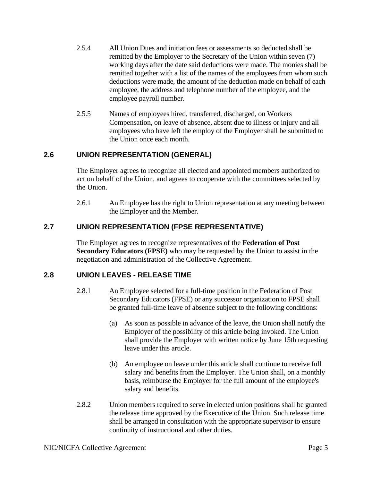- 2.5.4 All Union Dues and initiation fees or assessments so deducted shall be remitted by the Employer to the Secretary of the Union within seven (7) working days after the date said deductions were made. The monies shall be remitted together with a list of the names of the employees from whom such deductions were made, the amount of the deduction made on behalf of each employee, the address and telephone number of the employee, and the employee payroll number.
- 2.5.5 Names of employees hired, transferred, discharged, on Workers Compensation, on leave of absence, absent due to illness or injury and all employees who have left the employ of the Employer shall be submitted to the Union once each month.

#### <span id="page-12-0"></span>**2.6 UNION REPRESENTATION (GENERAL)**

The Employer agrees to recognize all elected and appointed members authorized to act on behalf of the Union, and agrees to cooperate with the committees selected by the Union.

2.6.1 An Employee has the right to Union representation at any meeting between the Employer and the Member.

# <span id="page-12-1"></span>**2.7 UNION REPRESENTATION (FPSE REPRESENTATIVE)**

The Employer agrees to recognize representatives of the **Federation of Post Secondary Educators (FPSE)** who may be requested by the Union to assist in the negotiation and administration of the Collective Agreement.

#### <span id="page-12-2"></span>**2.8 UNION LEAVES - RELEASE TIME**

- 2.8.1 An Employee selected for a full-time position in the Federation of Post Secondary Educators (FPSE) or any successor organization to FPSE shall be granted full-time leave of absence subject to the following conditions:
	- (a) As soon as possible in advance of the leave, the Union shall notify the Employer of the possibility of this article being invoked. The Union shall provide the Employer with written notice by June 15th requesting leave under this article.
	- (b) An employee on leave under this article shall continue to receive full salary and benefits from the Employer. The Union shall, on a monthly basis, reimburse the Employer for the full amount of the employee's salary and benefits.
- 2.8.2 Union members required to serve in elected union positions shall be granted the release time approved by the Executive of the Union. Such release time shall be arranged in consultation with the appropriate supervisor to ensure continuity of instructional and other duties.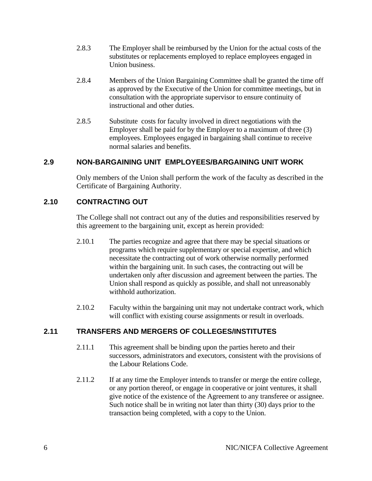- 2.8.3 The Employer shall be reimbursed by the Union for the actual costs of the substitutes or replacements employed to replace employees engaged in Union business.
- 2.8.4 Members of the Union Bargaining Committee shall be granted the time off as approved by the Executive of the Union for committee meetings, but in consultation with the appropriate supervisor to ensure continuity of instructional and other duties.
- 2.8.5 Substitute costs for faculty involved in direct negotiations with the Employer shall be paid for by the Employer to a maximum of three (3) employees. Employees engaged in bargaining shall continue to receive normal salaries and benefits.

#### <span id="page-13-0"></span>**2.9 NON-BARGAINING UNIT EMPLOYEES/BARGAINING UNIT WORK**

Only members of the Union shall perform the work of the faculty as described in the Certificate of Bargaining Authority.

#### <span id="page-13-1"></span>**2.10 CONTRACTING OUT**

The College shall not contract out any of the duties and responsibilities reserved by this agreement to the bargaining unit, except as herein provided:

- 2.10.1 The parties recognize and agree that there may be special situations or programs which require supplementary or special expertise, and which necessitate the contracting out of work otherwise normally performed within the bargaining unit. In such cases, the contracting out will be undertaken only after discussion and agreement between the parties. The Union shall respond as quickly as possible, and shall not unreasonably withhold authorization.
- 2.10.2 Faculty within the bargaining unit may not undertake contract work, which will conflict with existing course assignments or result in overloads.

#### <span id="page-13-2"></span>**2.11 TRANSFERS AND MERGERS OF COLLEGES/INSTITUTES**

- 2.11.1 This agreement shall be binding upon the parties hereto and their successors, administrators and executors, consistent with the provisions of the Labour Relations Code.
- 2.11.2 If at any time the Employer intends to transfer or merge the entire college, or any portion thereof, or engage in cooperative or joint ventures, it shall give notice of the existence of the Agreement to any transferee or assignee. Such notice shall be in writing not later than thirty (30) days prior to the transaction being completed, with a copy to the Union.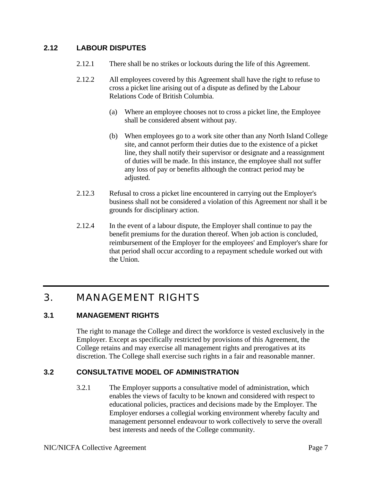# <span id="page-14-0"></span>**2.12 LABOUR DISPUTES**

- 2.12.1 There shall be no strikes or lockouts during the life of this Agreement.
- 2.12.2 All employees covered by this Agreement shall have the right to refuse to cross a picket line arising out of a dispute as defined by the Labour Relations Code of British Columbia.
	- (a) Where an employee chooses not to cross a picket line, the Employee shall be considered absent without pay.
	- (b) When employees go to a work site other than any North Island College site, and cannot perform their duties due to the existence of a picket line, they shall notify their supervisor or designate and a reassignment of duties will be made. In this instance, the employee shall not suffer any loss of pay or benefits although the contract period may be adjusted.
- 2.12.3 Refusal to cross a picket line encountered in carrying out the Employer's business shall not be considered a violation of this Agreement nor shall it be grounds for disciplinary action.
- 2.12.4 In the event of a labour dispute, the Employer shall continue to pay the benefit premiums for the duration thereof. When job action is concluded, reimbursement of the Employer for the employees' and Employer's share for that period shall occur according to a repayment schedule worked out with the Union.

# <span id="page-14-1"></span>3. MANAGEMENT RIGHTS

#### <span id="page-14-2"></span>**3.1 MANAGEMENT RIGHTS**

The right to manage the College and direct the workforce is vested exclusively in the Employer. Except as specifically restricted by provisions of this Agreement, the College retains and may exercise all management rights and prerogatives at its discretion. The College shall exercise such rights in a fair and reasonable manner.

# <span id="page-14-3"></span>**3.2 CONSULTATIVE MODEL OF ADMINISTRATION**

3.2.1 The Employer supports a consultative model of administration, which enables the views of faculty to be known and considered with respect to educational policies, practices and decisions made by the Employer. The Employer endorses a collegial working environment whereby faculty and management personnel endeavour to work collectively to serve the overall best interests and needs of the College community.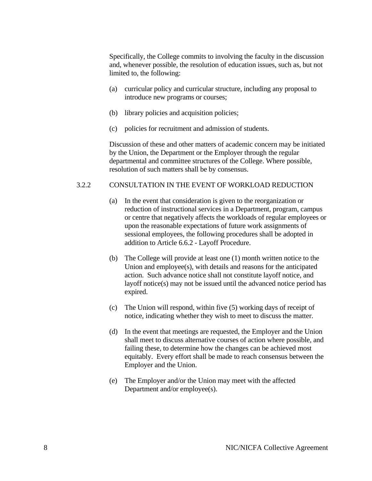Specifically, the College commits to involving the faculty in the discussion and, whenever possible, the resolution of education issues, such as, but not limited to, the following:

- (a) curricular policy and curricular structure, including any proposal to introduce new programs or courses;
- (b) library policies and acquisition policies;
- (c) policies for recruitment and admission of students.

 Discussion of these and other matters of academic concern may be initiated by the Union, the Department or the Employer through the regular departmental and committee structures of the College. Where possible, resolution of such matters shall be by consensus.

#### 3.2.2 CONSULTATION IN THE EVENT OF WORKLOAD REDUCTION

- (a) In the event that consideration is given to the reorganization or reduction of instructional services in a Department, program, campus or centre that negatively affects the workloads of regular employees or upon the reasonable expectations of future work assignments of sessional employees, the following procedures shall be adopted in addition to Article 6.6.2 - Layoff Procedure.
- (b) The College will provide at least one (1) month written notice to the Union and employee(s), with details and reasons for the anticipated action. Such advance notice shall not constitute layoff notice, and layoff notice(s) may not be issued until the advanced notice period has expired.
- (c) The Union will respond, within five (5) working days of receipt of notice, indicating whether they wish to meet to discuss the matter.
- (d) In the event that meetings are requested, the Employer and the Union shall meet to discuss alternative courses of action where possible, and failing these, to determine how the changes can be achieved most equitably. Every effort shall be made to reach consensus between the Employer and the Union.
- (e) The Employer and/or the Union may meet with the affected Department and/or employee(s).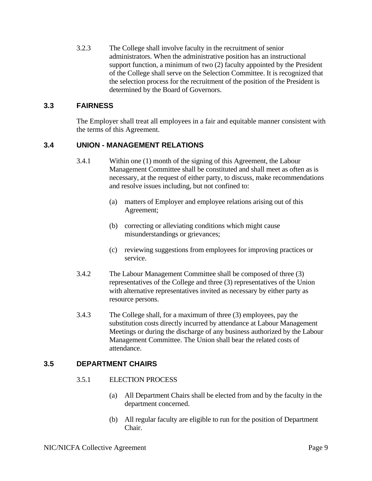3.2.3 The College shall involve faculty in the recruitment of senior administrators. When the administrative position has an instructional support function, a minimum of two (2) faculty appointed by the President of the College shall serve on the Selection Committee. It is recognized that the selection process for the recruitment of the position of the President is determined by the Board of Governors.

#### <span id="page-16-0"></span>**3.3 FAIRNESS**

The Employer shall treat all employees in a fair and equitable manner consistent with the terms of this Agreement.

#### <span id="page-16-1"></span>**3.4 UNION - MANAGEMENT RELATIONS**

- 3.4.1 Within one (1) month of the signing of this Agreement, the Labour Management Committee shall be constituted and shall meet as often as is necessary, at the request of either party, to discuss, make recommendations and resolve issues including, but not confined to:
	- (a) matters of Employer and employee relations arising out of this Agreement;
	- (b) correcting or alleviating conditions which might cause misunderstandings or grievances;
	- (c) reviewing suggestions from employees for improving practices or service.
- 3.4.2 The Labour Management Committee shall be composed of three (3) representatives of the College and three (3) representatives of the Union with alternative representatives invited as necessary by either party as resource persons.
- 3.4.3 The College shall, for a maximum of three (3) employees, pay the substitution costs directly incurred by attendance at Labour Management Meetings or during the discharge of any business authorized by the Labour Management Committee. The Union shall bear the related costs of attendance.

#### <span id="page-16-2"></span>**3.5 DEPARTMENT CHAIRS**

- 3.5.1 ELECTION PROCESS
	- (a) All Department Chairs shall be elected from and by the faculty in the department concerned.
	- (b) All regular faculty are eligible to run for the position of Department Chair.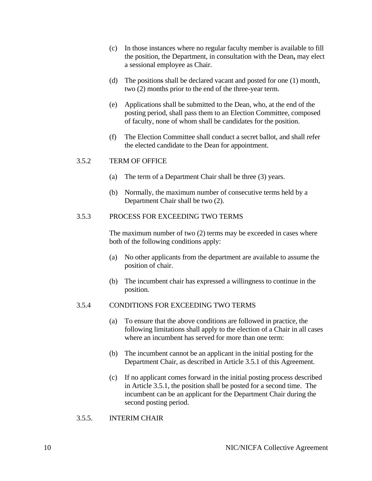- (c) In those instances where no regular faculty member is available to fill the position, the Department, in consultation with the Dean**,** may elect a sessional employee as Chair.
- (d) The positions shall be declared vacant and posted for one (1) month, two (2) months prior to the end of the three-year term.
- (e) Applications shall be submitted to the Dean, who, at the end of the posting period, shall pass them to an Election Committee, composed of faculty, none of whom shall be candidates for the position.
- (f) The Election Committee shall conduct a secret ballot, and shall refer the elected candidate to the Dean for appointment.

#### 3.5.2 TERM OF OFFICE

- (a) The term of a Department Chair shall be three (3) years.
- (b) Normally, the maximum number of consecutive terms held by a Department Chair shall be two (2).

#### 3.5.3 PROCESS FOR EXCEEDING TWO TERMS

The maximum number of two (2) terms may be exceeded in cases where both of the following conditions apply:

- (a) No other applicants from the department are available to assume the position of chair.
- (b) The incumbent chair has expressed a willingness to continue in the position.

#### 3.5.4 CONDITIONS FOR EXCEEDING TWO TERMS

- (a) To ensure that the above conditions are followed in practice, the following limitations shall apply to the election of a Chair in all cases where an incumbent has served for more than one term:
- (b) The incumbent cannot be an applicant in the initial posting for the Department Chair, as described in Article 3.5.1 of this Agreement.
- (c) If no applicant comes forward in the initial posting process described in Article 3.5.1, the position shall be posted for a second time. The incumbent can be an applicant for the Department Chair during the second posting period.
- 3.5.5. INTERIM CHAIR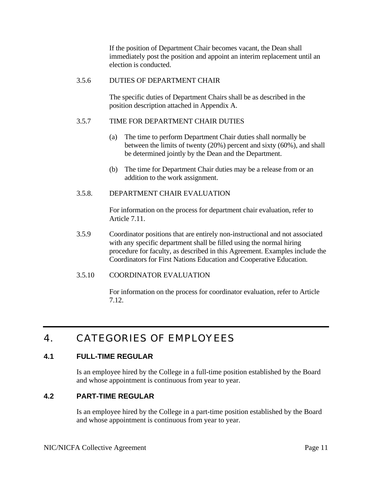If the position of Department Chair becomes vacant, the Dean shall immediately post the position and appoint an interim replacement until an election is conducted.

#### 3.5.6 DUTIES OF DEPARTMENT CHAIR

The specific duties of Department Chairs shall be as described in the position description attached in Appendix A.

#### 3.5.7 TIME FOR DEPARTMENT CHAIR DUTIES

- (a) The time to perform Department Chair duties shall normally be between the limits of twenty (20%) percent and sixty (60%), and shall be determined jointly by the Dean and the Department.
- (b) The time for Department Chair duties may be a release from or an addition to the work assignment.

#### 3.5.8. DEPARTMENT CHAIR EVALUATION

For information on the process for department chair evaluation, refer to Article 7.11.

- 3.5.9 Coordinator positions that are entirely non-instructional and not associated with any specific department shall be filled using the normal hiring procedure for faculty, as described in this Agreement. Examples include the Coordinators for First Nations Education and Cooperative Education.
- 3.5.10 COORDINATOR EVALUATION

For information on the process for coordinator evaluation, refer to Article 7.12.

# <span id="page-18-0"></span>4. CATEGORIES OF EMPLOYEES

#### <span id="page-18-1"></span>**4.1 FULL-TIME REGULAR**

Is an employee hired by the College in a full-time position established by the Board and whose appointment is continuous from year to year.

#### <span id="page-18-2"></span>**4.2 PART-TIME REGULAR**

Is an employee hired by the College in a part-time position established by the Board and whose appointment is continuous from year to year.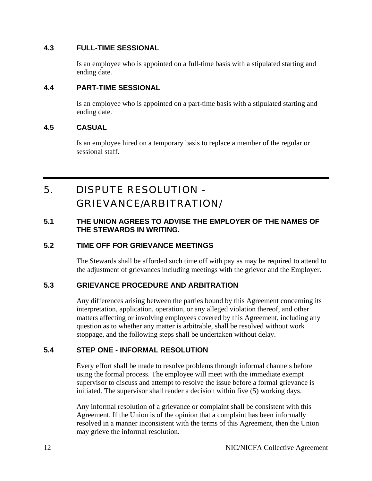#### <span id="page-19-0"></span>**4.3 FULL-TIME SESSIONAL**

Is an employee who is appointed on a full-time basis with a stipulated starting and ending date.

## <span id="page-19-1"></span>**4.4 PART-TIME SESSIONAL**

Is an employee who is appointed on a part-time basis with a stipulated starting and ending date.

#### <span id="page-19-2"></span>**4.5 CASUAL**

Is an employee hired on a temporary basis to replace a member of the regular or sessional staff.

# <span id="page-19-3"></span>5. DISPUTE RESOLUTION - GRIEVANCE/ARBITRATION/

## <span id="page-19-4"></span>**5.1 THE UNION AGREES TO ADVISE THE EMPLOYER OF THE NAMES OF THE STEWARDS IN WRITING.**

# <span id="page-19-5"></span>**5.2 TIME OFF FOR GRIEVANCE MEETINGS**

The Stewards shall be afforded such time off with pay as may be required to attend to the adjustment of grievances including meetings with the grievor and the Employer.

#### <span id="page-19-6"></span>**5.3 GRIEVANCE PROCEDURE AND ARBITRATION**

Any differences arising between the parties bound by this Agreement concerning its interpretation, application, operation, or any alleged violation thereof, and other matters affecting or involving employees covered by this Agreement, including any question as to whether any matter is arbitrable, shall be resolved without work stoppage, and the following steps shall be undertaken without delay.

# <span id="page-19-7"></span>**5.4 STEP ONE - INFORMAL RESOLUTION**

Every effort shall be made to resolve problems through informal channels before using the formal process. The employee will meet with the immediate exempt supervisor to discuss and attempt to resolve the issue before a formal grievance is initiated. The supervisor shall render a decision within five (5) working days.

Any informal resolution of a grievance or complaint shall be consistent with this Agreement. If the Union is of the opinion that a complaint has been informally resolved in a manner inconsistent with the terms of this Agreement, then the Union may grieve the informal resolution.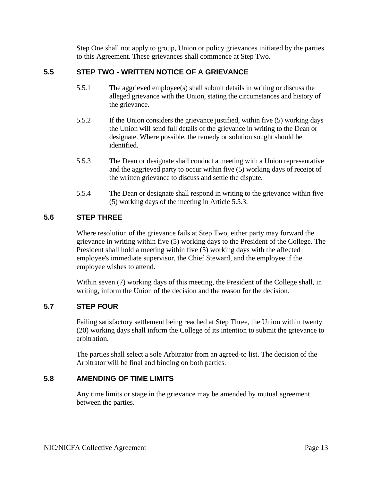Step One shall not apply to group, Union or policy grievances initiated by the parties to this Agreement. These grievances shall commence at Step Two.

## <span id="page-20-0"></span>**5.5 STEP TWO - WRITTEN NOTICE OF A GRIEVANCE**

- 5.5.1 The aggrieved employee(s) shall submit details in writing or discuss the alleged grievance with the Union, stating the circumstances and history of the grievance.
- 5.5.2 If the Union considers the grievance justified, within five (5) working days the Union will send full details of the grievance in writing to the Dean or designate. Where possible, the remedy or solution sought should be identified.
- 5.5.3 The Dean or designate shall conduct a meeting with a Union representative and the aggrieved party to occur within five (5) working days of receipt of the written grievance to discuss and settle the dispute.
- 5.5.4 The Dean or designate shall respond in writing to the grievance within five (5) working days of the meeting in Article 5.5.3.

#### <span id="page-20-1"></span>**5.6 STEP THREE**

Where resolution of the grievance fails at Step Two, either party may forward the grievance in writing within five (5) working days to the President of the College. The President shall hold a meeting within five (5) working days with the affected employee's immediate supervisor, the Chief Steward, and the employee if the employee wishes to attend.

Within seven (7) working days of this meeting, the President of the College shall, in writing, inform the Union of the decision and the reason for the decision.

#### <span id="page-20-2"></span>**5.7 STEP FOUR**

Failing satisfactory settlement being reached at Step Three, the Union within twenty (20) working days shall inform the College of its intention to submit the grievance to arbitration.

The parties shall select a sole Arbitrator from an agreed-to list. The decision of the Arbitrator will be final and binding on both parties.

#### <span id="page-20-3"></span>**5.8 AMENDING OF TIME LIMITS**

Any time limits or stage in the grievance may be amended by mutual agreement between the parties.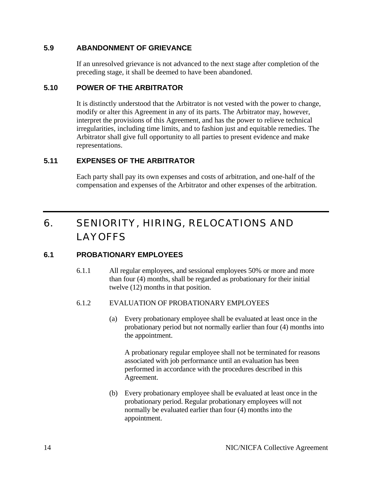#### <span id="page-21-0"></span>**5.9 ABANDONMENT OF GRIEVANCE**

If an unresolved grievance is not advanced to the next stage after completion of the preceding stage, it shall be deemed to have been abandoned.

#### <span id="page-21-1"></span>**5.10 POWER OF THE ARBITRATOR**

It is distinctly understood that the Arbitrator is not vested with the power to change, modify or alter this Agreement in any of its parts. The Arbitrator may, however, interpret the provisions of this Agreement, and has the power to relieve technical irregularities, including time limits, and to fashion just and equitable remedies. The Arbitrator shall give full opportunity to all parties to present evidence and make representations.

# <span id="page-21-2"></span>**5.11 EXPENSES OF THE ARBITRATOR**

Each party shall pay its own expenses and costs of arbitration, and one-half of the compensation and expenses of the Arbitrator and other expenses of the arbitration.

# <span id="page-21-3"></span>6. SENIORITY, HIRING, RELOCATIONS AND LAYOFFS

# <span id="page-21-4"></span>**6.1 PROBATIONARY EMPLOYEES**

6.1.1 All regular employees, and sessional employees 50% or more and more than four (4) months, shall be regarded as probationary for their initial twelve (12) months in that position.

#### 6.1.2 EVALUATION OF PROBATIONARY EMPLOYEES

(a) Every probationary employee shall be evaluated at least once in the probationary period but not normally earlier than four (4) months into the appointment.

A probationary regular employee shall not be terminated for reasons associated with job performance until an evaluation has been performed in accordance with the procedures described in this Agreement.

(b) Every probationary employee shall be evaluated at least once in the probationary period. Regular probationary employees will not normally be evaluated earlier than four (4) months into the appointment.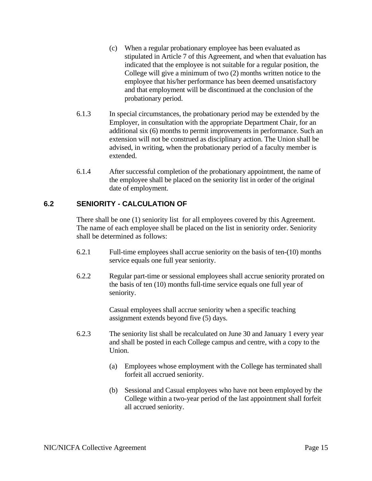- (c) When a regular probationary employee has been evaluated as stipulated in Article 7 of this Agreement, and when that evaluation has indicated that the employee is not suitable for a regular position, the College will give a minimum of two (2) months written notice to the employee that his/her performance has been deemed unsatisfactory and that employment will be discontinued at the conclusion of the probationary period.
- 6.1.3 In special circumstances, the probationary period may be extended by the Employer, in consultation with the appropriate Department Chair, for an additional six (6) months to permit improvements in performance. Such an extension will not be construed as disciplinary action. The Union shall be advised, in writing, when the probationary period of a faculty member is extended.
- 6.1.4 After successful completion of the probationary appointment, the name of the employee shall be placed on the seniority list in order of the original date of employment.

# <span id="page-22-0"></span>**6.2 SENIORITY - CALCULATION OF**

There shall be one (1) seniority list for all employees covered by this Agreement. The name of each employee shall be placed on the list in seniority order. Seniority shall be determined as follows:

- 6.2.1 Full-time employees shall accrue seniority on the basis of ten-(10) months service equals one full year seniority.
- 6.2.2 Regular part-time or sessional employees shall accrue seniority prorated on the basis of ten (10) months full-time service equals one full year of seniority.

Casual employees shall accrue seniority when a specific teaching assignment extends beyond five (5) days.

- 6.2.3 The seniority list shall be recalculated on June 30 and January 1 every year and shall be posted in each College campus and centre, with a copy to the Union.
	- (a) Employees whose employment with the College has terminated shall forfeit all accrued seniority.
	- (b) Sessional and Casual employees who have not been employed by the College within a two-year period of the last appointment shall forfeit all accrued seniority.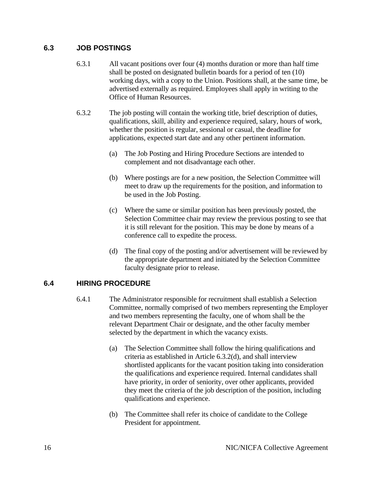#### <span id="page-23-0"></span>**6.3 JOB POSTINGS**

- 6.3.1 All vacant positions over four (4) months duration or more than half time shall be posted on designated bulletin boards for a period of ten (10) working days, with a copy to the Union. Positions shall, at the same time, be advertised externally as required. Employees shall apply in writing to the Office of Human Resources.
- 6.3.2 The job posting will contain the working title, brief description of duties, qualifications, skill, ability and experience required, salary, hours of work, whether the position is regular, sessional or casual, the deadline for applications, expected start date and any other pertinent information.
	- (a) The Job Posting and Hiring Procedure Sections are intended to complement and not disadvantage each other.
	- (b) Where postings are for a new position, the Selection Committee will meet to draw up the requirements for the position, and information to be used in the Job Posting.
	- (c) Where the same or similar position has been previously posted, the Selection Committee chair may review the previous posting to see that it is still relevant for the position. This may be done by means of a conference call to expedite the process.
	- (d) The final copy of the posting and/or advertisement will be reviewed by the appropriate department and initiated by the Selection Committee faculty designate prior to release.

# <span id="page-23-1"></span>**6.4 HIRING PROCEDURE**

- 6.4.1 The Administrator responsible for recruitment shall establish a Selection Committee, normally comprised of two members representing the Employer and two members representing the faculty, one of whom shall be the relevant Department Chair or designate, and the other faculty member selected by the department in which the vacancy exists.
	- (a) The Selection Committee shall follow the hiring qualifications and criteria as established in Article 6.3.2(d), and shall interview shortlisted applicants for the vacant position taking into consideration the qualifications and experience required. Internal candidates shall have priority, in order of seniority, over other applicants, provided they meet the criteria of the job description of the position, including qualifications and experience.
	- (b) The Committee shall refer its choice of candidate to the College President for appointment.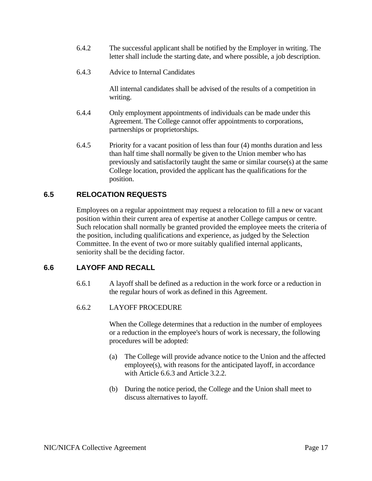- 6.4.2 The successful applicant shall be notified by the Employer in writing. The letter shall include the starting date, and where possible, a job description.
- 6.4.3 Advice to Internal Candidates

All internal candidates shall be advised of the results of a competition in writing.

- 6.4.4 Only employment appointments of individuals can be made under this Agreement. The College cannot offer appointments to corporations, partnerships or proprietorships.
- 6.4.5 Priority for a vacant position of less than four (4) months duration and less than half time shall normally be given to the Union member who has previously and satisfactorily taught the same or similar course(s) at the same College location, provided the applicant has the qualifications for the position.

#### <span id="page-24-0"></span>**6.5 RELOCATION REQUESTS**

Employees on a regular appointment may request a relocation to fill a new or vacant position within their current area of expertise at another College campus or centre. Such relocation shall normally be granted provided the employee meets the criteria of the position, including qualifications and experience, as judged by the Selection Committee. In the event of two or more suitably qualified internal applicants, seniority shall be the deciding factor.

#### <span id="page-24-1"></span>**6.6 LAYOFF AND RECALL**

- 6.6.1 A layoff shall be defined as a reduction in the work force or a reduction in the regular hours of work as defined in this Agreement.
- 6.6.2 LAYOFF PROCEDURE

When the College determines that a reduction in the number of employees or a reduction in the employee's hours of work is necessary, the following procedures will be adopted:

- (a) The College will provide advance notice to the Union and the affected employee(s), with reasons for the anticipated layoff, in accordance with Article 6.6.3 and Article 3.2.2.
- (b) During the notice period, the College and the Union shall meet to discuss alternatives to layoff.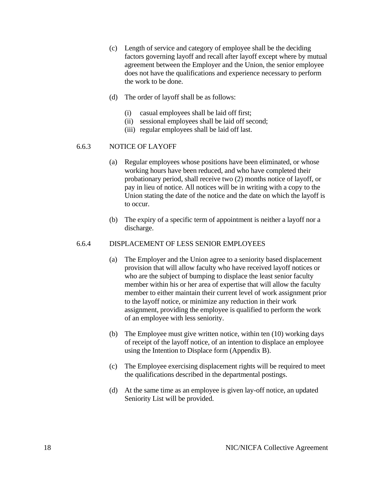- (c) Length of service and category of employee shall be the deciding factors governing layoff and recall after layoff except where by mutual agreement between the Employer and the Union, the senior employee does not have the qualifications and experience necessary to perform the work to be done.
- (d) The order of layoff shall be as follows:
	- (i) casual employees shall be laid off first;
	- (ii) sessional employees shall be laid off second;
	- (iii) regular employees shall be laid off last.

#### 6.6.3 NOTICE OF LAYOFF

- (a) Regular employees whose positions have been eliminated, or whose working hours have been reduced, and who have completed their probationary period, shall receive two (2) months notice of layoff, or pay in lieu of notice. All notices will be in writing with a copy to the Union stating the date of the notice and the date on which the layoff is to occur.
- (b) The expiry of a specific term of appointment is neither a layoff nor a discharge.

#### 6.6.4 DISPLACEMENT OF LESS SENIOR EMPLOYEES

- (a) The Employer and the Union agree to a seniority based displacement provision that will allow faculty who have received layoff notices or who are the subject of bumping to displace the least senior faculty member within his or her area of expertise that will allow the faculty member to either maintain their current level of work assignment prior to the layoff notice, or minimize any reduction in their work assignment, providing the employee is qualified to perform the work of an employee with less seniority.
- (b) The Employee must give written notice, within ten (10) working days of receipt of the layoff notice, of an intention to displace an employee using the Intention to Displace form (Appendix B).
- (c) The Employee exercising displacement rights will be required to meet the qualifications described in the departmental postings.
- (d) At the same time as an employee is given lay-off notice, an updated Seniority List will be provided.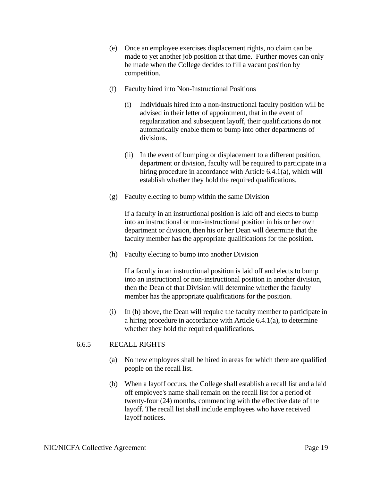- (e) Once an employee exercises displacement rights, no claim can be made to yet another job position at that time. Further moves can only be made when the College decides to fill a vacant position by competition.
- (f) Faculty hired into Non-Instructional Positions
	- (i) Individuals hired into a non-instructional faculty position will be advised in their letter of appointment, that in the event of regularization and subsequent layoff, their qualifications do not automatically enable them to bump into other departments of divisions.
	- (ii) In the event of bumping or displacement to a different position, department or division, faculty will be required to participate in a hiring procedure in accordance with Article 6.4.1(a), which will establish whether they hold the required qualifications.
- (g) Faculty electing to bump within the same Division

If a faculty in an instructional position is laid off and elects to bump into an instructional or non-instructional position in his or her own department or division, then his or her Dean will determine that the faculty member has the appropriate qualifications for the position.

(h) Faculty electing to bump into another Division

If a faculty in an instructional position is laid off and elects to bump into an instructional or non-instructional position in another division, then the Dean of that Division will determine whether the faculty member has the appropriate qualifications for the position.

(i) In (h) above, the Dean will require the faculty member to participate in a hiring procedure in accordance with Article 6.4.1(a), to determine whether they hold the required qualifications.

#### 6.6.5 RECALL RIGHTS

- (a) No new employees shall be hired in areas for which there are qualified people on the recall list.
- (b) When a layoff occurs, the College shall establish a recall list and a laid off employee's name shall remain on the recall list for a period of twenty-four (24) months, commencing with the effective date of the layoff. The recall list shall include employees who have received layoff notices.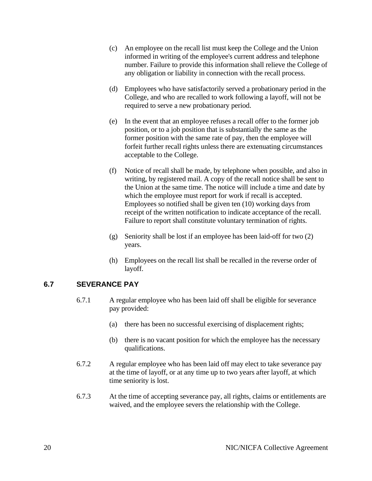- (c) An employee on the recall list must keep the College and the Union informed in writing of the employee's current address and telephone number. Failure to provide this information shall relieve the College of any obligation or liability in connection with the recall process.
- (d) Employees who have satisfactorily served a probationary period in the College, and who are recalled to work following a layoff, will not be required to serve a new probationary period.
- (e) In the event that an employee refuses a recall offer to the former job position, or to a job position that is substantially the same as the former position with the same rate of pay, then the employee will forfeit further recall rights unless there are extenuating circumstances acceptable to the College.
- (f) Notice of recall shall be made, by telephone when possible, and also in writing, by registered mail. A copy of the recall notice shall be sent to the Union at the same time. The notice will include a time and date by which the employee must report for work if recall is accepted. Employees so notified shall be given ten (10) working days from receipt of the written notification to indicate acceptance of the recall. Failure to report shall constitute voluntary termination of rights.
- (g) Seniority shall be lost if an employee has been laid-off for two (2) years.
- (h) Employees on the recall list shall be recalled in the reverse order of layoff.

# <span id="page-27-0"></span>**6.7 SEVERANCE PAY**

- 6.7.1 A regular employee who has been laid off shall be eligible for severance pay provided:
	- (a) there has been no successful exercising of displacement rights;
	- (b) there is no vacant position for which the employee has the necessary qualifications.
- 6.7.2 A regular employee who has been laid off may elect to take severance pay at the time of layoff, or at any time up to two years after layoff, at which time seniority is lost.
- 6.7.3 At the time of accepting severance pay, all rights, claims or entitlements are waived, and the employee severs the relationship with the College.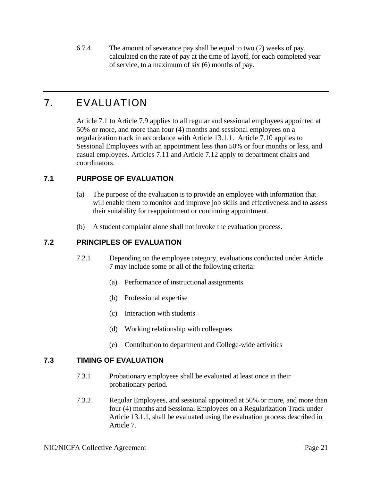6.7.4 The amount of severance pay shall be equal to two (2) weeks of pay, calculated on the rate of pay at the time of layoff, for each completed year of service, to a maximum of six (6) months of pay.

# <span id="page-28-0"></span>7. EVALUATION

Article 7.1 to Article 7.9 applies to all regular and sessional employees appointed at 50% or more, and more than four (4) months and sessional employees on a regularization track in accordance with Article 13.1.1. Article 7.10 applies to Sessional Employees with an appointment less than 50% or four months or less, and casual employees. Articles 7.11 and Article 7.12 apply to department chairs and coordinators.

# <span id="page-28-1"></span>**7.1 PURPOSE OF EVALUATION**

- (a) The purpose of the evaluation is to provide an employee with information that will enable them to monitor and improve job skills and effectiveness and to assess their suitability for reappointment or continuing appointment.
- (b) A student complaint alone shall not invoke the evaluation process.

# <span id="page-28-2"></span>**7.2 PRINCIPLES OF EVALUATION**

- 7.2.1 Depending on the employee category, evaluations conducted under Article 7 may include some or all of the following criteria:
	- (a) Performance of instructional assignments
	- (b) Professional expertise
	- (c) Interaction with students
	- (d) Working relationship with colleagues
	- (e) Contribution to department and College-wide activities

#### <span id="page-28-3"></span>**7.3 TIMING OF EVALUATION**

- 7.3.1 Probationary employees shall be evaluated at least once in their probationary period.
- 7.3.2 Regular Employees, and sessional appointed at 50% or more, and more than four (4) months and Sessional Employees on a Regularization Track under Article 13.1.1, shall be evaluated using the evaluation process described in Article 7.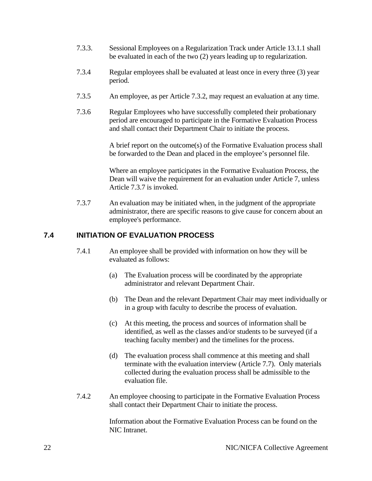- 7.3.3. Sessional Employees on a Regularization Track under Article 13.1.1 shall be evaluated in each of the two (2) years leading up to regularization.
- 7.3.4 Regular employees shall be evaluated at least once in every three (3) year period.
- 7.3.5 An employee, as per Article 7.3.2, may request an evaluation at any time.
- 7.3.6 Regular Employees who have successfully completed their probationary period are encouraged to participate in the Formative Evaluation Process and shall contact their Department Chair to initiate the process.

A brief report on the outcome(s) of the Formative Evaluation process shall be forwarded to the Dean and placed in the employee's personnel file.

Where an employee participates in the Formative Evaluation Process, the Dean will waive the requirement for an evaluation under Article 7, unless Article 7.3.7 is invoked.

7.3.7 An evaluation may be initiated when, in the judgment of the appropriate administrator, there are specific reasons to give cause for concern about an employee's performance.

#### <span id="page-29-0"></span>**7.4 INITIATION OF EVALUATION PROCESS**

- 7.4.1 An employee shall be provided with information on how they will be evaluated as follows:
	- (a) The Evaluation process will be coordinated by the appropriate administrator and relevant Department Chair.
	- (b) The Dean and the relevant Department Chair may meet individually or in a group with faculty to describe the process of evaluation.
	- (c) At this meeting, the process and sources of information shall be identified, as well as the classes and/or students to be surveyed (if a teaching faculty member) and the timelines for the process.
	- (d) The evaluation process shall commence at this meeting and shall terminate with the evaluation interview (Article 7.7). Only materials collected during the evaluation process shall be admissible to the evaluation file.
- 7.4.2 An employee choosing to participate in the Formative Evaluation Process shall contact their Department Chair to initiate the process.

Information about the Formative Evaluation Process can be found on the NIC Intranet.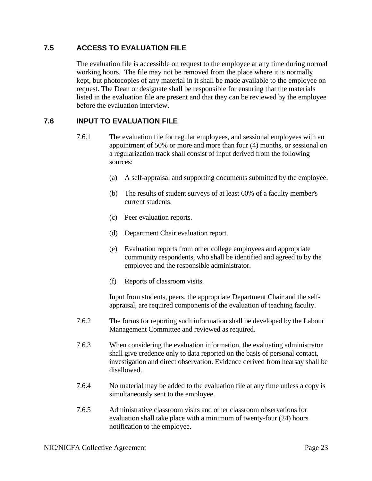## <span id="page-30-0"></span>**7.5 ACCESS TO EVALUATION FILE**

The evaluation file is accessible on request to the employee at any time during normal working hours. The file may not be removed from the place where it is normally kept, but photocopies of any material in it shall be made available to the employee on request. The Dean or designate shall be responsible for ensuring that the materials listed in the evaluation file are present and that they can be reviewed by the employee before the evaluation interview.

#### <span id="page-30-1"></span>**7.6 INPUT TO EVALUATION FILE**

- 7.6.1 The evaluation file for regular employees, and sessional employees with an appointment of 50% or more and more than four (4) months, or sessional on a regularization track shall consist of input derived from the following sources:
	- (a) A self-appraisal and supporting documents submitted by the employee.
	- (b) The results of student surveys of at least 60% of a faculty member's current students.
	- (c) Peer evaluation reports.
	- (d) Department Chair evaluation report.
	- (e) Evaluation reports from other college employees and appropriate community respondents, who shall be identified and agreed to by the employee and the responsible administrator.
	- (f) Reports of classroom visits.

 Input from students, peers, the appropriate Department Chair and the selfappraisal, are required components of the evaluation of teaching faculty.

- 7.6.2 The forms for reporting such information shall be developed by the Labour Management Committee and reviewed as required.
- 7.6.3 When considering the evaluation information, the evaluating administrator shall give credence only to data reported on the basis of personal contact, investigation and direct observation. Evidence derived from hearsay shall be disallowed.
- 7.6.4 No material may be added to the evaluation file at any time unless a copy is simultaneously sent to the employee.
- 7.6.5 Administrative classroom visits and other classroom observations for evaluation shall take place with a minimum of twenty-four (24) hours notification to the employee.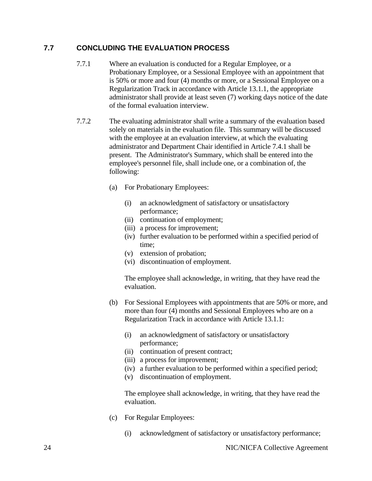# <span id="page-31-0"></span>**7.7 CONCLUDING THE EVALUATION PROCESS**

- 7.7.1 Where an evaluation is conducted for a Regular Employee, or a Probationary Employee, or a Sessional Employee with an appointment that is 50% or more and four (4) months or more, or a Sessional Employee on a Regularization Track in accordance with Article 13.1.1, the appropriate administrator shall provide at least seven (7) working days notice of the date of the formal evaluation interview.
- 7.7.2 The evaluating administrator shall write a summary of the evaluation based solely on materials in the evaluation file. This summary will be discussed with the employee at an evaluation interview, at which the evaluating administrator and Department Chair identified in Article 7.4.1 shall be present. The Administrator's Summary, which shall be entered into the employee's personnel file, shall include one, or a combination of, the following:
	- (a) For Probationary Employees:
		- (i) an acknowledgment of satisfactory or unsatisfactory performance;
		- (ii) continuation of employment;
		- (iii) a process for improvement;
		- (iv) further evaluation to be performed within a specified period of time;
		- (v) extension of probation;
		- (vi) discontinuation of employment.

 The employee shall acknowledge, in writing, that they have read the evaluation.

- (b) For Sessional Employees with appointments that are 50% or more, and more than four (4) months and Sessional Employees who are on a Regularization Track in accordance with Article 13.1.1:
	- (i) an acknowledgment of satisfactory or unsatisfactory performance;
	- (ii) continuation of present contract;
	- (iii) a process for improvement;
	- (iv) a further evaluation to be performed within a specified period;
	- (v) discontinuation of employment.

 The employee shall acknowledge, in writing, that they have read the evaluation.

- (c) For Regular Employees:
	- (i) acknowledgment of satisfactory or unsatisfactory performance;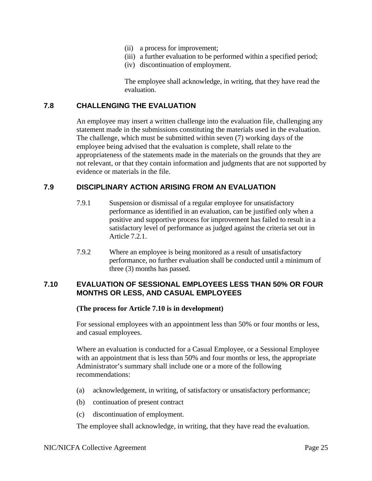- (ii) a process for improvement;
- (iii) a further evaluation to be performed within a specified period;
- (iv) discontinuation of employment.

 The employee shall acknowledge, in writing, that they have read the evaluation.

#### <span id="page-32-0"></span>**7.8 CHALLENGING THE EVALUATION**

An employee may insert a written challenge into the evaluation file, challenging any statement made in the submissions constituting the materials used in the evaluation. The challenge, which must be submitted within seven (7) working days of the employee being advised that the evaluation is complete, shall relate to the appropriateness of the statements made in the materials on the grounds that they are not relevant, or that they contain information and judgments that are not supported by evidence or materials in the file.

#### <span id="page-32-1"></span>**7.9 DISCIPLINARY ACTION ARISING FROM AN EVALUATION**

- 7.9.1 Suspension or dismissal of a regular employee for unsatisfactory performance as identified in an evaluation, can be justified only when a positive and supportive process for improvement has failed to result in a satisfactory level of performance as judged against the criteria set out in Article 7.2.1.
- 7.9.2 Where an employee is being monitored as a result of unsatisfactory performance, no further evaluation shall be conducted until a minimum of three (3) months has passed.

#### <span id="page-32-2"></span>**7.10 EVALUATION OF SESSIONAL EMPLOYEES LESS THAN 50% OR FOUR MONTHS OR LESS, AND CASUAL EMPLOYEES**

#### **(The process for Article 7.10 is in development)**

For sessional employees with an appointment less than 50% or four months or less, and casual employees.

Where an evaluation is conducted for a Casual Employee, or a Sessional Employee with an appointment that is less than 50% and four months or less, the appropriate Administrator's summary shall include one or a more of the following recommendations:

- (a) acknowledgement, in writing, of satisfactory or unsatisfactory performance;
- (b) continuation of present contract
- (c) discontinuation of employment.

The employee shall acknowledge, in writing, that they have read the evaluation.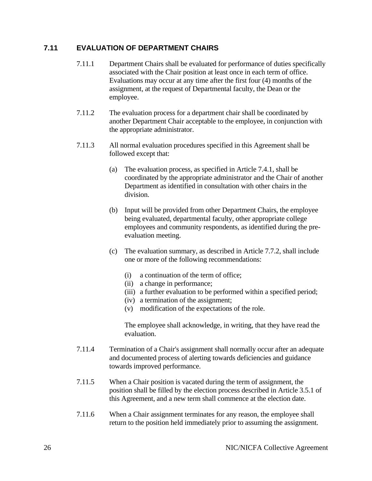#### <span id="page-33-0"></span>**7.11 EVALUATION OF DEPARTMENT CHAIRS**

- 7.11.1 Department Chairs shall be evaluated for performance of duties specifically associated with the Chair position at least once in each term of office. Evaluations may occur at any time after the first four (4) months of the assignment, at the request of Departmental faculty, the Dean or the employee.
- 7.11.2 The evaluation process for a department chair shall be coordinated by another Department Chair acceptable to the employee, in conjunction with the appropriate administrator.
- 7.11.3 All normal evaluation procedures specified in this Agreement shall be followed except that:
	- (a) The evaluation process, as specified in Article 7.4.1, shall be coordinated by the appropriate administrator and the Chair of another Department as identified in consultation with other chairs in the division.
	- (b) Input will be provided from other Department Chairs, the employee being evaluated, departmental faculty, other appropriate college employees and community respondents, as identified during the preevaluation meeting.
	- (c) The evaluation summary, as described in Article 7.7.2, shall include one or more of the following recommendations:
		- (i) a continuation of the term of office;
		- (ii) a change in performance;
		- (iii) a further evaluation to be performed within a specified period;
		- (iv) a termination of the assignment;
		- (v) modification of the expectations of the role.

 The employee shall acknowledge, in writing, that they have read the evaluation.

- 7.11.4 Termination of a Chair's assignment shall normally occur after an adequate and documented process of alerting towards deficiencies and guidance towards improved performance.
- 7.11.5 When a Chair position is vacated during the term of assignment, the position shall be filled by the election process described in Article 3.5.1 of this Agreement, and a new term shall commence at the election date.
- 7.11.6 When a Chair assignment terminates for any reason, the employee shall return to the position held immediately prior to assuming the assignment.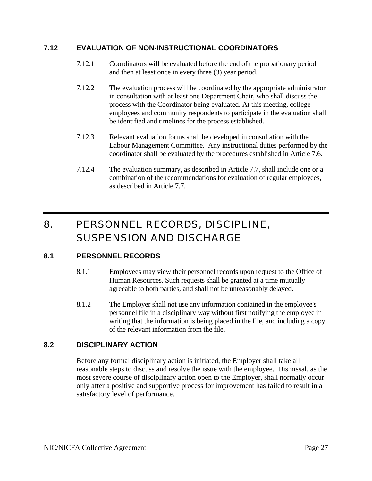#### <span id="page-34-0"></span>**7.12 EVALUATION OF NON-INSTRUCTIONAL COORDINATORS**

- 7.12.1 Coordinators will be evaluated before the end of the probationary period and then at least once in every three (3) year period.
- 7.12.2 The evaluation process will be coordinated by the appropriate administrator in consultation with at least one Department Chair, who shall discuss the process with the Coordinator being evaluated. At this meeting, college employees and community respondents to participate in the evaluation shall be identified and timelines for the process established.
- 7.12.3 Relevant evaluation forms shall be developed in consultation with the Labour Management Committee. Any instructional duties performed by the coordinator shall be evaluated by the procedures established in Article 7.6.
- 7.12.4 The evaluation summary, as described in Article 7.7, shall include one or a combination of the recommendations for evaluation of regular employees, as described in Article 7.7.

# <span id="page-34-1"></span>8. PERSONNEL RECORDS, DISCIPLINE, SUSPENSION AND DISCHARGE

# <span id="page-34-2"></span>**8.1 PERSONNEL RECORDS**

- 8.1.1 Employees may view their personnel records upon request to the Office of Human Resources. Such requests shall be granted at a time mutually agreeable to both parties, and shall not be unreasonably delayed.
- 8.1.2 The Employer shall not use any information contained in the employee's personnel file in a disciplinary way without first notifying the employee in writing that the information is being placed in the file, and including a copy of the relevant information from the file.

#### <span id="page-34-3"></span>**8.2 DISCIPLINARY ACTION**

Before any formal disciplinary action is initiated, the Employer shall take all reasonable steps to discuss and resolve the issue with the employee. Dismissal, as the most severe course of disciplinary action open to the Employer, shall normally occur only after a positive and supportive process for improvement has failed to result in a satisfactory level of performance.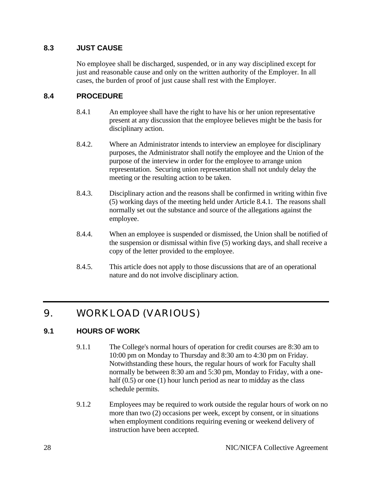## <span id="page-35-0"></span>**8.3 JUST CAUSE**

No employee shall be discharged, suspended, or in any way disciplined except for just and reasonable cause and only on the written authority of the Employer. In all cases, the burden of proof of just cause shall rest with the Employer.

## <span id="page-35-1"></span>**8.4 PROCEDURE**

- 8.4.1 An employee shall have the right to have his or her union representative present at any discussion that the employee believes might be the basis for disciplinary action.
- 8.4.2. Where an Administrator intends to interview an employee for disciplinary purposes, the Administrator shall notify the employee and the Union of the purpose of the interview in order for the employee to arrange union representation. Securing union representation shall not unduly delay the meeting or the resulting action to be taken.
- 8.4.3. Disciplinary action and the reasons shall be confirmed in writing within five (5) working days of the meeting held under Article 8.4.1. The reasons shall normally set out the substance and source of the allegations against the employee.
- 8.4.4. When an employee is suspended or dismissed, the Union shall be notified of the suspension or dismissal within five (5) working days, and shall receive a copy of the letter provided to the employee.
- 8.4.5. This article does not apply to those discussions that are of an operational nature and do not involve disciplinary action.

# <span id="page-35-2"></span>9. WORKLOAD (VARIOUS)

# <span id="page-35-3"></span>**9.1 HOURS OF WORK**

- 9.1.1 The College's normal hours of operation for credit courses are 8:30 am to 10:00 pm on Monday to Thursday and 8:30 am to 4:30 pm on Friday. Notwithstanding these hours, the regular hours of work for Faculty shall normally be between 8:30 am and 5:30 pm, Monday to Friday, with a onehalf (0.5) or one (1) hour lunch period as near to midday as the class schedule permits.
- 9.1.2 Employees may be required to work outside the regular hours of work on no more than two (2) occasions per week, except by consent, or in situations when employment conditions requiring evening or weekend delivery of instruction have been accepted.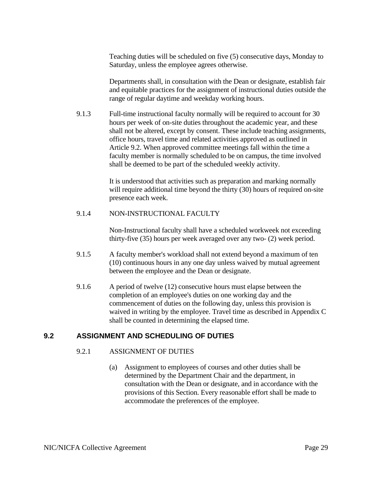Teaching duties will be scheduled on five (5) consecutive days, Monday to Saturday, unless the employee agrees otherwise.

Departments shall, in consultation with the Dean or designate, establish fair and equitable practices for the assignment of instructional duties outside the range of regular daytime and weekday working hours.

9.1.3 Full-time instructional faculty normally will be required to account for 30 hours per week of on-site duties throughout the academic year, and these shall not be altered, except by consent. These include teaching assignments, office hours, travel time and related activities approved as outlined in Article 9.2. When approved committee meetings fall within the time a faculty member is normally scheduled to be on campus, the time involved shall be deemed to be part of the scheduled weekly activity.

> It is understood that activities such as preparation and marking normally will require additional time beyond the thirty (30) hours of required on-site presence each week.

### 9.1.4 NON-INSTRUCTIONAL FACULTY

Non-Instructional faculty shall have a scheduled workweek not exceeding thirty-five (35) hours per week averaged over any two- (2) week period.

- 9.1.5 A faculty member's workload shall not extend beyond a maximum of ten (10) continuous hours in any one day unless waived by mutual agreement between the employee and the Dean or designate.
- 9.1.6 A period of twelve (12) consecutive hours must elapse between the completion of an employee's duties on one working day and the commencement of duties on the following day, unless this provision is waived in writing by the employee. Travel time as described in Appendix C shall be counted in determining the elapsed time.

# **9.2 ASSIGNMENT AND SCHEDULING OF DUTIES**

### 9.2.1 ASSIGNMENT OF DUTIES

(a) Assignment to employees of courses and other duties shall be determined by the Department Chair and the department, in consultation with the Dean or designate, and in accordance with the provisions of this Section. Every reasonable effort shall be made to accommodate the preferences of the employee.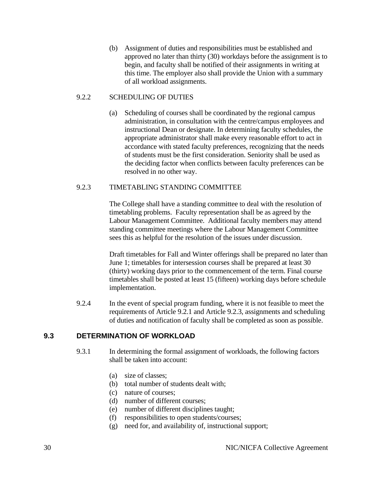(b) Assignment of duties and responsibilities must be established and approved no later than thirty (30) workdays before the assignment is to begin, and faculty shall be notified of their assignments in writing at this time. The employer also shall provide the Union with a summary of all workload assignments.

## 9.2.2 SCHEDULING OF DUTIES

(a) Scheduling of courses shall be coordinated by the regional campus administration, in consultation with the centre/campus employees and instructional Dean or designate. In determining faculty schedules, the appropriate administrator shall make every reasonable effort to act in accordance with stated faculty preferences, recognizing that the needs of students must be the first consideration. Seniority shall be used as the deciding factor when conflicts between faculty preferences can be resolved in no other way.

### 9.2.3 TIMETABLING STANDING COMMITTEE

The College shall have a standing committee to deal with the resolution of timetabling problems. Faculty representation shall be as agreed by the Labour Management Committee. Additional faculty members may attend standing committee meetings where the Labour Management Committee sees this as helpful for the resolution of the issues under discussion.

Draft timetables for Fall and Winter offerings shall be prepared no later than June 1; timetables for intersession courses shall be prepared at least 30 (thirty) working days prior to the commencement of the term. Final course timetables shall be posted at least 15 (fifteen) working days before schedule implementation.

9.2.4 In the event of special program funding, where it is not feasible to meet the requirements of Article 9.2.1 and Article 9.2.3, assignments and scheduling of duties and notification of faculty shall be completed as soon as possible.

# **9.3 DETERMINATION OF WORKLOAD**

- 9.3.1 In determining the formal assignment of workloads, the following factors shall be taken into account:
	- (a) size of classes;
	- (b) total number of students dealt with;
	- (c) nature of courses;
	- (d) number of different courses;
	- (e) number of different disciplines taught;
	- (f) responsibilities to open students/courses;
	- (g) need for, and availability of, instructional support;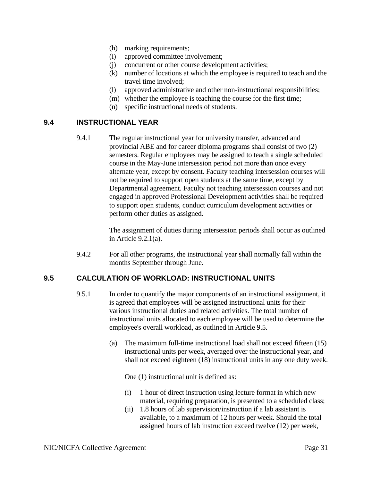- (h) marking requirements;
- (i) approved committee involvement;
- (j) concurrent or other course development activities;
- (k) number of locations at which the employee is required to teach and the travel time involved;
- (l) approved administrative and other non-instructional responsibilities;
- (m) whether the employee is teaching the course for the first time;
- (n) specific instructional needs of students.

### **9.4 INSTRUCTIONAL YEAR**

9.4.1 The regular instructional year for university transfer, advanced and provincial ABE and for career diploma programs shall consist of two (2) semesters. Regular employees may be assigned to teach a single scheduled course in the May-June intersession period not more than once every alternate year, except by consent. Faculty teaching intersession courses will not be required to support open students at the same time, except by Departmental agreement. Faculty not teaching intersession courses and not engaged in approved Professional Development activities shall be required to support open students, conduct curriculum development activities or perform other duties as assigned.

> The assignment of duties during intersession periods shall occur as outlined in Article 9.2.1(a).

9.4.2 For all other programs, the instructional year shall normally fall within the months September through June.

### **9.5 CALCULATION OF WORKLOAD: INSTRUCTIONAL UNITS**

- 9.5.1 In order to quantify the major components of an instructional assignment, it is agreed that employees will be assigned instructional units for their various instructional duties and related activities. The total number of instructional units allocated to each employee will be used to determine the employee's overall workload, as outlined in Article 9.5.
	- (a) The maximum full-time instructional load shall not exceed fifteen (15) instructional units per week, averaged over the instructional year, and shall not exceed eighteen (18) instructional units in any one duty week.

One (1) instructional unit is defined as:

- (i) 1 hour of direct instruction using lecture format in which new material, requiring preparation, is presented to a scheduled class;
- (ii) 1.8 hours of lab supervision/instruction if a lab assistant is available, to a maximum of 12 hours per week. Should the total assigned hours of lab instruction exceed twelve (12) per week,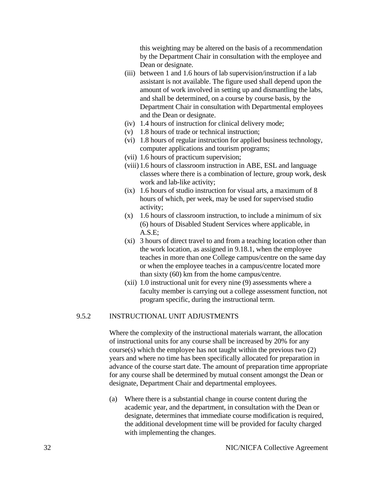this weighting may be altered on the basis of a recommendation by the Department Chair in consultation with the employee and Dean or designate.

- (iii) between 1 and 1.6 hours of lab supervision/instruction if a lab assistant is not available. The figure used shall depend upon the amount of work involved in setting up and dismantling the labs, and shall be determined, on a course by course basis, by the Department Chair in consultation with Departmental employees and the Dean or designate.
- (iv) 1.4 hours of instruction for clinical delivery mode;
- (v) 1.8 hours of trade or technical instruction;
- (vi) 1.8 hours of regular instruction for applied business technology, computer applications and tourism programs;
- (vii) 1.6 hours of practicum supervision;
- (viii) 1.6 hours of classroom instruction in ABE, ESL and language classes where there is a combination of lecture, group work, desk work and lab-like activity;
- (ix) 1.6 hours of studio instruction for visual arts, a maximum of 8 hours of which, per week, may be used for supervised studio activity;
- $(x)$  1.6 hours of classroom instruction, to include a minimum of six (6) hours of Disabled Student Services where applicable, in A.S.E;
- (xi) 3 hours of direct travel to and from a teaching location other than the work location, as assigned in 9.18.1, when the employee teaches in more than one College campus/centre on the same day or when the employee teaches in a campus/centre located more than sixty (60) km from the home campus/centre.
- (xii) 1.0 instructional unit for every nine (9) assessments where a faculty member is carrying out a college assessment function, not program specific, during the instructional term.

#### 9.5.2 INSTRUCTIONAL UNIT ADJUSTMENTS

Where the complexity of the instructional materials warrant, the allocation of instructional units for any course shall be increased by 20% for any course(s) which the employee has not taught within the previous two (2) years and where no time has been specifically allocated for preparation in advance of the course start date. The amount of preparation time appropriate for any course shall be determined by mutual consent amongst the Dean or designate, Department Chair and departmental employees.

(a) Where there is a substantial change in course content during the academic year, and the department, in consultation with the Dean or designate, determines that immediate course modification is required, the additional development time will be provided for faculty charged with implementing the changes.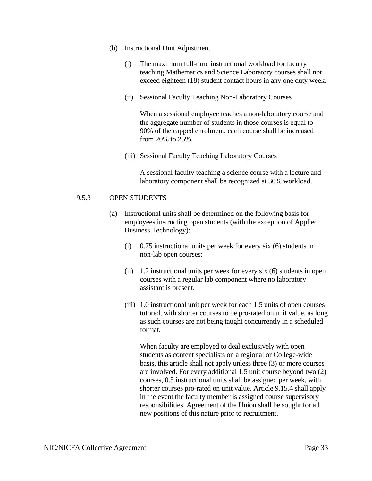- (b) Instructional Unit Adjustment
	- (i) The maximum full-time instructional workload for faculty teaching Mathematics and Science Laboratory courses shall not exceed eighteen (18) student contact hours in any one duty week.
	- (ii) Sessional Faculty Teaching Non-Laboratory Courses

When a sessional employee teaches a non-laboratory course and the aggregate number of students in those courses is equal to 90% of the capped enrolment, each course shall be increased from 20% to 25%.

(iii) Sessional Faculty Teaching Laboratory Courses

A sessional faculty teaching a science course with a lecture and laboratory component shall be recognized at 30% workload.

#### 9.5.3 OPEN STUDENTS

- (a) Instructional units shall be determined on the following basis for employees instructing open students (with the exception of Applied Business Technology):
	- (i) 0.75 instructional units per week for every six (6) students in non-lab open courses;
	- (ii) 1.2 instructional units per week for every six (6) students in open courses with a regular lab component where no laboratory assistant is present.
	- (iii) 1.0 instructional unit per week for each 1.5 units of open courses tutored, with shorter courses to be pro-rated on unit value, as long as such courses are not being taught concurrently in a scheduled format.

When faculty are employed to deal exclusively with open students as content specialists on a regional or College-wide basis, this article shall not apply unless three (3) or more courses are involved. For every additional 1.5 unit course beyond two (2) courses, 0.5 instructional units shall be assigned per week, with shorter courses pro-rated on unit value. Article 9.15.4 shall apply in the event the faculty member is assigned course supervisory responsibilities. Agreement of the Union shall be sought for all new positions of this nature prior to recruitment.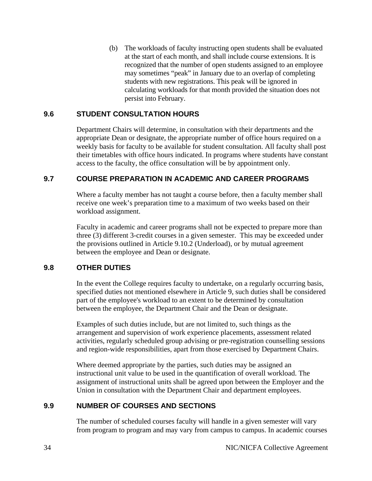(b) The workloads of faculty instructing open students shall be evaluated at the start of each month, and shall include course extensions. It is recognized that the number of open students assigned to an employee may sometimes "peak" in January due to an overlap of completing students with new registrations. This peak will be ignored in calculating workloads for that month provided the situation does not persist into February.

## **9.6 STUDENT CONSULTATION HOURS**

Department Chairs will determine, in consultation with their departments and the appropriate Dean or designate, the appropriate number of office hours required on a weekly basis for faculty to be available for student consultation. All faculty shall post their timetables with office hours indicated. In programs where students have constant access to the faculty, the office consultation will be by appointment only.

# **9.7 COURSE PREPARATION IN ACADEMIC AND CAREER PROGRAMS**

Where a faculty member has not taught a course before, then a faculty member shall receive one week's preparation time to a maximum of two weeks based on their workload assignment.

Faculty in academic and career programs shall not be expected to prepare more than three (3) different 3-credit courses in a given semester. This may be exceeded under the provisions outlined in Article 9.10.2 (Underload), or by mutual agreement between the employee and Dean or designate.

### **9.8 OTHER DUTIES**

In the event the College requires faculty to undertake, on a regularly occurring basis, specified duties not mentioned elsewhere in Article 9, such duties shall be considered part of the employee's workload to an extent to be determined by consultation between the employee, the Department Chair and the Dean or designate.

Examples of such duties include, but are not limited to, such things as the arrangement and supervision of work experience placements, assessment related activities, regularly scheduled group advising or pre-registration counselling sessions and region-wide responsibilities, apart from those exercised by Department Chairs.

Where deemed appropriate by the parties, such duties may be assigned an instructional unit value to be used in the quantification of overall workload. The assignment of instructional units shall be agreed upon between the Employer and the Union in consultation with the Department Chair and department employees.

# **9.9 NUMBER OF COURSES AND SECTIONS**

The number of scheduled courses faculty will handle in a given semester will vary from program to program and may vary from campus to campus. In academic courses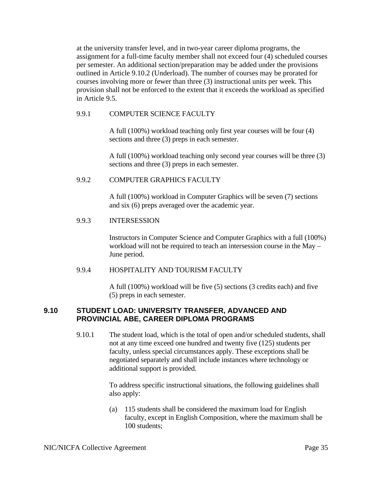at the university transfer level, and in two-year career diploma programs, the assignment for a full-time faculty member shall not exceed four (4) scheduled courses per semester. An additional section/preparation may be added under the provisions outlined in Article 9.10.2 (Underload). The number of courses may be prorated for courses involving more or fewer than three (3) instructional units per week. This provision shall not be enforced to the extent that it exceeds the workload as specified in Article 9.5.

#### 9.9.1 COMPUTER SCIENCE FACULTY

A full (100%) workload teaching only first year courses will be four (4) sections and three (3) preps in each semester.

A full (100%) workload teaching only second year courses will be three (3) sections and three (3) preps in each semester.

#### 9.9.2 COMPUTER GRAPHICS FACULTY

A full (100%) workload in Computer Graphics will be seven (7) sections and six (6) preps averaged over the academic year.

#### 9.9.3 INTERSESSION

Instructors in Computer Science and Computer Graphics with a full (100%) workload will not be required to teach an intersession course in the May – June period.

#### 9.9.4 HOSPITALITY AND TOURISM FACULTY

A full (100%) workload will be five (5) sections (3 credits each) and five (5) preps in each semester.

### **9.10 STUDENT LOAD: UNIVERSITY TRANSFER, ADVANCED AND PROVINCIAL ABE, CAREER DIPLOMA PROGRAMS**

9.10.1 The student load, which is the total of open and/or scheduled students, shall not at any time exceed one hundred and twenty five (125) students per faculty, unless special circumstances apply. These exceptions shall be negotiated separately and shall include instances where technology or additional support is provided.

> To address specific instructional situations, the following guidelines shall also apply:

(a) 115 students shall be considered the maximum load for English faculty, except in English Composition, where the maximum shall be 100 students;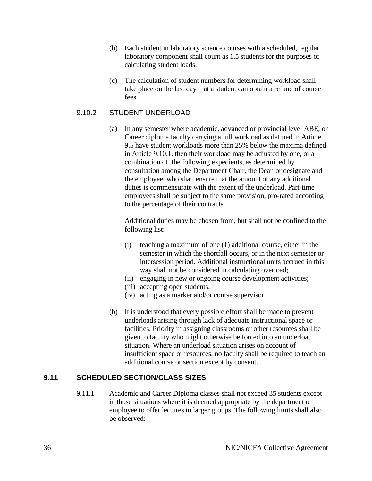- (b) Each student in laboratory science courses with a scheduled, regular laboratory component shall count as 1.5 students for the purposes of calculating student loads.
- (c) The calculation of student numbers for determining workload shall take place on the last day that a student can obtain a refund of course fees.

## 9.10.2 STUDENT UNDERLOAD

(a) In any semester where academic, advanced or provincial level ABE, or Career diploma faculty carrying a full workload as defined in Article 9.5 have student workloads more than 25% below the maxima defined in Article 9.10.1, then their workload may be adjusted by one, or a combination of, the following expedients, as determined by consultation among the Department Chair, the Dean or designate and the employee, who shall ensure that the amount of any additional duties is commensurate with the extent of the underload. Part-time employees shall be subject to the same provision, pro-rated according to the percentage of their contracts.

Additional duties may be chosen from, but shall not be confined to the following list:

- (i) teaching a maximum of one (1) additional course, either in the semester in which the shortfall occurs, or in the next semester or intersession period. Additional instructional units accrued in this way shall not be considered in calculating overload;
- (ii) engaging in new or ongoing course development activities;
- (iii) accepting open students;
- (iv) acting as a marker and/or course supervisor.
- (b) It is understood that every possible effort shall be made to prevent underloads arising through lack of adequate instructional space or facilities. Priority in assigning classrooms or other resources shall be given to faculty who might otherwise be forced into an underload situation. Where an underload situation arises on account of insufficient space or resources, no faculty shall be required to teach an additional course or section except by consent.

# **9.11 SCHEDULED SECTION/CLASS SIZES**

9.11.1 Academic and Career Diploma classes shall not exceed 35 students except in those situations where it is deemed appropriate by the department or employee to offer lectures to larger groups. The following limits shall also be observed: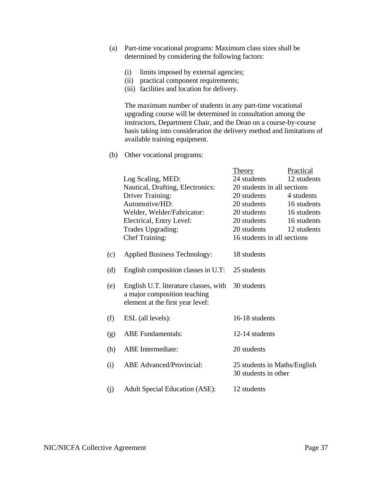- (a) Part-time vocational programs: Maximum class sizes shall be determined by considering the following factors:
	- (i) limits imposed by external agencies;
	- (ii) practical component requirements;
	- (iii) facilities and location for delivery.

 The maximum number of students in any part-time vocational upgrading course will be determined in consultation among the instructors, Department Chair, and the Dean on a course-by-course basis taking into consideration the delivery method and limitations of available training equipment.

(b) Other vocational programs:

|     |                                                                                                           | <b>Theory</b>                                        | Practical   |
|-----|-----------------------------------------------------------------------------------------------------------|------------------------------------------------------|-------------|
|     | Log Scaling, MED:                                                                                         | 24 students                                          | 12 students |
|     | Nautical, Drafting, Electronics:                                                                          | 20 students in all sections                          |             |
|     | <b>Driver Training:</b>                                                                                   | 20 students                                          | 4 students  |
|     | Automotive/HD:                                                                                            | 20 students                                          | 16 students |
|     | Welder, Welder/Fabricator:                                                                                | 20 students                                          | 16 students |
|     | Electrical, Entry Level:                                                                                  | 20 students                                          | 16 students |
|     | Trades Upgrading:                                                                                         | 20 students                                          | 12 students |
|     | <b>Chef Training:</b>                                                                                     | 16 students in all sections                          |             |
|     |                                                                                                           |                                                      |             |
| (c) | <b>Applied Business Technology:</b>                                                                       | 18 students                                          |             |
|     |                                                                                                           |                                                      |             |
| (d) | English composition classes in U.T:                                                                       | 25 students                                          |             |
| (e) | English U.T. literature classes, with<br>a major composition teaching<br>element at the first year level: | 30 students                                          |             |
| (f) | ESL (all levels):                                                                                         | 16-18 students                                       |             |
| (g) | <b>ABE</b> Fundamentals:                                                                                  | 12-14 students                                       |             |
| (h) | <b>ABE</b> Intermediate:                                                                                  | 20 students                                          |             |
| (i) | <b>ABE</b> Advanced/Provincial:                                                                           | 25 students in Maths/English<br>30 students in other |             |
| (j) | <b>Adult Special Education (ASE):</b>                                                                     | 12 students                                          |             |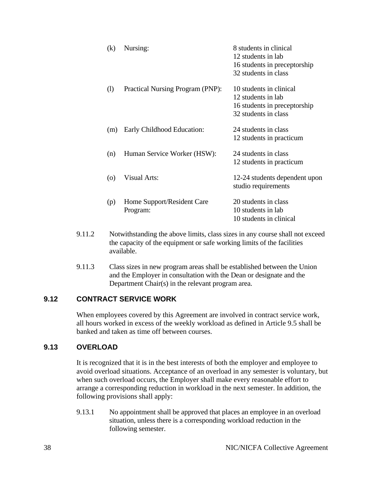| (k) | Nursing:                               | 8 students in clinical<br>12 students in lab<br>16 students in preceptorship<br>32 students in class  |
|-----|----------------------------------------|-------------------------------------------------------------------------------------------------------|
| (1) | Practical Nursing Program (PNP):       | 10 students in clinical<br>12 students in lab<br>16 students in preceptorship<br>32 students in class |
| (m) | Early Childhood Education:             | 24 students in class<br>12 students in practicum                                                      |
| (n) | Human Service Worker (HSW):            | 24 students in class<br>12 students in practicum                                                      |
| (0) | <b>Visual Arts:</b>                    | 12-24 students dependent upon<br>studio requirements                                                  |
| (p) | Home Support/Resident Care<br>Program: | 20 students in class<br>10 students in lab<br>10 students in clinical                                 |

- 9.11.2 Notwithstanding the above limits, class sizes in any course shall not exceed the capacity of the equipment or safe working limits of the facilities available.
- 9.11.3 Class sizes in new program areas shall be established between the Union and the Employer in consultation with the Dean or designate and the Department Chair(s) in the relevant program area.

# **9.12 CONTRACT SERVICE WORK**

When employees covered by this Agreement are involved in contract service work, all hours worked in excess of the weekly workload as defined in Article 9.5 shall be banked and taken as time off between courses.

# **9.13 OVERLOAD**

It is recognized that it is in the best interests of both the employer and employee to avoid overload situations. Acceptance of an overload in any semester is voluntary, but when such overload occurs, the Employer shall make every reasonable effort to arrange a corresponding reduction in workload in the next semester. In addition, the following provisions shall apply:

9.13.1 No appointment shall be approved that places an employee in an overload situation, unless there is a corresponding workload reduction in the following semester.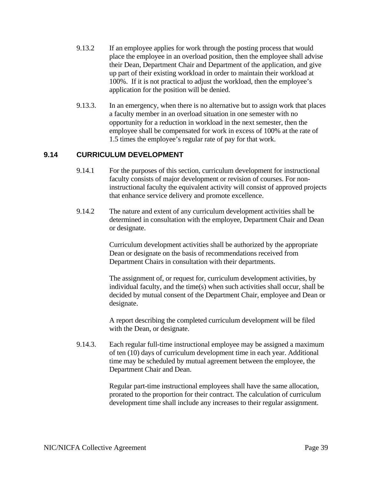- 9.13.2 If an employee applies for work through the posting process that would place the employee in an overload position, then the employee shall advise their Dean, Department Chair and Department of the application, and give up part of their existing workload in order to maintain their workload at 100%. If it is not practical to adjust the workload, then the employee's application for the position will be denied.
- 9.13.3. In an emergency, when there is no alternative but to assign work that places a faculty member in an overload situation in one semester with no opportunity for a reduction in workload in the next semester, then the employee shall be compensated for work in excess of 100% at the rate of 1.5 times the employee's regular rate of pay for that work.

# **9.14 CURRICULUM DEVELOPMENT**

- 9.14.1 For the purposes of this section, curriculum development for instructional faculty consists of major development or revision of courses. For noninstructional faculty the equivalent activity will consist of approved projects that enhance service delivery and promote excellence.
- 9.14.2 The nature and extent of any curriculum development activities shall be determined in consultation with the employee, Department Chair and Dean or designate.

Curriculum development activities shall be authorized by the appropriate Dean or designate on the basis of recommendations received from Department Chairs in consultation with their departments.

The assignment of, or request for, curriculum development activities, by individual faculty, and the time(s) when such activities shall occur, shall be decided by mutual consent of the Department Chair, employee and Dean or designate.

A report describing the completed curriculum development will be filed with the Dean, or designate.

9.14.3. Each regular full-time instructional employee may be assigned a maximum of ten (10) days of curriculum development time in each year. Additional time may be scheduled by mutual agreement between the employee, the Department Chair and Dean.

> Regular part-time instructional employees shall have the same allocation, prorated to the proportion for their contract. The calculation of curriculum development time shall include any increases to their regular assignment.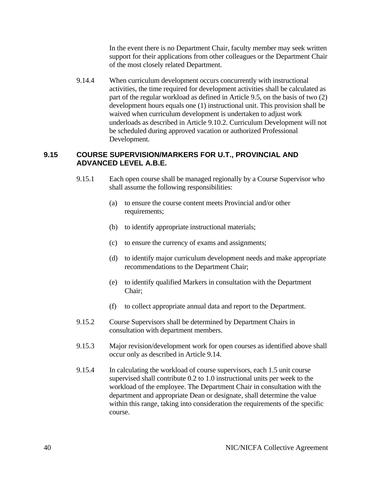In the event there is no Department Chair, faculty member may seek written support for their applications from other colleagues or the Department Chair of the most closely related Department.

9.14.4 When curriculum development occurs concurrently with instructional activities, the time required for development activities shall be calculated as part of the regular workload as defined in Article 9.5, on the basis of two (2) development hours equals one (1) instructional unit. This provision shall be waived when curriculum development is undertaken to adjust work underloads as described in Article 9.10.2. Curriculum Development will not be scheduled during approved vacation or authorized Professional Development.

# **9.15 COURSE SUPERVISION/MARKERS FOR U.T., PROVINCIAL AND ADVANCED LEVEL A.B.E.**

- 9.15.1 Each open course shall be managed regionally by a Course Supervisor who shall assume the following responsibilities:
	- (a) to ensure the course content meets Provincial and/or other requirements:
	- (b) to identify appropriate instructional materials;
	- (c) to ensure the currency of exams and assignments;
	- (d) to identify major curriculum development needs and make appropriate recommendations to the Department Chair;
	- (e) to identify qualified Markers in consultation with the Department Chair;
	- (f) to collect appropriate annual data and report to the Department.
- 9.15.2 Course Supervisors shall be determined by Department Chairs in consultation with department members.
- 9.15.3 Major revision/development work for open courses as identified above shall occur only as described in Article 9.14.
- 9.15.4 In calculating the workload of course supervisors, each 1.5 unit course supervised shall contribute 0.2 to 1.0 instructional units per week to the workload of the employee. The Department Chair in consultation with the department and appropriate Dean or designate, shall determine the value within this range, taking into consideration the requirements of the specific course.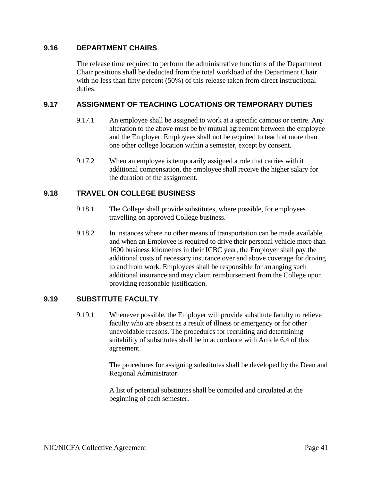### **9.16 DEPARTMENT CHAIRS**

The release time required to perform the administrative functions of the Department Chair positions shall be deducted from the total workload of the Department Chair with no less than fifty percent (50%) of this release taken from direct instructional duties.

## **9.17 ASSIGNMENT OF TEACHING LOCATIONS OR TEMPORARY DUTIES**

- 9.17.1 An employee shall be assigned to work at a specific campus or centre. Any alteration to the above must be by mutual agreement between the employee and the Employer. Employees shall not be required to teach at more than one other college location within a semester, except by consent.
- 9.17.2 When an employee is temporarily assigned a role that carries with it additional compensation, the employee shall receive the higher salary for the duration of the assignment.

# **9.18 TRAVEL ON COLLEGE BUSINESS**

- 9.18.1 The College shall provide substitutes, where possible, for employees travelling on approved College business.
- 9.18.2 In instances where no other means of transportation can be made available, and when an Employee is required to drive their personal vehicle more than 1600 business kilometres in their ICBC year, the Employer shall pay the additional costs of necessary insurance over and above coverage for driving to and from work. Employees shall be responsible for arranging such additional insurance and may claim reimbursement from the College upon providing reasonable justification.

### **9.19 SUBSTITUTE FACULTY**

9.19.1 Whenever possible, the Employer will provide substitute faculty to relieve faculty who are absent as a result of illness or emergency or for other unavoidable reasons. The procedures for recruiting and determining suitability of substitutes shall be in accordance with Article 6.4 of this agreement.

> The procedures for assigning substitutes shall be developed by the Dean and Regional Administrator.

A list of potential substitutes shall be compiled and circulated at the beginning of each semester.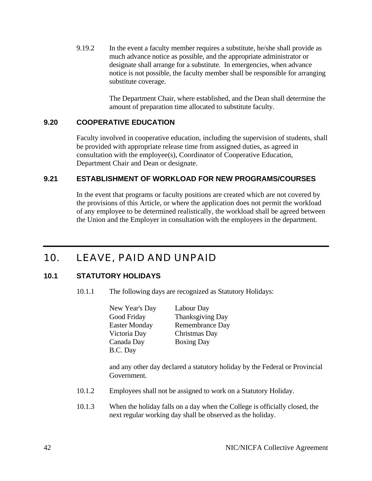9.19.2 In the event a faculty member requires a substitute, he/she shall provide as much advance notice as possible, and the appropriate administrator or designate shall arrange for a substitute. In emergencies, when advance notice is not possible, the faculty member shall be responsible for arranging substitute coverage.

> The Department Chair, where established, and the Dean shall determine the amount of preparation time allocated to substitute faculty.

### **9.20 COOPERATIVE EDUCATION**

Faculty involved in cooperative education, including the supervision of students, shall be provided with appropriate release time from assigned duties, as agreed in consultation with the employee(s), Coordinator of Cooperative Education, Department Chair and Dean or designate.

### **9.21 ESTABLISHMENT OF WORKLOAD FOR NEW PROGRAMS/COURSES**

In the event that programs or faculty positions are created which are not covered by the provisions of this Article, or where the application does not permit the workload of any employee to be determined realistically, the workload shall be agreed between the Union and the Employer in consultation with the employees in the department.

# 10. LEAVE, PAID AND UNPAID

# **10.1 STATUTORY HOLIDAYS**

10.1.1 The following days are recognized as Statutory Holidays:

| New Year's Day       | Labour Day              |
|----------------------|-------------------------|
| Good Friday          | <b>Thanksgiving Day</b> |
| <b>Easter Monday</b> | Remembrance Day         |
| Victoria Day         | Christmas Day           |
| Canada Day           | <b>Boxing Day</b>       |
| B.C. Day             |                         |

and any other day declared a statutory holiday by the Federal or Provincial Government.

- 10.1.2 Employees shall not be assigned to work on a Statutory Holiday.
- 10.1.3 When the holiday falls on a day when the College is officially closed, the next regular working day shall be observed as the holiday.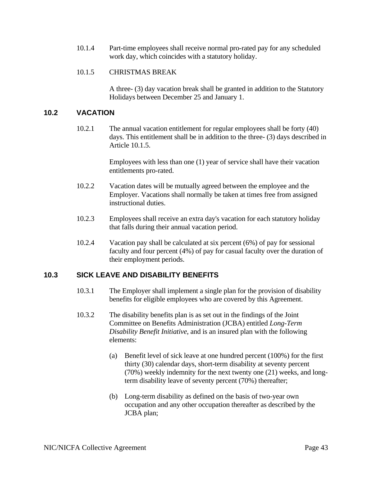10.1.4 Part-time employees shall receive normal pro-rated pay for any scheduled work day, which coincides with a statutory holiday.

#### 10.1.5 CHRISTMAS BREAK

A three- (3) day vacation break shall be granted in addition to the Statutory Holidays between December 25 and January 1.

## **10.2 VACATION**

10.2.1 The annual vacation entitlement for regular employees shall be forty (40) days. This entitlement shall be in addition to the three- (3) days described in Article 10.1.5.

> Employees with less than one (1) year of service shall have their vacation entitlements pro-rated.

- 10.2.2 Vacation dates will be mutually agreed between the employee and the Employer. Vacations shall normally be taken at times free from assigned instructional duties.
- 10.2.3 Employees shall receive an extra day's vacation for each statutory holiday that falls during their annual vacation period.
- 10.2.4 Vacation pay shall be calculated at six percent (6%) of pay for sessional faculty and four percent (4%) of pay for casual faculty over the duration of their employment periods.

# **10.3 SICK LEAVE AND DISABILITY BENEFITS**

- 10.3.1 The Employer shall implement a single plan for the provision of disability benefits for eligible employees who are covered by this Agreement.
- 10.3.2 The disability benefits plan is as set out in the findings of the Joint Committee on Benefits Administration (JCBA) entitled *Long-Term Disability Benefit Initiative*, and is an insured plan with the following elements:
	- (a) Benefit level of sick leave at one hundred percent (100%) for the first thirty (30) calendar days, short-term disability at seventy percent (70%) weekly indemnity for the next twenty one (21) weeks, and longterm disability leave of seventy percent (70%) thereafter;
	- (b) Long-term disability as defined on the basis of two-year own occupation and any other occupation thereafter as described by the JCBA plan;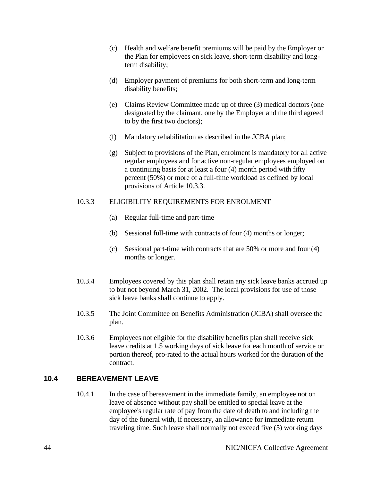- (c) Health and welfare benefit premiums will be paid by the Employer or the Plan for employees on sick leave, short-term disability and longterm disability;
- (d) Employer payment of premiums for both short-term and long-term disability benefits;
- (e) Claims Review Committee made up of three (3) medical doctors (one designated by the claimant, one by the Employer and the third agreed to by the first two doctors);
- (f) Mandatory rehabilitation as described in the JCBA plan;
- (g) Subject to provisions of the Plan, enrolment is mandatory for all active regular employees and for active non-regular employees employed on a continuing basis for at least a four (4) month period with fifty percent (50%) or more of a full-time workload as defined by local provisions of Article 10.3.3.

#### 10.3.3 ELIGIBILITY REQUIREMENTS FOR ENROLMENT

- (a) Regular full-time and part-time
- (b) Sessional full-time with contracts of four (4) months or longer;
- (c) Sessional part-time with contracts that are 50% or more and four (4) months or longer.
- 10.3.4 Employees covered by this plan shall retain any sick leave banks accrued up to but not beyond March 31, 2002. The local provisions for use of those sick leave banks shall continue to apply.
- 10.3.5 The Joint Committee on Benefits Administration (JCBA) shall oversee the plan.
- 10.3.6 Employees not eligible for the disability benefits plan shall receive sick leave credits at 1.5 working days of sick leave for each month of service or portion thereof, pro-rated to the actual hours worked for the duration of the contract.

# **10.4 BEREAVEMENT LEAVE**

10.4.1 In the case of bereavement in the immediate family, an employee not on leave of absence without pay shall be entitled to special leave at the employee's regular rate of pay from the date of death to and including the day of the funeral with, if necessary, an allowance for immediate return traveling time. Such leave shall normally not exceed five (5) working days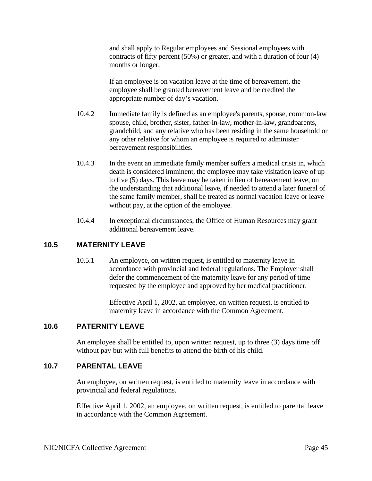and shall apply to Regular employees and Sessional employees with contracts of fifty percent (50%) or greater, and with a duration of four (4) months or longer.

If an employee is on vacation leave at the time of bereavement, the employee shall be granted bereavement leave and be credited the appropriate number of day's vacation.

- 10.4.2 Immediate family is defined as an employee's parents, spouse, common-law spouse, child, brother, sister, father-in-law, mother-in-law, grandparents, grandchild, and any relative who has been residing in the same household or any other relative for whom an employee is required to administer bereavement responsibilities.
- 10.4.3 In the event an immediate family member suffers a medical crisis in, which death is considered imminent, the employee may take visitation leave of up to five (5) days. This leave may be taken in lieu of bereavement leave, on the understanding that additional leave, if needed to attend a later funeral of the same family member, shall be treated as normal vacation leave or leave without pay, at the option of the employee.
- 10.4.4 In exceptional circumstances, the Office of Human Resources may grant additional bereavement leave.

### **10.5 MATERNITY LEAVE**

10.5.1 An employee, on written request, is entitled to maternity leave in accordance with provincial and federal regulations. The Employer shall defer the commencement of the maternity leave for any period of time requested by the employee and approved by her medical practitioner.

> Effective April 1, 2002, an employee, on written request, is entitled to maternity leave in accordance with the Common Agreement.

### **10.6 PATERNITY LEAVE**

An employee shall be entitled to, upon written request, up to three (3) days time off without pay but with full benefits to attend the birth of his child.

# **10.7 PARENTAL LEAVE**

An employee, on written request, is entitled to maternity leave in accordance with provincial and federal regulations.

Effective April 1, 2002, an employee, on written request, is entitled to parental leave in accordance with the Common Agreement.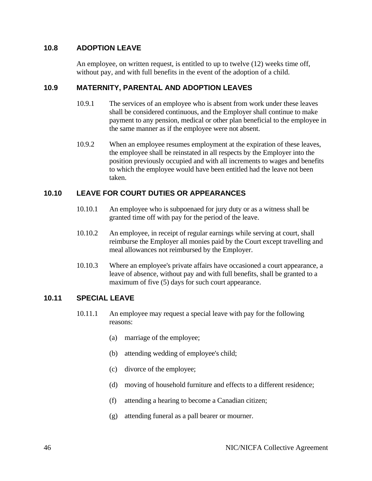## **10.8 ADOPTION LEAVE**

An employee, on written request, is entitled to up to twelve (12) weeks time off, without pay, and with full benefits in the event of the adoption of a child.

# **10.9 MATERNITY, PARENTAL AND ADOPTION LEAVES**

- 10.9.1 The services of an employee who is absent from work under these leaves shall be considered continuous, and the Employer shall continue to make payment to any pension, medical or other plan beneficial to the employee in the same manner as if the employee were not absent.
- 10.9.2 When an employee resumes employment at the expiration of these leaves, the employee shall be reinstated in all respects by the Employer into the position previously occupied and with all increments to wages and benefits to which the employee would have been entitled had the leave not been taken.

# **10.10 LEAVE FOR COURT DUTIES OR APPEARANCES**

- 10.10.1 An employee who is subpoenaed for jury duty or as a witness shall be granted time off with pay for the period of the leave.
- 10.10.2 An employee, in receipt of regular earnings while serving at court, shall reimburse the Employer all monies paid by the Court except travelling and meal allowances not reimbursed by the Employer.
- 10.10.3 Where an employee's private affairs have occasioned a court appearance, a leave of absence, without pay and with full benefits, shall be granted to a maximum of five (5) days for such court appearance.

### **10.11 SPECIAL LEAVE**

- 10.11.1 An employee may request a special leave with pay for the following reasons:
	- (a) marriage of the employee;
	- (b) attending wedding of employee's child;
	- (c) divorce of the employee;
	- (d) moving of household furniture and effects to a different residence;
	- (f) attending a hearing to become a Canadian citizen;
	- (g) attending funeral as a pall bearer or mourner.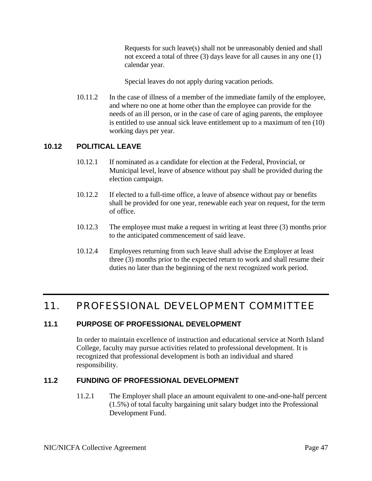Requests for such leave(s) shall not be unreasonably denied and shall not exceed a total of three (3) days leave for all causes in any one (1) calendar year.

Special leaves do not apply during vacation periods.

10.11.2 In the case of illness of a member of the immediate family of the employee, and where no one at home other than the employee can provide for the needs of an ill person, or in the case of care of aging parents, the employee is entitled to use annual sick leave entitlement up to a maximum of ten (10) working days per year.

# **10.12 POLITICAL LEAVE**

- 10.12.1 If nominated as a candidate for election at the Federal, Provincial, or Municipal level, leave of absence without pay shall be provided during the election campaign.
- 10.12.2 If elected to a full-time office, a leave of absence without pay or benefits shall be provided for one year, renewable each year on request, for the term of office.
- 10.12.3 The employee must make a request in writing at least three (3) months prior to the anticipated commencement of said leave.
- 10.12.4 Employees returning from such leave shall advise the Employer at least three (3) months prior to the expected return to work and shall resume their duties no later than the beginning of the next recognized work period.

# 11. PROFESSIONAL DEVELOPMENT COMMITTEE

# **11.1 PURPOSE OF PROFESSIONAL DEVELOPMENT**

In order to maintain excellence of instruction and educational service at North Island College, faculty may pursue activities related to professional development. It is recognized that professional development is both an individual and shared responsibility.

# **11.2 FUNDING OF PROFESSIONAL DEVELOPMENT**

11.2.1 The Employer shall place an amount equivalent to one-and-one-half percent (1.5%) of total faculty bargaining unit salary budget into the Professional Development Fund.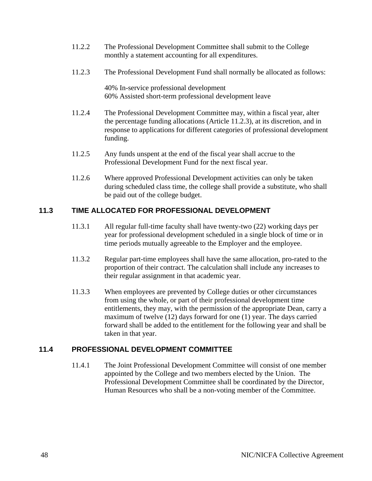- 11.2.2 The Professional Development Committee shall submit to the College monthly a statement accounting for all expenditures.
- 11.2.3 The Professional Development Fund shall normally be allocated as follows:

40% In-service professional development 60% Assisted short-term professional development leave

- 11.2.4 The Professional Development Committee may, within a fiscal year, alter the percentage funding allocations (Article 11.2.3), at its discretion, and in response to applications for different categories of professional development funding.
- 11.2.5 Any funds unspent at the end of the fiscal year shall accrue to the Professional Development Fund for the next fiscal year.
- 11.2.6 Where approved Professional Development activities can only be taken during scheduled class time, the college shall provide a substitute, who shall be paid out of the college budget.

# **11.3 TIME ALLOCATED FOR PROFESSIONAL DEVELOPMENT**

- 11.3.1 All regular full-time faculty shall have twenty-two (22) working days per year for professional development scheduled in a single block of time or in time periods mutually agreeable to the Employer and the employee.
- 11.3.2 Regular part-time employees shall have the same allocation, pro-rated to the proportion of their contract. The calculation shall include any increases to their regular assignment in that academic year.
- 11.3.3 When employees are prevented by College duties or other circumstances from using the whole, or part of their professional development time entitlements, they may, with the permission of the appropriate Dean, carry a maximum of twelve (12) days forward for one (1) year. The days carried forward shall be added to the entitlement for the following year and shall be taken in that year.

### **11.4 PROFESSIONAL DEVELOPMENT COMMITTEE**

11.4.1 The Joint Professional Development Committee will consist of one member appointed by the College and two members elected by the Union. The Professional Development Committee shall be coordinated by the Director, Human Resources who shall be a non-voting member of the Committee.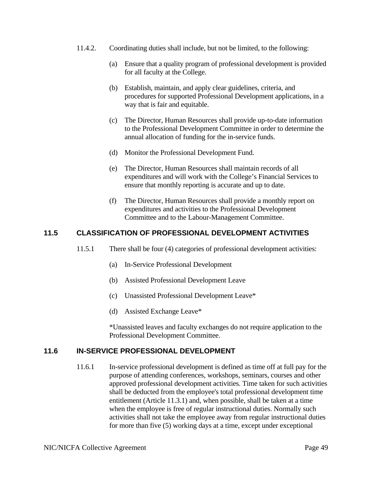- 11.4.2. Coordinating duties shall include, but not be limited, to the following:
	- (a) Ensure that a quality program of professional development is provided for all faculty at the College.
	- (b) Establish, maintain, and apply clear guidelines, criteria, and procedures for supported Professional Development applications, in a way that is fair and equitable.
	- (c) The Director, Human Resources shall provide up-to-date information to the Professional Development Committee in order to determine the annual allocation of funding for the in-service funds.
	- (d) Monitor the Professional Development Fund.
	- (e) The Director, Human Resources shall maintain records of all expenditures and will work with the College's Financial Services to ensure that monthly reporting is accurate and up to date.
	- (f) The Director, Human Resources shall provide a monthly report on expenditures and activities to the Professional Development Committee and to the Labour-Management Committee.

# **11.5 CLASSIFICATION OF PROFESSIONAL DEVELOPMENT ACTIVITIES**

- 11.5.1 There shall be four (4) categories of professional development activities:
	- (a) In-Service Professional Development
	- (b) Assisted Professional Development Leave
	- (c) Unassisted Professional Development Leave\*
	- (d) Assisted Exchange Leave\*

 \*Unassisted leaves and faculty exchanges do not require application to the Professional Development Committee.

### **11.6 IN-SERVICE PROFESSIONAL DEVELOPMENT**

11.6.1 In-service professional development is defined as time off at full pay for the purpose of attending conferences, workshops, seminars, courses and other approved professional development activities. Time taken for such activities shall be deducted from the employee's total professional development time entitlement (Article 11.3.1) and, when possible, shall be taken at a time when the employee is free of regular instructional duties. Normally such activities shall not take the employee away from regular instructional duties for more than five (5) working days at a time, except under exceptional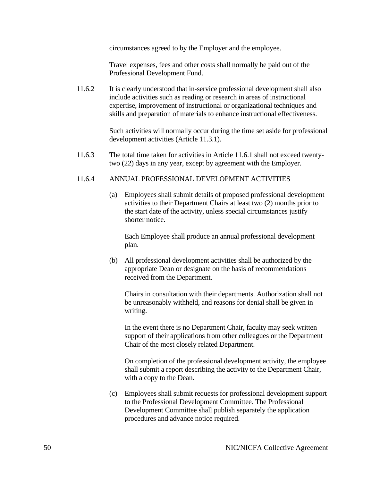circumstances agreed to by the Employer and the employee.

Travel expenses, fees and other costs shall normally be paid out of the Professional Development Fund.

11.6.2 It is clearly understood that in-service professional development shall also include activities such as reading or research in areas of instructional expertise, improvement of instructional or organizational techniques and skills and preparation of materials to enhance instructional effectiveness.

> Such activities will normally occur during the time set aside for professional development activities (Article 11.3.1).

11.6.3 The total time taken for activities in Article 11.6.1 shall not exceed twentytwo (22) days in any year, except by agreement with the Employer.

#### 11.6.4 ANNUAL PROFESSIONAL DEVELOPMENT ACTIVITIES

(a) Employees shall submit details of proposed professional development activities to their Department Chairs at least two (2) months prior to the start date of the activity, unless special circumstances justify shorter notice.

Each Employee shall produce an annual professional development plan.

(b) All professional development activities shall be authorized by the appropriate Dean or designate on the basis of recommendations received from the Department.

Chairs in consultation with their departments. Authorization shall not be unreasonably withheld, and reasons for denial shall be given in writing.

In the event there is no Department Chair, faculty may seek written support of their applications from other colleagues or the Department Chair of the most closely related Department.

On completion of the professional development activity, the employee shall submit a report describing the activity to the Department Chair, with a copy to the Dean.

(c) Employees shall submit requests for professional development support to the Professional Development Committee. The Professional Development Committee shall publish separately the application procedures and advance notice required.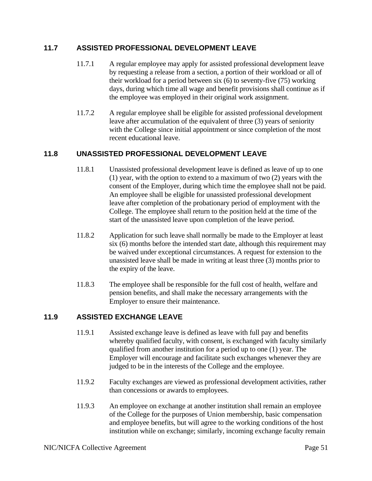# **11.7 ASSISTED PROFESSIONAL DEVELOPMENT LEAVE**

- 11.7.1 A regular employee may apply for assisted professional development leave by requesting a release from a section, a portion of their workload or all of their workload for a period between six (6) to seventy-five (75) working days, during which time all wage and benefit provisions shall continue as if the employee was employed in their original work assignment.
- 11.7.2 A regular employee shall be eligible for assisted professional development leave after accumulation of the equivalent of three (3) years of seniority with the College since initial appointment or since completion of the most recent educational leave.

# **11.8 UNASSISTED PROFESSIONAL DEVELOPMENT LEAVE**

- 11.8.1 Unassisted professional development leave is defined as leave of up to one (1) year, with the option to extend to a maximum of two (2) years with the consent of the Employer, during which time the employee shall not be paid. An employee shall be eligible for unassisted professional development leave after completion of the probationary period of employment with the College. The employee shall return to the position held at the time of the start of the unassisted leave upon completion of the leave period.
- 11.8.2 Application for such leave shall normally be made to the Employer at least six (6) months before the intended start date, although this requirement may be waived under exceptional circumstances. A request for extension to the unassisted leave shall be made in writing at least three (3) months prior to the expiry of the leave.
- 11.8.3 The employee shall be responsible for the full cost of health, welfare and pension benefits, and shall make the necessary arrangements with the Employer to ensure their maintenance.

# **11.9 ASSISTED EXCHANGE LEAVE**

- 11.9.1 Assisted exchange leave is defined as leave with full pay and benefits whereby qualified faculty, with consent, is exchanged with faculty similarly qualified from another institution for a period up to one (1) year. The Employer will encourage and facilitate such exchanges whenever they are judged to be in the interests of the College and the employee.
- 11.9.2 Faculty exchanges are viewed as professional development activities, rather than concessions or awards to employees.
- 11.9.3 An employee on exchange at another institution shall remain an employee of the College for the purposes of Union membership, basic compensation and employee benefits, but will agree to the working conditions of the host institution while on exchange; similarly, incoming exchange faculty remain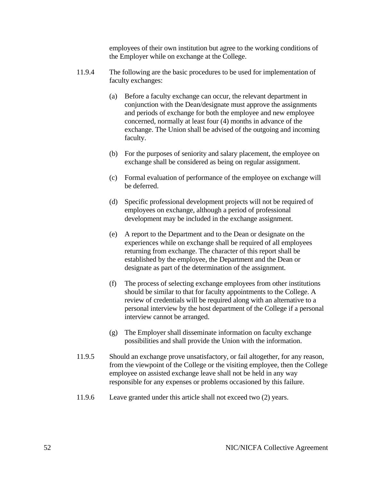employees of their own institution but agree to the working conditions of the Employer while on exchange at the College.

- 11.9.4 The following are the basic procedures to be used for implementation of faculty exchanges:
	- (a) Before a faculty exchange can occur, the relevant department in conjunction with the Dean/designate must approve the assignments and periods of exchange for both the employee and new employee concerned, normally at least four (4) months in advance of the exchange. The Union shall be advised of the outgoing and incoming faculty.
	- (b) For the purposes of seniority and salary placement, the employee on exchange shall be considered as being on regular assignment.
	- (c) Formal evaluation of performance of the employee on exchange will be deferred.
	- (d) Specific professional development projects will not be required of employees on exchange, although a period of professional development may be included in the exchange assignment.
	- (e) A report to the Department and to the Dean or designate on the experiences while on exchange shall be required of all employees returning from exchange. The character of this report shall be established by the employee, the Department and the Dean or designate as part of the determination of the assignment.
	- (f) The process of selecting exchange employees from other institutions should be similar to that for faculty appointments to the College. A review of credentials will be required along with an alternative to a personal interview by the host department of the College if a personal interview cannot be arranged.
	- (g) The Employer shall disseminate information on faculty exchange possibilities and shall provide the Union with the information.
- 11.9.5 Should an exchange prove unsatisfactory, or fail altogether, for any reason, from the viewpoint of the College or the visiting employee, then the College employee on assisted exchange leave shall not be held in any way responsible for any expenses or problems occasioned by this failure.
- 11.9.6 Leave granted under this article shall not exceed two (2) years.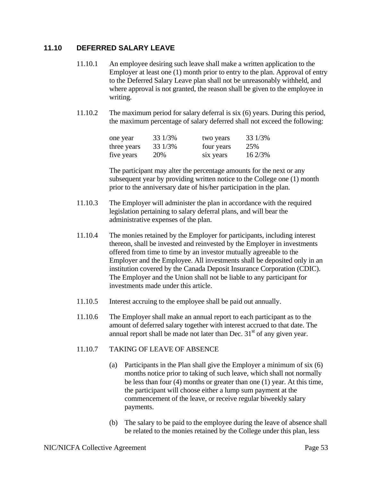# **11.10 DEFERRED SALARY LEAVE**

- 11.10.1 An employee desiring such leave shall make a written application to the Employer at least one (1) month prior to entry to the plan. Approval of entry to the Deferred Salary Leave plan shall not be unreasonably withheld, and where approval is not granted, the reason shall be given to the employee in writing.
- 11.10.2 The maximum period for salary deferral is six (6) years. During this period, the maximum percentage of salary deferred shall not exceed the following:

| one year    | 33 1/3% | two years  | 33 1/3% |
|-------------|---------|------------|---------|
| three years | 33 1/3% | four years | 25%     |
| five years  | 20%     | six years  | 16 2/3% |

 The participant may alter the percentage amounts for the next or any subsequent year by providing written notice to the College one (1) month prior to the anniversary date of his/her participation in the plan.

- 11.10.3 The Employer will administer the plan in accordance with the required legislation pertaining to salary deferral plans, and will bear the administrative expenses of the plan.
- 11.10.4 The monies retained by the Employer for participants, including interest thereon, shall be invested and reinvested by the Employer in investments offered from time to time by an investor mutually agreeable to the Employer and the Employee. All investments shall be deposited only in an institution covered by the Canada Deposit Insurance Corporation (CDIC). The Employer and the Union shall not be liable to any participant for investments made under this article.
- 11.10.5 Interest accruing to the employee shall be paid out annually.
- 11.10.6 The Employer shall make an annual report to each participant as to the amount of deferred salary together with interest accrued to that date. The annual report shall be made not later than Dec.  $31<sup>st</sup>$  of any given year.

### 11.10.7 TAKING OF LEAVE OF ABSENCE

- (a) Participants in the Plan shall give the Employer a minimum of six (6) months notice prior to taking of such leave, which shall not normally be less than four (4) months or greater than one (1) year. At this time, the participant will choose either a lump sum payment at the commencement of the leave, or receive regular biweekly salary payments.
- (b) The salary to be paid to the employee during the leave of absence shall be related to the monies retained by the College under this plan, less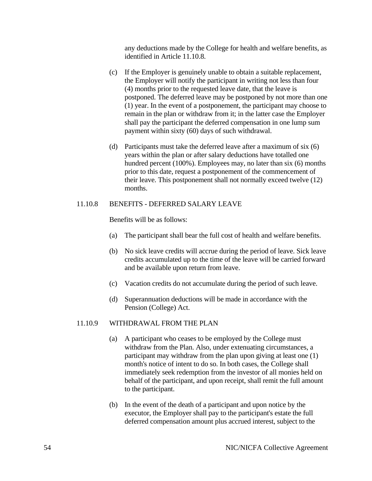any deductions made by the College for health and welfare benefits, as identified in Article 11.10.8.

- (c) If the Employer is genuinely unable to obtain a suitable replacement, the Employer will notify the participant in writing not less than four (4) months prior to the requested leave date, that the leave is postponed. The deferred leave may be postponed by not more than one (1) year. In the event of a postponement, the participant may choose to remain in the plan or withdraw from it; in the latter case the Employer shall pay the participant the deferred compensation in one lump sum payment within sixty (60) days of such withdrawal.
- (d) Participants must take the deferred leave after a maximum of six (6) years within the plan or after salary deductions have totalled one hundred percent (100%). Employees may, no later than six (6) months prior to this date, request a postponement of the commencement of their leave. This postponement shall not normally exceed twelve (12) months.

#### 11.10.8 BENEFITS - DEFERRED SALARY LEAVE

Benefits will be as follows:

- (a) The participant shall bear the full cost of health and welfare benefits.
- (b) No sick leave credits will accrue during the period of leave. Sick leave credits accumulated up to the time of the leave will be carried forward and be available upon return from leave.
- (c) Vacation credits do not accumulate during the period of such leave.
- (d) Superannuation deductions will be made in accordance with the Pension (College) Act.

#### 11.10.9 WITHDRAWAL FROM THE PLAN

- (a) A participant who ceases to be employed by the College must withdraw from the Plan. Also, under extenuating circumstances, a participant may withdraw from the plan upon giving at least one (1) month's notice of intent to do so. In both cases, the College shall immediately seek redemption from the investor of all monies held on behalf of the participant, and upon receipt, shall remit the full amount to the participant.
- (b) In the event of the death of a participant and upon notice by the executor, the Employer shall pay to the participant's estate the full deferred compensation amount plus accrued interest, subject to the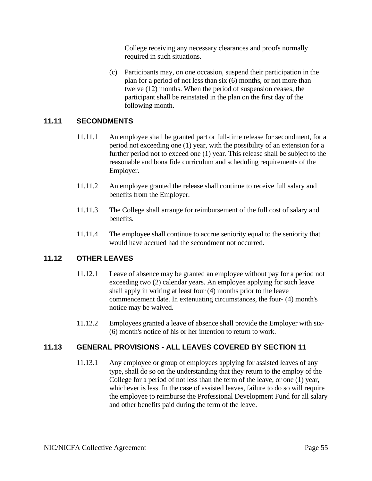College receiving any necessary clearances and proofs normally required in such situations.

(c) Participants may, on one occasion, suspend their participation in the plan for a period of not less than six (6) months, or not more than twelve (12) months. When the period of suspension ceases, the participant shall be reinstated in the plan on the first day of the following month.

# **11.11 SECONDMENTS**

- 11.11.1 An employee shall be granted part or full-time release for secondment, for a period not exceeding one (1) year, with the possibility of an extension for a further period not to exceed one (1) year. This release shall be subject to the reasonable and bona fide curriculum and scheduling requirements of the Employer.
- 11.11.2 An employee granted the release shall continue to receive full salary and benefits from the Employer.
- 11.11.3 The College shall arrange for reimbursement of the full cost of salary and benefits.
- 11.11.4 The employee shall continue to accrue seniority equal to the seniority that would have accrued had the secondment not occurred.

# **11.12 OTHER LEAVES**

- 11.12.1 Leave of absence may be granted an employee without pay for a period not exceeding two (2) calendar years. An employee applying for such leave shall apply in writing at least four (4) months prior to the leave commencement date. In extenuating circumstances, the four- (4) month's notice may be waived.
- 11.12.2 Employees granted a leave of absence shall provide the Employer with six- (6) month's notice of his or her intention to return to work.

# **11.13 GENERAL PROVISIONS - ALL LEAVES COVERED BY SECTION 11**

11.13.1 Any employee or group of employees applying for assisted leaves of any type, shall do so on the understanding that they return to the employ of the College for a period of not less than the term of the leave, or one (1) year, whichever is less. In the case of assisted leaves, failure to do so will require the employee to reimburse the Professional Development Fund for all salary and other benefits paid during the term of the leave.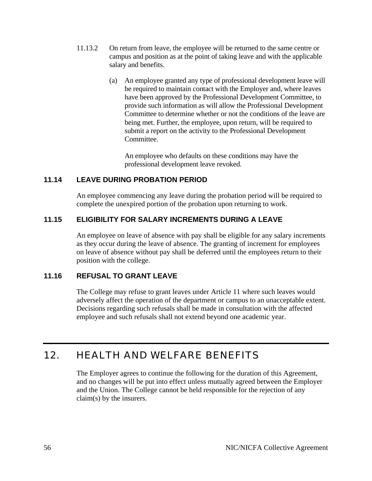- 11.13.2 On return from leave, the employee will be returned to the same centre or campus and position as at the point of taking leave and with the applicable salary and benefits.
	- (a) An employee granted any type of professional development leave will be required to maintain contact with the Employer and, where leaves have been approved by the Professional Development Committee, to provide such information as will allow the Professional Development Committee to determine whether or not the conditions of the leave are being met. Further, the employee, upon return, will be required to submit a report on the activity to the Professional Development Committee.

An employee who defaults on these conditions may have the professional development leave revoked.

# **11.14 LEAVE DURING PROBATION PERIOD**

An employee commencing any leave during the probation period will be required to complete the unexpired portion of the probation upon returning to work.

# **11.15 ELIGIBILITY FOR SALARY INCREMENTS DURING A LEAVE**

An employee on leave of absence with pay shall be eligible for any salary increments as they occur during the leave of absence. The granting of increment for employees on leave of absence without pay shall be deferred until the employees return to their position with the college.

### **11.16 REFUSAL TO GRANT LEAVE**

The College may refuse to grant leaves under Article 11 where such leaves would adversely affect the operation of the department or campus to an unacceptable extent. Decisions regarding such refusals shall be made in consultation with the affected employee and such refusals shall not extend beyond one academic year.

# 12. HEALTH AND WELFARE BENEFITS

The Employer agrees to continue the following for the duration of this Agreement, and no changes will be put into effect unless mutually agreed between the Employer and the Union. The College cannot be held responsible for the rejection of any claim(s) by the insurers.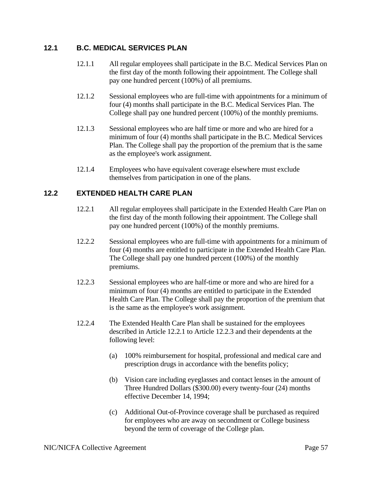# **12.1 B.C. MEDICAL SERVICES PLAN**

- 12.1.1 All regular employees shall participate in the B.C. Medical Services Plan on the first day of the month following their appointment. The College shall pay one hundred percent (100%) of all premiums.
- 12.1.2 Sessional employees who are full-time with appointments for a minimum of four (4) months shall participate in the B.C. Medical Services Plan. The College shall pay one hundred percent (100%) of the monthly premiums.
- 12.1.3 Sessional employees who are half time or more and who are hired for a minimum of four (4) months shall participate in the B.C. Medical Services Plan. The College shall pay the proportion of the premium that is the same as the employee's work assignment.
- 12.1.4 Employees who have equivalent coverage elsewhere must exclude themselves from participation in one of the plans.

# **12.2 EXTENDED HEALTH CARE PLAN**

- 12.2.1 All regular employees shall participate in the Extended Health Care Plan on the first day of the month following their appointment. The College shall pay one hundred percent (100%) of the monthly premiums.
- 12.2.2 Sessional employees who are full-time with appointments for a minimum of four (4) months are entitled to participate in the Extended Health Care Plan. The College shall pay one hundred percent (100%) of the monthly premiums.
- 12.2.3 Sessional employees who are half-time or more and who are hired for a minimum of four (4) months are entitled to participate in the Extended Health Care Plan. The College shall pay the proportion of the premium that is the same as the employee's work assignment.
- 12.2.4 The Extended Health Care Plan shall be sustained for the employees described in Article 12.2.1 to Article 12.2.3 and their dependents at the following level:
	- (a) 100% reimbursement for hospital, professional and medical care and prescription drugs in accordance with the benefits policy;
	- (b) Vision care including eyeglasses and contact lenses in the amount of Three Hundred Dollars (\$300.00) every twenty-four (24) months effective December 14, 1994;
	- (c) Additional Out-of-Province coverage shall be purchased as required for employees who are away on secondment or College business beyond the term of coverage of the College plan.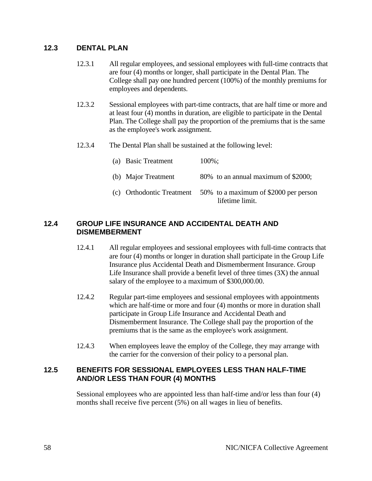## **12.3 DENTAL PLAN**

- 12.3.1 All regular employees, and sessional employees with full-time contracts that are four (4) months or longer, shall participate in the Dental Plan. The College shall pay one hundred percent (100%) of the monthly premiums for employees and dependents.
- 12.3.2 Sessional employees with part-time contracts, that are half time or more and at least four (4) months in duration, are eligible to participate in the Dental Plan. The College shall pay the proportion of the premiums that is the same as the employee's work assignment.
- 12.3.4 The Dental Plan shall be sustained at the following level:

| (a) Basic Treatment | $100\%$ :                                                                             |
|---------------------|---------------------------------------------------------------------------------------|
| (b) Major Treatment | 80% to an annual maximum of \$2000;                                                   |
|                     | (c) Orthodontic Treatment $50\%$ to a maximum of \$2000 per person<br>lifetime limit. |

# **12.4 GROUP LIFE INSURANCE AND ACCIDENTAL DEATH AND DISMEMBERMENT**

- 12.4.1 All regular employees and sessional employees with full-time contracts that are four (4) months or longer in duration shall participate in the Group Life Insurance plus Accidental Death and Dismemberment Insurance. Group Life Insurance shall provide a benefit level of three times (3X) the annual salary of the employee to a maximum of \$300,000.00.
- 12.4.2 Regular part-time employees and sessional employees with appointments which are half-time or more and four (4) months or more in duration shall participate in Group Life Insurance and Accidental Death and Dismemberment Insurance. The College shall pay the proportion of the premiums that is the same as the employee's work assignment.
- 12.4.3 When employees leave the employ of the College, they may arrange with the carrier for the conversion of their policy to a personal plan.

### **12.5 BENEFITS FOR SESSIONAL EMPLOYEES LESS THAN HALF-TIME AND/OR LESS THAN FOUR (4) MONTHS**

Sessional employees who are appointed less than half-time and/or less than four (4) months shall receive five percent (5%) on all wages in lieu of benefits.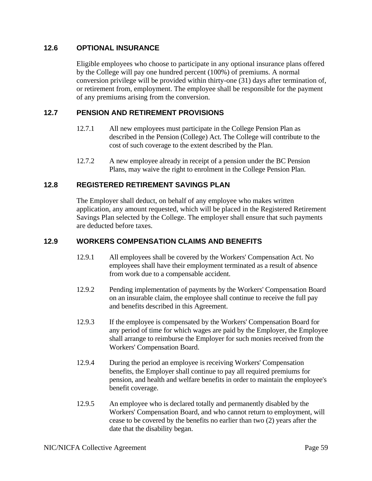## **12.6 OPTIONAL INSURANCE**

Eligible employees who choose to participate in any optional insurance plans offered by the College will pay one hundred percent (100%) of premiums. A normal conversion privilege will be provided within thirty-one (31) days after termination of, or retirement from, employment. The employee shall be responsible for the payment of any premiums arising from the conversion.

# **12.7 PENSION AND RETIREMENT PROVISIONS**

- 12.7.1 All new employees must participate in the College Pension Plan as described in the Pension (College) Act. The College will contribute to the cost of such coverage to the extent described by the Plan.
- 12.7.2 A new employee already in receipt of a pension under the BC Pension Plans, may waive the right to enrolment in the College Pension Plan.

# **12.8 REGISTERED RETIREMENT SAVINGS PLAN**

The Employer shall deduct, on behalf of any employee who makes written application, any amount requested, which will be placed in the Registered Retirement Savings Plan selected by the College. The employer shall ensure that such payments are deducted before taxes.

### **12.9 WORKERS COMPENSATION CLAIMS AND BENEFITS**

- 12.9.1 All employees shall be covered by the Workers' Compensation Act. No employees shall have their employment terminated as a result of absence from work due to a compensable accident.
- 12.9.2 Pending implementation of payments by the Workers' Compensation Board on an insurable claim, the employee shall continue to receive the full pay and benefits described in this Agreement.
- 12.9.3 If the employee is compensated by the Workers' Compensation Board for any period of time for which wages are paid by the Employer, the Employee shall arrange to reimburse the Employer for such monies received from the Workers' Compensation Board.
- 12.9.4 During the period an employee is receiving Workers' Compensation benefits, the Employer shall continue to pay all required premiums for pension, and health and welfare benefits in order to maintain the employee's benefit coverage.
- 12.9.5 An employee who is declared totally and permanently disabled by the Workers' Compensation Board, and who cannot return to employment, will cease to be covered by the benefits no earlier than two (2) years after the date that the disability began.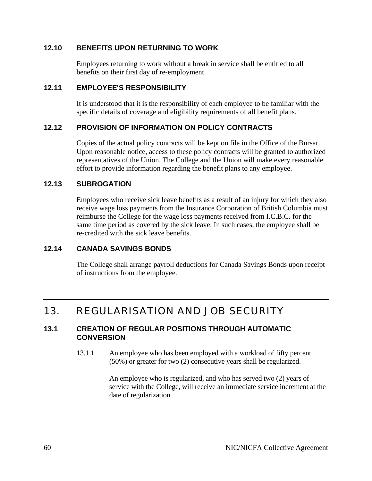## **12.10 BENEFITS UPON RETURNING TO WORK**

Employees returning to work without a break in service shall be entitled to all benefits on their first day of re-employment.

### **12.11 EMPLOYEE'S RESPONSIBILITY**

It is understood that it is the responsibility of each employee to be familiar with the specific details of coverage and eligibility requirements of all benefit plans.

# **12.12 PROVISION OF INFORMATION ON POLICY CONTRACTS**

Copies of the actual policy contracts will be kept on file in the Office of the Bursar. Upon reasonable notice, access to these policy contracts will be granted to authorized representatives of the Union. The College and the Union will make every reasonable effort to provide information regarding the benefit plans to any employee.

# **12.13 SUBROGATION**

Employees who receive sick leave benefits as a result of an injury for which they also receive wage loss payments from the Insurance Corporation of British Columbia must reimburse the College for the wage loss payments received from I.C.B.C. for the same time period as covered by the sick leave. In such cases, the employee shall be re-credited with the sick leave benefits.

# **12.14 CANADA SAVINGS BONDS**

The College shall arrange payroll deductions for Canada Savings Bonds upon receipt of instructions from the employee.

# 13. REGULARISATION AND JOB SECURITY

### **13.1 CREATION OF REGULAR POSITIONS THROUGH AUTOMATIC CONVERSION**

13.1.1 An employee who has been employed with a workload of fifty percent (50%) or greater for two (2) consecutive years shall be regularized.

> An employee who is regularized, and who has served two (2) years of service with the College, will receive an immediate service increment at the date of regularization.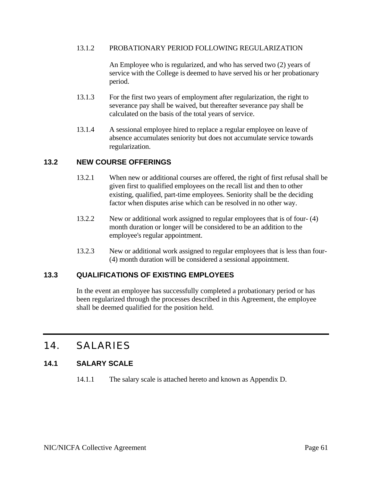#### 13.1.2 PROBATIONARY PERIOD FOLLOWING REGULARIZATION

An Employee who is regularized, and who has served two (2) years of service with the College is deemed to have served his or her probationary period.

- 13.1.3 For the first two years of employment after regularization, the right to severance pay shall be waived, but thereafter severance pay shall be calculated on the basis of the total years of service.
- 13.1.4 A sessional employee hired to replace a regular employee on leave of absence accumulates seniority but does not accumulate service towards regularization.

### **13.2 NEW COURSE OFFERINGS**

- 13.2.1 When new or additional courses are offered, the right of first refusal shall be given first to qualified employees on the recall list and then to other existing, qualified, part-time employees. Seniority shall be the deciding factor when disputes arise which can be resolved in no other way.
- 13.2.2 New or additional work assigned to regular employees that is of four- (4) month duration or longer will be considered to be an addition to the employee's regular appointment.
- 13.2.3 New or additional work assigned to regular employees that is less than four- (4) month duration will be considered a sessional appointment.

### **13.3 QUALIFICATIONS OF EXISTING EMPLOYEES**

In the event an employee has successfully completed a probationary period or has been regularized through the processes described in this Agreement, the employee shall be deemed qualified for the position held.

# 14. SALARIES

# **14.1 SALARY SCALE**

14.1.1 The salary scale is attached hereto and known as Appendix D.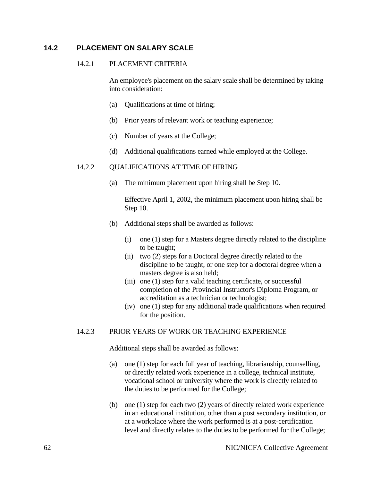### **14.2 PLACEMENT ON SALARY SCALE**

### 14.2.1 PLACEMENT CRITERIA

An employee's placement on the salary scale shall be determined by taking into consideration:

- (a) Qualifications at time of hiring;
- (b) Prior years of relevant work or teaching experience;
- (c) Number of years at the College;
- (d) Additional qualifications earned while employed at the College.

#### 14.2.2 QUALIFICATIONS AT TIME OF HIRING

(a) The minimum placement upon hiring shall be Step 10.

Effective April 1, 2002, the minimum placement upon hiring shall be Step 10.

- (b) Additional steps shall be awarded as follows:
	- (i) one (1) step for a Masters degree directly related to the discipline to be taught;
	- (ii) two (2) steps for a Doctoral degree directly related to the discipline to be taught, or one step for a doctoral degree when a masters degree is also held;
	- (iii) one (1) step for a valid teaching certificate, or successful completion of the Provincial Instructor's Diploma Program, or accreditation as a technician or technologist;
	- (iv) one (1) step for any additional trade qualifications when required for the position.

#### 14.2.3 PRIOR YEARS OF WORK OR TEACHING EXPERIENCE

Additional steps shall be awarded as follows:

- (a) one (1) step for each full year of teaching, librarianship, counselling, or directly related work experience in a college, technical institute, vocational school or university where the work is directly related to the duties to be performed for the College;
- (b) one (1) step for each two (2) years of directly related work experience in an educational institution, other than a post secondary institution, or at a workplace where the work performed is at a post-certification level and directly relates to the duties to be performed for the College;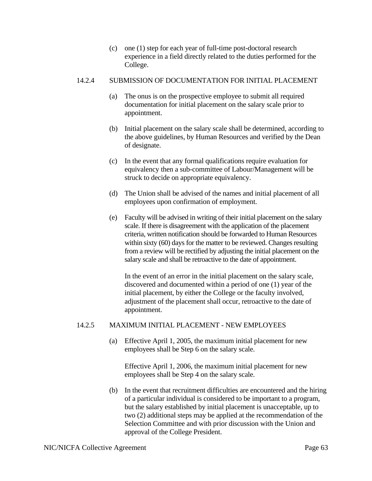(c) one (1) step for each year of full-time post-doctoral research experience in a field directly related to the duties performed for the College.

#### 14.2.4 SUBMISSION OF DOCUMENTATION FOR INITIAL PLACEMENT

- (a) The onus is on the prospective employee to submit all required documentation for initial placement on the salary scale prior to appointment.
- (b) Initial placement on the salary scale shall be determined, according to the above guidelines, by Human Resources and verified by the Dean of designate.
- (c) In the event that any formal qualifications require evaluation for equivalency then a sub-committee of Labour/Management will be struck to decide on appropriate equivalency.
- (d) The Union shall be advised of the names and initial placement of all employees upon confirmation of employment.
- (e) Faculty will be advised in writing of their initial placement on the salary scale. If there is disagreement with the application of the placement criteria, written notification should be forwarded to Human Resources within sixty (60) days for the matter to be reviewed. Changes resulting from a review will be rectified by adjusting the initial placement on the salary scale and shall be retroactive to the date of appointment.

In the event of an error in the initial placement on the salary scale, discovered and documented within a period of one (1) year of the initial placement, by either the College or the faculty involved, adjustment of the placement shall occur, retroactive to the date of appointment.

### 14.2.5 MAXIMUM INITIAL PLACEMENT - NEW EMPLOYEES

(a) Effective April 1, 2005, the maximum initial placement for new employees shall be Step 6 on the salary scale.

Effective April 1, 2006, the maximum initial placement for new employees shall be Step 4 on the salary scale.

(b) In the event that recruitment difficulties are encountered and the hiring of a particular individual is considered to be important to a program, but the salary established by initial placement is unacceptable, up to two (2) additional steps may be applied at the recommendation of the Selection Committee and with prior discussion with the Union and approval of the College President.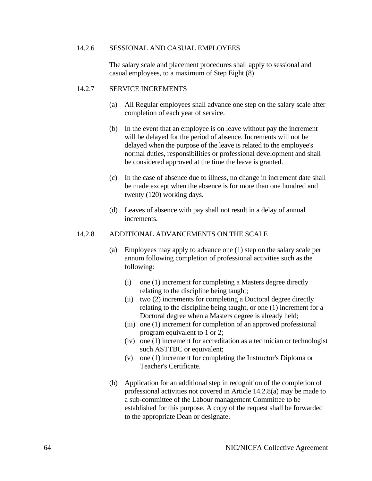#### 14.2.6 SESSIONAL AND CASUAL EMPLOYEES

The salary scale and placement procedures shall apply to sessional and casual employees, to a maximum of Step Eight (8).

#### 14.2.7 SERVICE INCREMENTS

- (a) All Regular employees shall advance one step on the salary scale after completion of each year of service.
- (b) In the event that an employee is on leave without pay the increment will be delayed for the period of absence. Increments will not be delayed when the purpose of the leave is related to the employee's normal duties, responsibilities or professional development and shall be considered approved at the time the leave is granted.
- (c) In the case of absence due to illness, no change in increment date shall be made except when the absence is for more than one hundred and twenty (120) working days.
- (d) Leaves of absence with pay shall not result in a delay of annual increments.

#### 14.2.8 ADDITIONAL ADVANCEMENTS ON THE SCALE

- (a) Employees may apply to advance one (1) step on the salary scale per annum following completion of professional activities such as the following:
	- (i) one (1) increment for completing a Masters degree directly relating to the discipline being taught;
	- (ii) two (2) increments for completing a Doctoral degree directly relating to the discipline being taught, or one (1) increment for a Doctoral degree when a Masters degree is already held;
	- (iii) one (1) increment for completion of an approved professional program equivalent to 1 or 2;
	- (iv) one (1) increment for accreditation as a technician or technologist such ASTTBC or equivalent;
	- (v) one (1) increment for completing the Instructor's Diploma or Teacher's Certificate.
- (b) Application for an additional step in recognition of the completion of professional activities not covered in Article 14.2.8(a) may be made to a sub-committee of the Labour management Committee to be established for this purpose. A copy of the request shall be forwarded to the appropriate Dean or designate.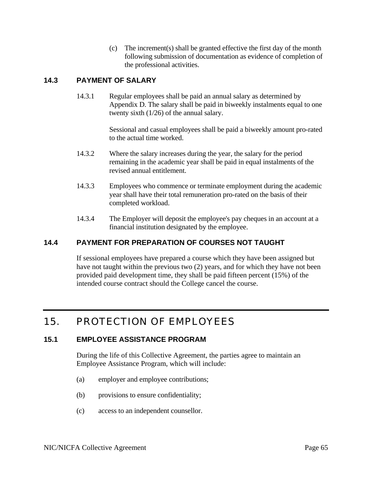(c) The increment(s) shall be granted effective the first day of the month following submission of documentation as evidence of completion of the professional activities.

# **14.3 PAYMENT OF SALARY**

14.3.1 Regular employees shall be paid an annual salary as determined by Appendix D. The salary shall be paid in biweekly instalments equal to one twenty sixth (1/26) of the annual salary.

> Sessional and casual employees shall be paid a biweekly amount pro-rated to the actual time worked.

- 14.3.2 Where the salary increases during the year, the salary for the period remaining in the academic year shall be paid in equal instalments of the revised annual entitlement.
- 14.3.3 Employees who commence or terminate employment during the academic year shall have their total remuneration pro-rated on the basis of their completed workload.
- 14.3.4 The Employer will deposit the employee's pay cheques in an account at a financial institution designated by the employee.

# **14.4 PAYMENT FOR PREPARATION OF COURSES NOT TAUGHT**

If sessional employees have prepared a course which they have been assigned but have not taught within the previous two (2) years, and for which they have not been provided paid development time, they shall be paid fifteen percent (15%) of the intended course contract should the College cancel the course.

# 15. PROTECTION OF EMPLOYEES

# **15.1 EMPLOYEE ASSISTANCE PROGRAM**

During the life of this Collective Agreement, the parties agree to maintain an Employee Assistance Program, which will include:

- (a) employer and employee contributions;
- (b) provisions to ensure confidentiality;
- (c) access to an independent counsellor.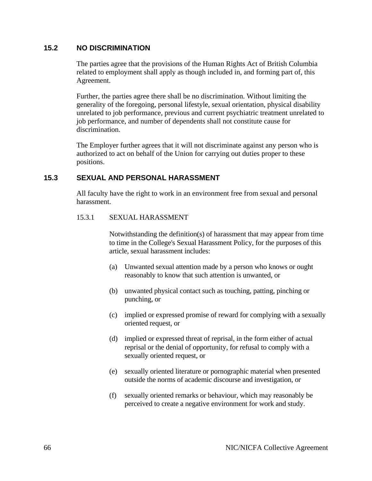# **15.2 NO DISCRIMINATION**

The parties agree that the provisions of the Human Rights Act of British Columbia related to employment shall apply as though included in, and forming part of, this Agreement.

Further, the parties agree there shall be no discrimination. Without limiting the generality of the foregoing, personal lifestyle, sexual orientation, physical disability unrelated to job performance, previous and current psychiatric treatment unrelated to job performance, and number of dependents shall not constitute cause for discrimination.

The Employer further agrees that it will not discriminate against any person who is authorized to act on behalf of the Union for carrying out duties proper to these positions.

### **15.3 SEXUAL AND PERSONAL HARASSMENT**

All faculty have the right to work in an environment free from sexual and personal harassment.

#### 15.3.1 SEXUAL HARASSMENT

Notwithstanding the definition(s) of harassment that may appear from time to time in the College's Sexual Harassment Policy, for the purposes of this article, sexual harassment includes:

- (a) Unwanted sexual attention made by a person who knows or ought reasonably to know that such attention is unwanted, or
- (b) unwanted physical contact such as touching, patting, pinching or punching, or
- (c) implied or expressed promise of reward for complying with a sexually oriented request, or
- (d) implied or expressed threat of reprisal, in the form either of actual reprisal or the denial of opportunity, for refusal to comply with a sexually oriented request, or
- (e) sexually oriented literature or pornographic material when presented outside the norms of academic discourse and investigation, or
- (f) sexually oriented remarks or behaviour, which may reasonably be perceived to create a negative environment for work and study.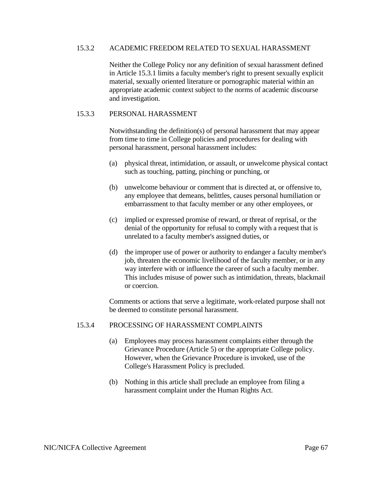#### 15.3.2 ACADEMIC FREEDOM RELATED TO SEXUAL HARASSMENT

Neither the College Policy nor any definition of sexual harassment defined in Article 15.3.1 limits a faculty member's right to present sexually explicit material, sexually oriented literature or pornographic material within an appropriate academic context subject to the norms of academic discourse and investigation.

#### 15.3.3 PERSONAL HARASSMENT

Notwithstanding the definition(s) of personal harassment that may appear from time to time in College policies and procedures for dealing with personal harassment, personal harassment includes:

- (a) physical threat, intimidation, or assault, or unwelcome physical contact such as touching, patting, pinching or punching, or
- (b) unwelcome behaviour or comment that is directed at, or offensive to, any employee that demeans, belittles, causes personal humiliation or embarrassment to that faculty member or any other employees, or
- (c) implied or expressed promise of reward, or threat of reprisal, or the denial of the opportunity for refusal to comply with a request that is unrelated to a faculty member's assigned duties, or
- (d) the improper use of power or authority to endanger a faculty member's job, threaten the economic livelihood of the faculty member, or in any way interfere with or influence the career of such a faculty member. This includes misuse of power such as intimidation, threats, blackmail or coercion.

 Comments or actions that serve a legitimate, work-related purpose shall not be deemed to constitute personal harassment.

#### 15.3.4 PROCESSING OF HARASSMENT COMPLAINTS

- (a) Employees may process harassment complaints either through the Grievance Procedure (Article 5) or the appropriate College policy. However, when the Grievance Procedure is invoked, use of the College's Harassment Policy is precluded.
- (b) Nothing in this article shall preclude an employee from filing a harassment complaint under the Human Rights Act.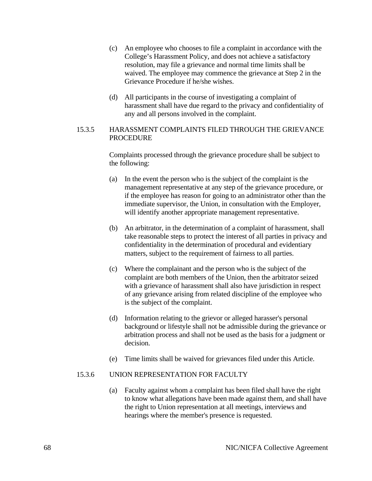- (c) An employee who chooses to file a complaint in accordance with the College's Harassment Policy, and does not achieve a satisfactory resolution, may file a grievance and normal time limits shall be waived. The employee may commence the grievance at Step 2 in the Grievance Procedure if he/she wishes.
- (d) All participants in the course of investigating a complaint of harassment shall have due regard to the privacy and confidentiality of any and all persons involved in the complaint.

#### 15.3.5 HARASSMENT COMPLAINTS FILED THROUGH THE GRIEVANCE PROCEDURE

Complaints processed through the grievance procedure shall be subject to the following:

- (a) In the event the person who is the subject of the complaint is the management representative at any step of the grievance procedure, or if the employee has reason for going to an administrator other than the immediate supervisor, the Union, in consultation with the Employer, will identify another appropriate management representative.
- (b) An arbitrator, in the determination of a complaint of harassment, shall take reasonable steps to protect the interest of all parties in privacy and confidentiality in the determination of procedural and evidentiary matters, subject to the requirement of fairness to all parties.
- (c) Where the complainant and the person who is the subject of the complaint are both members of the Union, then the arbitrator seized with a grievance of harassment shall also have jurisdiction in respect of any grievance arising from related discipline of the employee who is the subject of the complaint.
- (d) Information relating to the grievor or alleged harasser's personal background or lifestyle shall not be admissible during the grievance or arbitration process and shall not be used as the basis for a judgment or decision.
- (e) Time limits shall be waived for grievances filed under this Article.

# 15.3.6 UNION REPRESENTATION FOR FACULTY

(a) Faculty against whom a complaint has been filed shall have the right to know what allegations have been made against them, and shall have the right to Union representation at all meetings, interviews and hearings where the member's presence is requested.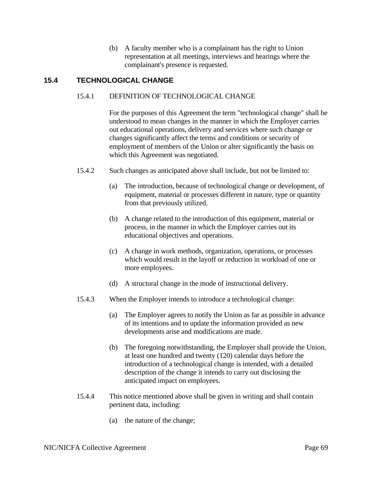(b) A faculty member who is a complainant has the right to Union representation at all meetings, interviews and hearings where the complainant's presence is requested.

# **15.4 TECHNOLOGICAL CHANGE**

### 15.4.1 DEFINITION OF TECHNOLOGICAL CHANGE

For the purposes of this Agreement the term "technological change" shall be understood to mean changes in the manner in which the Employer carries out educational operations, delivery and services where such change or changes significantly affect the terms and conditions or security of employment of members of the Union or alter significantly the basis on which this Agreement was negotiated.

- 15.4.2 Such changes as anticipated above shall include, but not be limited to:
	- (a) The introduction, because of technological change or development, of equipment, material or processes different in nature, type or quantity from that previously utilized.
	- (b) A change related to the introduction of this equipment, material or process, in the manner in which the Employer carries out its educational objectives and operations.
	- (c) A change in work methods, organization, operations, or processes which would result in the layoff or reduction in workload of one or more employees.
	- (d) A structural change in the mode of instructional delivery.
- 15.4.3 When the Employer intends to introduce a technological change:
	- (a) The Employer agrees to notify the Union as far as possible in advance of its intentions and to update the information provided as new developments arise and modifications are made.
	- (b) The foregoing notwithstanding, the Employer shall provide the Union, at least one hundred and twenty (120) calendar days before the introduction of a technological change is intended, with a detailed description of the change it intends to carry out disclosing the anticipated impact on employees.
- 15.4.4 This notice mentioned above shall be given in writing and shall contain pertinent data, including:
	- (a) the nature of the change;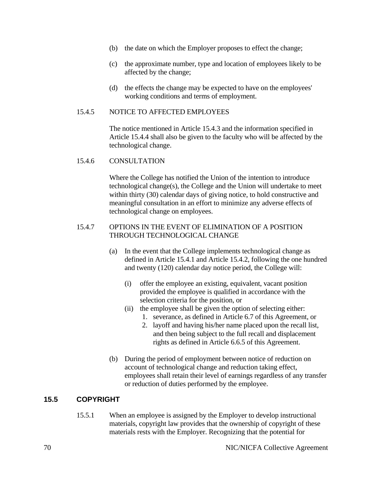- (b) the date on which the Employer proposes to effect the change;
- (c) the approximate number, type and location of employees likely to be affected by the change;
- (d) the effects the change may be expected to have on the employees' working conditions and terms of employment.

#### 15.4.5 NOTICE TO AFFECTED EMPLOYEES

The notice mentioned in Article 15.4.3 and the information specified in Article 15.4.4 shall also be given to the faculty who will be affected by the technological change.

#### 15.4.6 CONSULTATION

Where the College has notified the Union of the intention to introduce technological change(s), the College and the Union will undertake to meet within thirty (30) calendar days of giving notice, to hold constructive and meaningful consultation in an effort to minimize any adverse effects of technological change on employees.

#### 15.4.7 OPTIONS IN THE EVENT OF ELIMINATION OF A POSITION THROUGH TECHNOLOGICAL CHANGE

- (a) In the event that the College implements technological change as defined in Article 15.4.1 and Article 15.4.2, following the one hundred and twenty (120) calendar day notice period, the College will:
	- (i) offer the employee an existing, equivalent, vacant position provided the employee is qualified in accordance with the selection criteria for the position, or
	- (ii) the employee shall be given the option of selecting either:
		- 1. severance, as defined in Article 6.7 of this Agreement, or
		- 2. layoff and having his/her name placed upon the recall list, and then being subject to the full recall and displacement rights as defined in Article 6.6.5 of this Agreement.
- (b) During the period of employment between notice of reduction on account of technological change and reduction taking effect, employees shall retain their level of earnings regardless of any transfer or reduction of duties performed by the employee.

### **15.5 COPYRIGHT**

15.5.1 When an employee is assigned by the Employer to develop instructional materials, copyright law provides that the ownership of copyright of these materials rests with the Employer. Recognizing that the potential for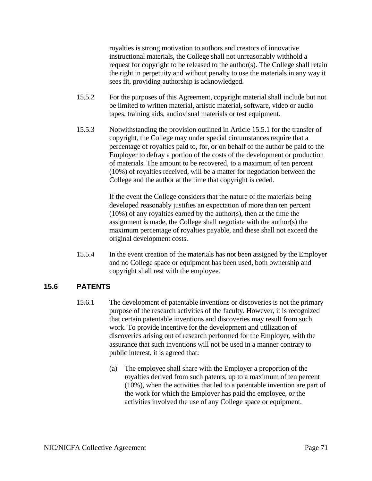royalties is strong motivation to authors and creators of innovative instructional materials, the College shall not unreasonably withhold a request for copyright to be released to the author(s). The College shall retain the right in perpetuity and without penalty to use the materials in any way it sees fit, providing authorship is acknowledged.

- 15.5.2 For the purposes of this Agreement, copyright material shall include but not be limited to written material, artistic material, software, video or audio tapes, training aids, audiovisual materials or test equipment.
- 15.5.3 Notwithstanding the provision outlined in Article 15.5.1 for the transfer of copyright, the College may under special circumstances require that a percentage of royalties paid to, for, or on behalf of the author be paid to the Employer to defray a portion of the costs of the development or production of materials. The amount to be recovered, to a maximum of ten percent (10%) of royalties received, will be a matter for negotiation between the College and the author at the time that copyright is ceded.

If the event the College considers that the nature of the materials being developed reasonably justifies an expectation of more than ten percent (10%) of any royalties earned by the author(s), then at the time the assignment is made, the College shall negotiate with the author(s) the maximum percentage of royalties payable, and these shall not exceed the original development costs.

15.5.4 In the event creation of the materials has not been assigned by the Employer and no College space or equipment has been used, both ownership and copyright shall rest with the employee.

### **15.6 PATENTS**

- 15.6.1 The development of patentable inventions or discoveries is not the primary purpose of the research activities of the faculty. However, it is recognized that certain patentable inventions and discoveries may result from such work. To provide incentive for the development and utilization of discoveries arising out of research performed for the Employer, with the assurance that such inventions will not be used in a manner contrary to public interest, it is agreed that:
	- (a) The employee shall share with the Employer a proportion of the royalties derived from such patents, up to a maximum of ten percent (10%), when the activities that led to a patentable invention are part of the work for which the Employer has paid the employee, or the activities involved the use of any College space or equipment.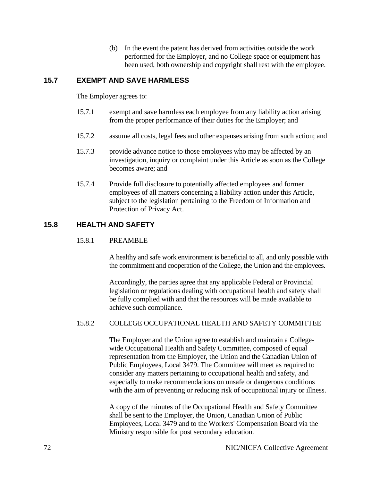(b) In the event the patent has derived from activities outside the work performed for the Employer, and no College space or equipment has been used, both ownership and copyright shall rest with the employee.

# **15.7 EXEMPT AND SAVE HARMLESS**

The Employer agrees to:

- 15.7.1 exempt and save harmless each employee from any liability action arising from the proper performance of their duties for the Employer; and
- 15.7.2 assume all costs, legal fees and other expenses arising from such action; and
- 15.7.3 provide advance notice to those employees who may be affected by an investigation, inquiry or complaint under this Article as soon as the College becomes aware; and
- 15.7.4 Provide full disclosure to potentially affected employees and former employees of all matters concerning a liability action under this Article, subject to the legislation pertaining to the Freedom of Information and Protection of Privacy Act.

# **15.8 HEALTH AND SAFETY**

#### 15.8.1 PREAMBLE

A healthy and safe work environment is beneficial to all, and only possible with the commitment and cooperation of the College, the Union and the employees.

Accordingly, the parties agree that any applicable Federal or Provincial legislation or regulations dealing with occupational health and safety shall be fully complied with and that the resources will be made available to achieve such compliance.

#### 15.8.2 COLLEGE OCCUPATIONAL HEALTH AND SAFETY COMMITTEE

The Employer and the Union agree to establish and maintain a Collegewide Occupational Health and Safety Committee, composed of equal representation from the Employer, the Union and the Canadian Union of Public Employees, Local 3479. The Committee will meet as required to consider any matters pertaining to occupational health and safety, and especially to make recommendations on unsafe or dangerous conditions with the aim of preventing or reducing risk of occupational injury or illness.

A copy of the minutes of the Occupational Health and Safety Committee shall be sent to the Employer, the Union, Canadian Union of Public Employees, Local 3479 and to the Workers' Compensation Board via the Ministry responsible for post secondary education.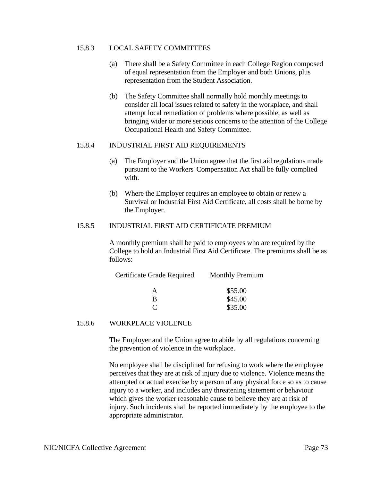#### 15.8.3 LOCAL SAFETY COMMITTEES

- (a) There shall be a Safety Committee in each College Region composed of equal representation from the Employer and both Unions, plus representation from the Student Association.
- (b) The Safety Committee shall normally hold monthly meetings to consider all local issues related to safety in the workplace, and shall attempt local remediation of problems where possible, as well as bringing wider or more serious concerns to the attention of the College Occupational Health and Safety Committee.

#### 15.8.4 INDUSTRIAL FIRST AID REQUIREMENTS

- (a) The Employer and the Union agree that the first aid regulations made pursuant to the Workers' Compensation Act shall be fully complied with.
- (b) Where the Employer requires an employee to obtain or renew a Survival or Industrial First Aid Certificate, all costs shall be borne by the Employer.

#### 15.8.5 INDUSTRIAL FIRST AID CERTIFICATE PREMIUM

A monthly premium shall be paid to employees who are required by the College to hold an Industrial First Aid Certificate. The premiums shall be as follows:

| Certificate Grade Required | <b>Monthly Premium</b> |
|----------------------------|------------------------|
|                            | \$55.00                |
| R                          | \$45.00                |
|                            | \$35.00                |

#### 15.8.6 WORKPLACE VIOLENCE

The Employer and the Union agree to abide by all regulations concerning the prevention of violence in the workplace.

No employee shall be disciplined for refusing to work where the employee perceives that they are at risk of injury due to violence. Violence means the attempted or actual exercise by a person of any physical force so as to cause injury to a worker, and includes any threatening statement or behaviour which gives the worker reasonable cause to believe they are at risk of injury. Such incidents shall be reported immediately by the employee to the appropriate administrator.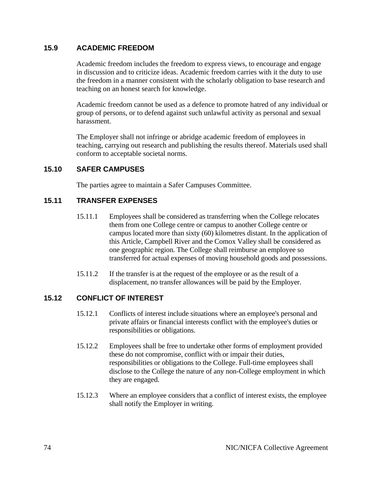# **15.9 ACADEMIC FREEDOM**

Academic freedom includes the freedom to express views, to encourage and engage in discussion and to criticize ideas. Academic freedom carries with it the duty to use the freedom in a manner consistent with the scholarly obligation to base research and teaching on an honest search for knowledge.

Academic freedom cannot be used as a defence to promote hatred of any individual or group of persons, or to defend against such unlawful activity as personal and sexual harassment.

The Employer shall not infringe or abridge academic freedom of employees in teaching, carrying out research and publishing the results thereof. Materials used shall conform to acceptable societal norms.

# **15.10 SAFER CAMPUSES**

The parties agree to maintain a Safer Campuses Committee.

# **15.11 TRANSFER EXPENSES**

- 15.11.1 Employees shall be considered as transferring when the College relocates them from one College centre or campus to another College centre or campus located more than sixty (60) kilometres distant. In the application of this Article, Campbell River and the Comox Valley shall be considered as one geographic region. The College shall reimburse an employee so transferred for actual expenses of moving household goods and possessions.
- 15.11.2 If the transfer is at the request of the employee or as the result of a displacement, no transfer allowances will be paid by the Employer.

# **15.12 CONFLICT OF INTEREST**

- 15.12.1 Conflicts of interest include situations where an employee's personal and private affairs or financial interests conflict with the employee's duties or responsibilities or obligations.
- 15.12.2 Employees shall be free to undertake other forms of employment provided these do not compromise, conflict with or impair their duties, responsibilities or obligations to the College. Full-time employees shall disclose to the College the nature of any non-College employment in which they are engaged.
- 15.12.3 Where an employee considers that a conflict of interest exists, the employee shall notify the Employer in writing.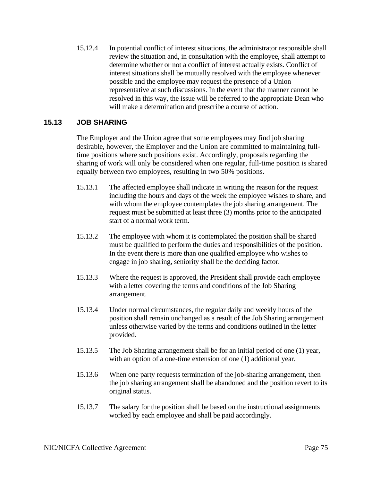15.12.4 In potential conflict of interest situations, the administrator responsible shall review the situation and, in consultation with the employee, shall attempt to determine whether or not a conflict of interest actually exists. Conflict of interest situations shall be mutually resolved with the employee whenever possible and the employee may request the presence of a Union representative at such discussions. In the event that the manner cannot be resolved in this way, the issue will be referred to the appropriate Dean who will make a determination and prescribe a course of action.

# **15.13 JOB SHARING**

The Employer and the Union agree that some employees may find job sharing desirable, however, the Employer and the Union are committed to maintaining fulltime positions where such positions exist. Accordingly, proposals regarding the sharing of work will only be considered when one regular, full-time position is shared equally between two employees, resulting in two 50% positions.

- 15.13.1 The affected employee shall indicate in writing the reason for the request including the hours and days of the week the employee wishes to share, and with whom the employee contemplates the job sharing arrangement. The request must be submitted at least three (3) months prior to the anticipated start of a normal work term.
- 15.13.2 The employee with whom it is contemplated the position shall be shared must be qualified to perform the duties and responsibilities of the position. In the event there is more than one qualified employee who wishes to engage in job sharing, seniority shall be the deciding factor.
- 15.13.3 Where the request is approved, the President shall provide each employee with a letter covering the terms and conditions of the Job Sharing arrangement.
- 15.13.4 Under normal circumstances, the regular daily and weekly hours of the position shall remain unchanged as a result of the Job Sharing arrangement unless otherwise varied by the terms and conditions outlined in the letter provided.
- 15.13.5 The Job Sharing arrangement shall be for an initial period of one (1) year, with an option of a one-time extension of one (1) additional year.
- 15.13.6 When one party requests termination of the job-sharing arrangement, then the job sharing arrangement shall be abandoned and the position revert to its original status.
- 15.13.7 The salary for the position shall be based on the instructional assignments worked by each employee and shall be paid accordingly.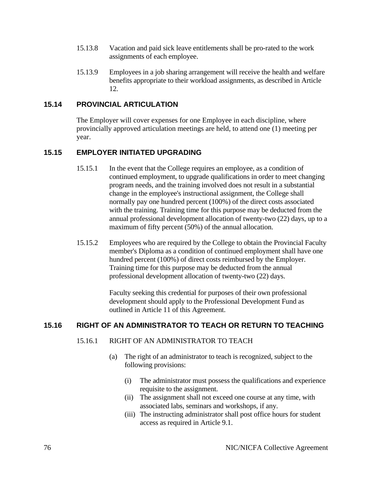- 15.13.8 Vacation and paid sick leave entitlements shall be pro-rated to the work assignments of each employee.
- 15.13.9 Employees in a job sharing arrangement will receive the health and welfare benefits appropriate to their workload assignments, as described in Article 12.

# **15.14 PROVINCIAL ARTICULATION**

The Employer will cover expenses for one Employee in each discipline, where provincially approved articulation meetings are held, to attend one (1) meeting per year.

# **15.15 EMPLOYER INITIATED UPGRADING**

- 15.15.1 In the event that the College requires an employee, as a condition of continued employment, to upgrade qualifications in order to meet changing program needs, and the training involved does not result in a substantial change in the employee's instructional assignment, the College shall normally pay one hundred percent (100%) of the direct costs associated with the training. Training time for this purpose may be deducted from the annual professional development allocation of twenty-two (22) days, up to a maximum of fifty percent (50%) of the annual allocation.
- 15.15.2 Employees who are required by the College to obtain the Provincial Faculty member's Diploma as a condition of continued employment shall have one hundred percent (100%) of direct costs reimbursed by the Employer. Training time for this purpose may be deducted from the annual professional development allocation of twenty-two (22) days.

Faculty seeking this credential for purposes of their own professional development should apply to the Professional Development Fund as outlined in Article 11 of this Agreement.

# **15.16 RIGHT OF AN ADMINISTRATOR TO TEACH OR RETURN TO TEACHING**

### 15.16.1 RIGHT OF AN ADMINISTRATOR TO TEACH

- (a) The right of an administrator to teach is recognized, subject to the following provisions:
	- (i) The administrator must possess the qualifications and experience requisite to the assignment.
	- (ii) The assignment shall not exceed one course at any time, with associated labs, seminars and workshops, if any.
	- (iii) The instructing administrator shall post office hours for student access as required in Article 9.1.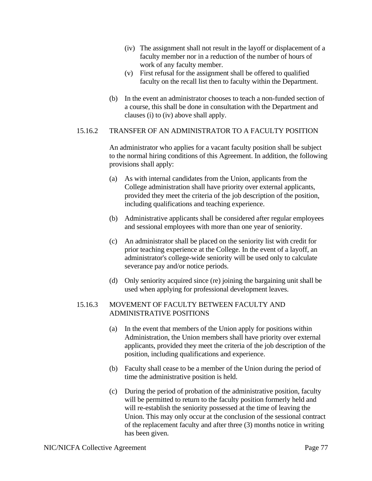- (iv) The assignment shall not result in the layoff or displacement of a faculty member nor in a reduction of the number of hours of work of any faculty member.
- (v) First refusal for the assignment shall be offered to qualified faculty on the recall list then to faculty within the Department.
- (b) In the event an administrator chooses to teach a non-funded section of a course, this shall be done in consultation with the Department and clauses (i) to (iv) above shall apply.

#### 15.16.2 TRANSFER OF AN ADMINISTRATOR TO A FACULTY POSITION

An administrator who applies for a vacant faculty position shall be subject to the normal hiring conditions of this Agreement. In addition, the following provisions shall apply:

- (a) As with internal candidates from the Union, applicants from the College administration shall have priority over external applicants, provided they meet the criteria of the job description of the position, including qualifications and teaching experience.
- (b) Administrative applicants shall be considered after regular employees and sessional employees with more than one year of seniority.
- (c) An administrator shall be placed on the seniority list with credit for prior teaching experience at the College. In the event of a layoff, an administrator's college-wide seniority will be used only to calculate severance pay and/or notice periods.
- (d) Only seniority acquired since (re) joining the bargaining unit shall be used when applying for professional development leaves.

#### 15.16.3 MOVEMENT OF FACULTY BETWEEN FACULTY AND ADMINISTRATIVE POSITIONS

- (a) In the event that members of the Union apply for positions within Administration, the Union members shall have priority over external applicants, provided they meet the criteria of the job description of the position, including qualifications and experience.
- (b) Faculty shall cease to be a member of the Union during the period of time the administrative position is held.
- (c) During the period of probation of the administrative position, faculty will be permitted to return to the faculty position formerly held and will re-establish the seniority possessed at the time of leaving the Union. This may only occur at the conclusion of the sessional contract of the replacement faculty and after three (3) months notice in writing has been given.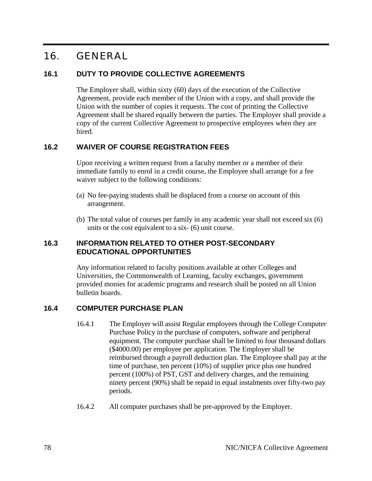# 16. GENERAL

# **16.1 DUTY TO PROVIDE COLLECTIVE AGREEMENTS**

The Employer shall, within sixty (60) days of the execution of the Collective Agreement, provide each member of the Union with a copy, and shall provide the Union with the number of copies it requests. The cost of printing the Collective Agreement shall be shared equally between the parties. The Employer shall provide a copy of the current Collective Agreement to prospective employees when they are hired.

# **16.2 WAIVER OF COURSE REGISTRATION FEES**

Upon receiving a written request from a faculty member or a member of their immediate family to enrol in a credit course, the Employee shall arrange for a fee waiver subject to the following conditions:

- (a) No fee-paying students shall be displaced from a course on account of this arrangement.
- (b) The total value of courses per family in any academic year shall not exceed six (6) units or the cost equivalent to a six- (6) unit course.

# **16.3 INFORMATION RELATED TO OTHER POST-SECONDARY EDUCATIONAL OPPORTUNITIES**

Any information related to faculty positions available at other Colleges and Universities, the Commonwealth of Learning, faculty exchanges, government provided monies for academic programs and research shall be posted on all Union bulletin boards.

# **16.4 COMPUTER PURCHASE PLAN**

- 16.4.1 The Employer will assist Regular employees through the College Computer Purchase Policy in the purchase of computers, software and peripheral equipment. The computer purchase shall be limited to four thousand dollars (\$4000.00) per employee per application. The Employer shall be reimbursed through a payroll deduction plan. The Employee shall pay at the time of purchase, ten percent (10%) of supplier price plus one hundred percent (100%) of PST, GST and delivery charges, and the remaining ninety percent (90%) shall be repaid in equal instalments over fifty-two pay periods.
- 16.4.2 All computer purchases shall be pre-approved by the Employer.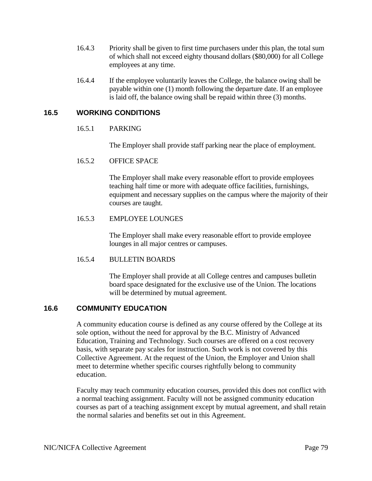- 16.4.3 Priority shall be given to first time purchasers under this plan, the total sum of which shall not exceed eighty thousand dollars (\$80,000) for all College employees at any time.
- 16.4.4 If the employee voluntarily leaves the College, the balance owing shall be payable within one (1) month following the departure date. If an employee is laid off, the balance owing shall be repaid within three (3) months.

# **16.5 WORKING CONDITIONS**

#### 16.5.1 PARKING

The Employer shall provide staff parking near the place of employment.

#### 16.5.2 OFFICE SPACE

The Employer shall make every reasonable effort to provide employees teaching half time or more with adequate office facilities, furnishings, equipment and necessary supplies on the campus where the majority of their courses are taught.

#### 16.5.3 EMPLOYEE LOUNGES

The Employer shall make every reasonable effort to provide employee lounges in all major centres or campuses.

#### 16.5.4 BULLETIN BOARDS

The Employer shall provide at all College centres and campuses bulletin board space designated for the exclusive use of the Union. The locations will be determined by mutual agreement.

### **16.6 COMMUNITY EDUCATION**

A community education course is defined as any course offered by the College at its sole option, without the need for approval by the B.C. Ministry of Advanced Education, Training and Technology. Such courses are offered on a cost recovery basis, with separate pay scales for instruction. Such work is not covered by this Collective Agreement. At the request of the Union, the Employer and Union shall meet to determine whether specific courses rightfully belong to community education.

Faculty may teach community education courses, provided this does not conflict with a normal teaching assignment. Faculty will not be assigned community education courses as part of a teaching assignment except by mutual agreement, and shall retain the normal salaries and benefits set out in this Agreement.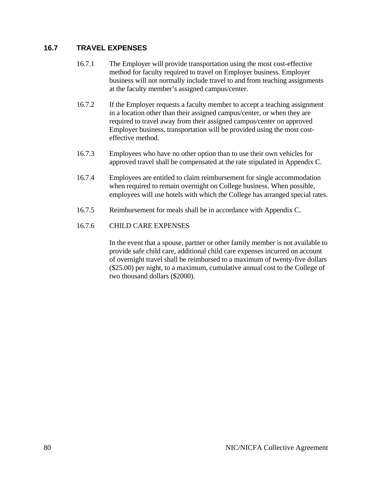# **16.7 TRAVEL EXPENSES**

- 16.7.1 The Employer will provide transportation using the most cost-effective method for faculty required to travel on Employer business. Employer business will not normally include travel to and from teaching assignments at the faculty member's assigned campus/center.
- 16.7.2 If the Employer requests a faculty member to accept a teaching assignment in a location other than their assigned campus/center, or when they are required to travel away from their assigned campus/center on approved Employer business, transportation will be provided using the most costeffective method.
- 16.7.3 Employees who have no other option than to use their own vehicles for approved travel shall be compensated at the rate stipulated in Appendix C.
- 16.7.4 Employees are entitled to claim reimbursement for single accommodation when required to remain overnight on College business. When possible, employees will use hotels with which the College has arranged special rates.
- 16.7.5 Reimbursement for meals shall be in accordance with Appendix C.

#### 16.7.6 CHILD CARE EXPENSES

In the event that a spouse, partner or other family member is not available to provide safe child care, additional child care expenses incurred on account of overnight travel shall be reimbursed to a maximum of twenty-five dollars (\$25.00) per night, to a maximum, cumulative annual cost to the College of two thousand dollars (\$2000).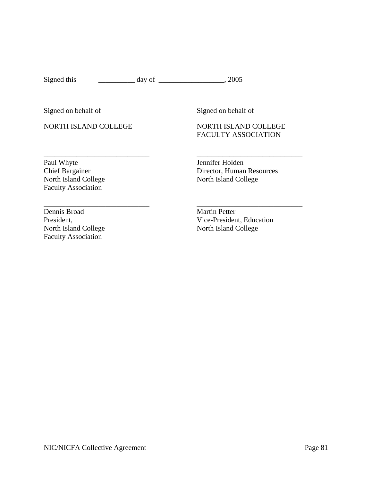Signed this \_\_\_\_\_\_\_\_\_\_\_\_\_ day of \_\_\_\_\_\_\_\_\_\_\_\_\_\_\_\_\_\_, 2005

\_\_\_\_\_\_\_\_\_\_\_\_\_\_\_\_\_\_\_\_\_\_\_\_\_\_\_\_\_ \_\_\_\_\_\_\_\_\_\_\_\_\_\_\_\_\_\_\_\_\_\_\_\_\_\_\_\_\_

Signed on behalf of Signed on behalf of

NORTH ISLAND COLLEGE NORTH ISLAND COLLEGE

# FACULTY ASSOCIATION

Paul Whyte Jennifer Holden<br>Chief Bargainer Director, Human Faculty Association

\_\_\_\_\_\_\_\_\_\_\_\_\_\_\_\_\_\_\_\_\_\_\_\_\_\_\_\_\_ \_\_\_\_\_\_\_\_\_\_\_\_\_\_\_\_\_\_\_\_\_\_\_\_\_\_\_\_\_ Chief Bargainer Director, Human Resources<br>North Island College North Island College North Island College

Dennis Broad Martin Petter North Island College North Island College Faculty Association

President,  $Vice-President$ , Education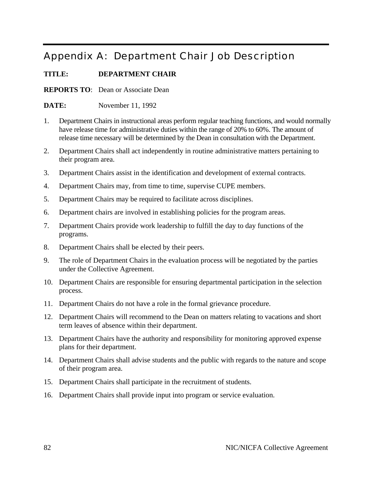# Appendix A: Department Chair Job Description

# **TITLE: DEPARTMENT CHAIR**

**REPORTS TO**: Dean or Associate Dean

**DATE:** November 11, 1992

- 1. Department Chairs in instructional areas perform regular teaching functions, and would normally have release time for administrative duties within the range of 20% to 60%. The amount of release time necessary will be determined by the Dean in consultation with the Department.
- 2. Department Chairs shall act independently in routine administrative matters pertaining to their program area.
- 3. Department Chairs assist in the identification and development of external contracts.
- 4. Department Chairs may, from time to time, supervise CUPE members.
- 5. Department Chairs may be required to facilitate across disciplines.
- 6. Department chairs are involved in establishing policies for the program areas.
- 7. Department Chairs provide work leadership to fulfill the day to day functions of the programs.
- 8. Department Chairs shall be elected by their peers.
- 9. The role of Department Chairs in the evaluation process will be negotiated by the parties under the Collective Agreement.
- 10. Department Chairs are responsible for ensuring departmental participation in the selection process.
- 11. Department Chairs do not have a role in the formal grievance procedure.
- 12. Department Chairs will recommend to the Dean on matters relating to vacations and short term leaves of absence within their department.
- 13. Department Chairs have the authority and responsibility for monitoring approved expense plans for their department.
- 14. Department Chairs shall advise students and the public with regards to the nature and scope of their program area.
- 15. Department Chairs shall participate in the recruitment of students.
- 16. Department Chairs shall provide input into program or service evaluation.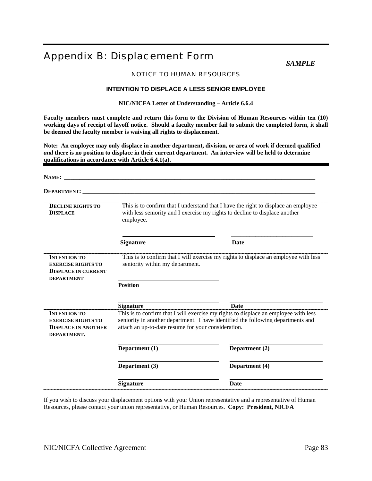# Appendix B: Displacement Form

*SAMPLE* 

#### NOTICE TO HUMAN RESOURCES

#### **INTENTION TO DISPLACE A LESS SENIOR EMPLOYEE**

**NIC/NICFA Letter of Understanding – Article 6.6.4** 

**Faculty members must complete and return this form to the Division of Human Resources within ten (10) working days of receipt of layoff notice. Should a faculty member fail to submit the completed form, it shall be deemed the faculty member is waiving all rights to displacement.** 

**Note: An employee may only displace in another department, division, or area of work if deemed qualified**  *and* **there is no position to displace in their current department. An interview will be held to determine qualifications in accordance with Article 6.4.1(a).** 

| NAME:                                                                                               |                                                     |                                                                                                                                                                         |
|-----------------------------------------------------------------------------------------------------|-----------------------------------------------------|-------------------------------------------------------------------------------------------------------------------------------------------------------------------------|
| <b>DEPARTMENT:</b>                                                                                  |                                                     |                                                                                                                                                                         |
| <b>DECLINE RIGHTS TO</b><br><b>DISPLACE</b>                                                         | employee.                                           | This is to confirm that I understand that I have the right to displace an employee<br>with less seniority and I exercise my rights to decline to displace another       |
|                                                                                                     | <b>Signature</b>                                    | <b>Date</b>                                                                                                                                                             |
| <b>INTENTION TO</b><br><b>EXERCISE RIGHTS TO</b><br><b>DISPLACE IN CURRENT</b><br><b>DEPARTMENT</b> | seniority within my department.                     | This is to confirm that I will exercise my rights to displace an employee with less                                                                                     |
|                                                                                                     | <b>Position</b>                                     |                                                                                                                                                                         |
|                                                                                                     | <b>Signature</b>                                    | <b>Date</b>                                                                                                                                                             |
| <b>INTENTION TO</b><br><b>EXERCISE RIGHTS TO</b><br><b>DISPLACE IN ANOTHER</b><br>DEPARTMENT.       | attach an up-to-date resume for your consideration. | This is to confirm that I will exercise my rights to displace an employee with less<br>seniority in another department. I have identified the following departments and |
|                                                                                                     | Department (1)                                      | Department (2)                                                                                                                                                          |
|                                                                                                     | Department (3)                                      | Department (4)                                                                                                                                                          |
|                                                                                                     | <b>Signature</b>                                    | <b>Date</b>                                                                                                                                                             |

If you wish to discuss your displacement options with your Union representative and a representative of Human Resources, please contact your union representative, or Human Resources. **Copy: President, NICFA**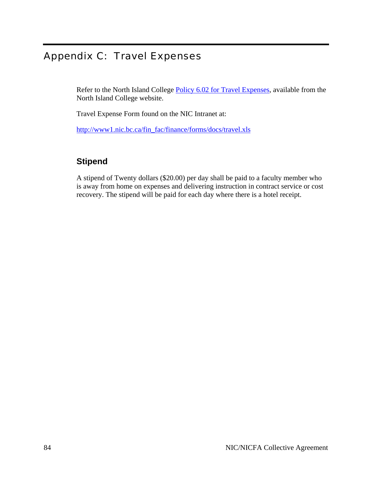# Appendix C: Travel Expenses

Refer to the North Island College [Policy 6.02 for Travel Expenses,](http://www.nic.bc.ca/policies/PDF/Policy_Section6.pdf) available from the North Island College website.

Travel Expense Form found on the NIC Intranet at:

[http://www1.nic.bc.ca/fin\\_fac/finance/forms/docs/travel.xls](http://www1.nic.bc.ca/fin_fac/finance/forms/docs/travel.xls)

# **Stipend**

A stipend of Twenty dollars (\$20.00) per day shall be paid to a faculty member who is away from home on expenses and delivering instruction in contract service or cost recovery. The stipend will be paid for each day where there is a hotel receipt.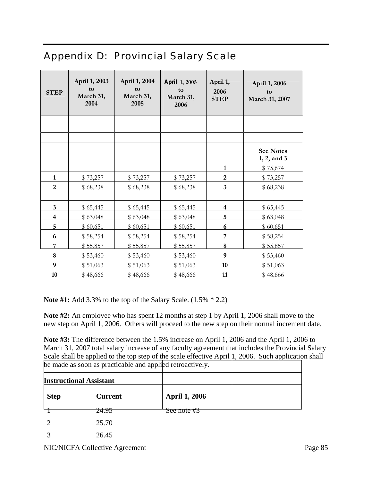# Appendix D: Provincial Salary Scale

| <b>STEP</b>             | April 1, 2003<br>to<br>March 31,<br>2004 | April 1, 2004<br>to<br>March 31,<br>2005 | April 1, 2005<br>to<br>March 31,<br>2006 | April 1,<br>2006<br><b>STEP</b> | April 1, 2006<br>to<br>March 31, 2007 |
|-------------------------|------------------------------------------|------------------------------------------|------------------------------------------|---------------------------------|---------------------------------------|
|                         |                                          |                                          |                                          |                                 |                                       |
|                         |                                          |                                          |                                          |                                 |                                       |
|                         |                                          |                                          |                                          |                                 | <b>See Notes</b>                      |
|                         |                                          |                                          |                                          |                                 | 1, 2, and 3                           |
|                         |                                          |                                          |                                          | $\mathbf{1}$                    | \$75,674                              |
| $\mathbf{1}$            | \$73,257                                 | \$73,257                                 | \$73,257                                 | $\overline{c}$                  | \$73,257                              |
| $\overline{2}$          | \$68,238                                 | \$68,238                                 | \$68,238                                 | 3                               | \$68,238                              |
|                         |                                          |                                          |                                          |                                 |                                       |
| 3                       | \$65,445                                 | \$65,445                                 | \$65,445                                 | 4                               | \$65,445                              |
| $\overline{\mathbf{4}}$ | \$63,048                                 | \$63,048                                 | \$63,048                                 | 5                               | \$63,048                              |
| 5                       | \$60,651                                 | \$60,651                                 | \$60,651                                 | 6                               | \$60,651                              |
| 6                       | \$58,254                                 | \$58,254                                 | \$58,254                                 | 7                               | \$58,254                              |
| 7                       | \$55,857                                 | \$55,857                                 | \$55,857                                 | 8                               | \$55,857                              |
| $\bf 8$                 | \$53,460                                 | \$53,460                                 | \$53,460                                 | $\boldsymbol{9}$                | \$53,460                              |
| 9                       | \$51,063                                 | \$51,063                                 | \$51,063                                 | 10                              | \$51,063                              |
| 10                      | \$48,666                                 | \$48,666                                 | \$48,666                                 | 11                              | \$48,666                              |

**Note #1:** Add 3.3% to the top of the Salary Scale. (1.5% \* 2.2)

**Note #2:** An employee who has spent 12 months at step 1 by April 1, 2006 shall move to the new step on April 1, 2006. Others will proceed to the new step on their normal increment date.

**Note #3:** The difference between the 1.5% increase on April 1, 2006 and the April 1, 2006 to March 31, 2007 total salary increase of any faculty agreement that includes the Provincial Salary Scale shall be applied to the top step of the scale effective April 1, 2006. Such application shall be made as soon as practicable and applied retroactively.

| <b>Instructional Assistant</b> |                |               |  |
|--------------------------------|----------------|---------------|--|
| <b>Step</b>                    | <b>Current</b> | April 1, 2006 |  |
|                                | 24.95          | See note #3   |  |
|                                | 25.70          |               |  |
|                                | 26.45          |               |  |

NIC/NICFA Collective Agreement Page 85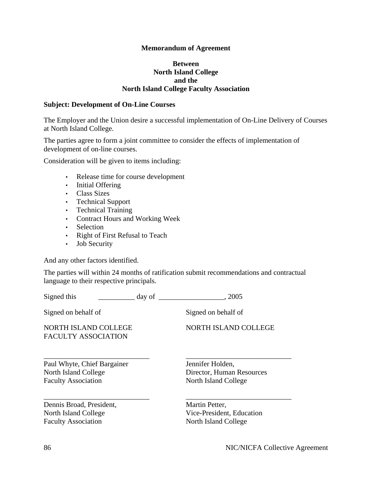#### **Memorandum of Agreement**

#### **Between North Island College and the North Island College Faculty Association**

#### **Subject: Development of On-Line Courses**

The Employer and the Union desire a successful implementation of On-Line Delivery of Courses at North Island College.

The parties agree to form a joint committee to consider the effects of implementation of development of on-line courses.

Consideration will be given to items including:

- Release time for course development
- Initial Offering
- Class Sizes
- Technical Support
- Technical Training
- Contract Hours and Working Week
- Selection
- Right of First Refusal to Teach
- Job Security

And any other factors identified.

The parties will within 24 months of ratification submit recommendations and contractual language to their respective principals.

| Signed this                                                                       | day of | . 2005                                                                |
|-----------------------------------------------------------------------------------|--------|-----------------------------------------------------------------------|
| Signed on behalf of                                                               |        | Signed on behalf of                                                   |
| NORTH ISLAND COLLEGE<br><b>FACULTY ASSOCIATION</b>                                |        | NORTH ISLAND COLLEGE                                                  |
| Paul Whyte, Chief Bargainer<br>North Island College<br><b>Faculty Association</b> |        | Jennifer Holden,<br>Director, Human Resources<br>North Island College |
| Dennis Broad, President,<br>North Island College<br><b>Faculty Association</b>    |        | Martin Petter,<br>Vice-President, Education<br>North Island College   |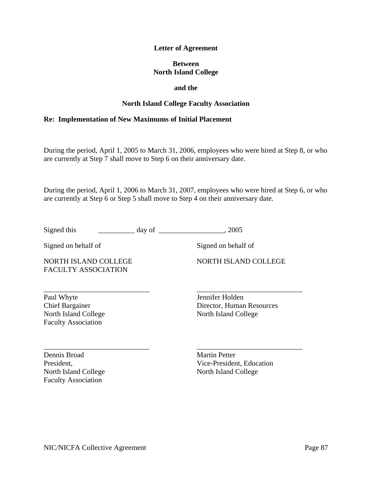#### **Letter of Agreement**

#### **Between North Island College**

#### **and the**

#### **North Island College Faculty Association**

#### **Re: Implementation of New Maximums of Initial Placement**

During the period, April 1, 2005 to March 31, 2006, employees who were hired at Step 8, or who are currently at Step 7 shall move to Step 6 on their anniversary date.

During the period, April 1, 2006 to March 31, 2007, employees who were hired at Step 6, or who are currently at Step 6 or Step 5 shall move to Step 4 on their anniversary date.

\_\_\_\_\_\_\_\_\_\_\_\_\_\_\_\_\_\_\_\_\_\_\_\_\_\_\_\_\_ \_\_\_\_\_\_\_\_\_\_\_\_\_\_\_\_\_\_\_\_\_\_\_\_\_\_\_\_\_

Signed this  $\frac{1}{2}$  day of  $\frac{1}{2}$ , 2005

Signed on behalf of Signed on behalf of

NORTH ISLAND COLLEGE NORTH ISLAND COLLEGE FACULTY ASSOCIATION

Paul Whyte **Jennifer Holden** Chief Bargainer Director, Human Resources North Island College North Island College

Dennis Broad Martin Petter Faculty Association

Faculty Association

\_\_\_\_\_\_\_\_\_\_\_\_\_\_\_\_\_\_\_\_\_\_\_\_\_\_\_\_\_ \_\_\_\_\_\_\_\_\_\_\_\_\_\_\_\_\_\_\_\_\_\_\_\_\_\_\_\_\_ President, Vice-President, Education North Island College North Island College

NIC/NICFA Collective Agreement Page 87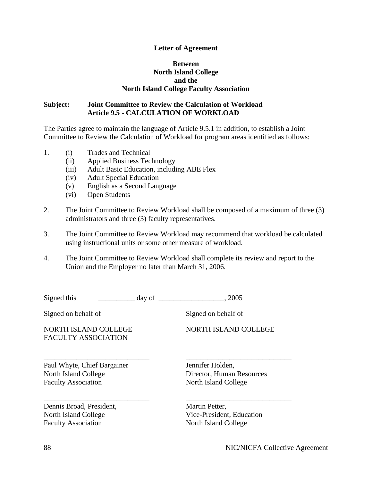#### **Letter of Agreement**

#### **Between North Island College and the North Island College Faculty Association**

#### **Subject: Joint Committee to Review the Calculation of Workload Article 9.5 - CALCULATION OF WORKLOAD**

The Parties agree to maintain the language of Article 9.5.1 in addition, to establish a Joint Committee to Review the Calculation of Workload for program areas identified as follows:

- 1. (i) Trades and Technical
	- (ii) Applied Business Technology
	- (iii) Adult Basic Education, including ABE Flex
	- (iv) Adult Special Education
	- (v) English as a Second Language
	- (vi) Open Students
- 2. The Joint Committee to Review Workload shall be composed of a maximum of three (3) administrators and three (3) faculty representatives.
- 3. The Joint Committee to Review Workload may recommend that workload be calculated using instructional units or some other measure of workload.
- 4. The Joint Committee to Review Workload shall complete its review and report to the Union and the Employer no later than March 31, 2006.

| Signed this                                                                       | day of | . 2005                                                                |
|-----------------------------------------------------------------------------------|--------|-----------------------------------------------------------------------|
| Signed on behalf of                                                               |        | Signed on behalf of                                                   |
| NORTH ISLAND COLLEGE<br><b>FACULTY ASSOCIATION</b>                                |        | NORTH ISLAND COLLEGE                                                  |
| Paul Whyte, Chief Bargainer<br>North Island College<br><b>Faculty Association</b> |        | Jennifer Holden,<br>Director, Human Resources<br>North Island College |
| Dennis Broad, President,<br>North Island College<br><b>Faculty Association</b>    |        | Martin Petter,<br>Vice-President, Education<br>North Island College   |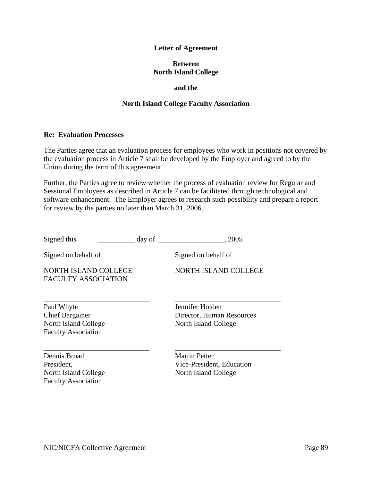#### **Letter of Agreement**

#### **Between North Island College**

#### **and the**

#### **North Island College Faculty Association**

#### **Re: Evaluation Processes**

The Parties agree that an evaluation process for employees who work in positions not covered by the evaluation process in Article 7 shall be developed by the Employer and agreed to by the Union during the term of this agreement.

Further, the Parties agree to review whether the process of evaluation review for Regular and Sessional Employees as described in Article 7 can be facilitated through technological and software enhancement. The Employer agrees to research such possibility and prepare a report for review by the parties no later than March 31, 2006.

| Signed this                                                                                | .2005<br>day of                                                           |  |
|--------------------------------------------------------------------------------------------|---------------------------------------------------------------------------|--|
| Signed on behalf of                                                                        | Signed on behalf of                                                       |  |
| NORTH ISLAND COLLEGE<br><b>FACULTY ASSOCIATION</b>                                         | NORTH ISLAND COLLEGE                                                      |  |
| Paul Whyte<br><b>Chief Bargainer</b><br>North Island College<br><b>Faculty Association</b> | Jennifer Holden<br>Director, Human Resources<br>North Island College      |  |
| Dennis Broad<br>President,<br>North Island College<br><b>Faculty Association</b>           | <b>Martin Petter</b><br>Vice-President, Education<br>North Island College |  |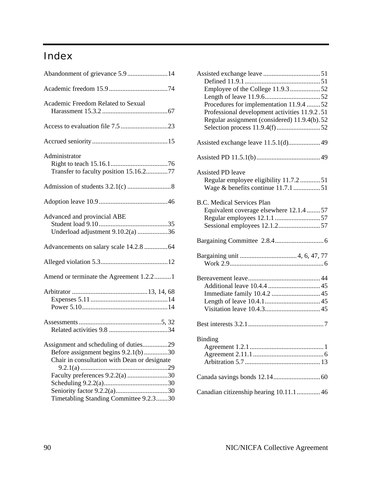# Index

| Academic Freedom Related to Sexual                                                                                                                                                                        |
|-----------------------------------------------------------------------------------------------------------------------------------------------------------------------------------------------------------|
|                                                                                                                                                                                                           |
|                                                                                                                                                                                                           |
| Administrator<br>Transfer to faculty position 15.16.277                                                                                                                                                   |
|                                                                                                                                                                                                           |
|                                                                                                                                                                                                           |
| Advanced and provincial ABE<br>Underload adjustment 9.10.2(a) 36                                                                                                                                          |
|                                                                                                                                                                                                           |
|                                                                                                                                                                                                           |
| Amend or terminate the Agreement 1.2.21                                                                                                                                                                   |
|                                                                                                                                                                                                           |
|                                                                                                                                                                                                           |
| Assignment and scheduling of duties29<br>Before assignment begins 9.2.1(b)30<br>Chair in consultation with Dean or designate<br>Faculty preferences 9.2.2(a) 30<br>Timetabling Standing Committee 9.2.330 |

| Employee of the College 11.9.3 52<br>Procedures for implementation 11.9.4 52<br>Professional development activities 11.9.2.51<br>Regular assignment (considered) 11.9.4(b).52 |
|-------------------------------------------------------------------------------------------------------------------------------------------------------------------------------|
| Assisted exchange leave 11.5.1(d) 49                                                                                                                                          |
|                                                                                                                                                                               |
| <b>Assisted PD leave</b><br>Regular employee eligibility 11.7.2  51<br>Wage & benefits continue 11.7.1 51                                                                     |
| <b>B.C. Medical Services Plan</b><br>Equivalent coverage elsewhere 12.1.4  57                                                                                                 |
|                                                                                                                                                                               |
|                                                                                                                                                                               |
|                                                                                                                                                                               |
|                                                                                                                                                                               |
| <b>Binding</b>                                                                                                                                                                |
|                                                                                                                                                                               |
| Canadian citizenship hearing 10.11.1 46                                                                                                                                       |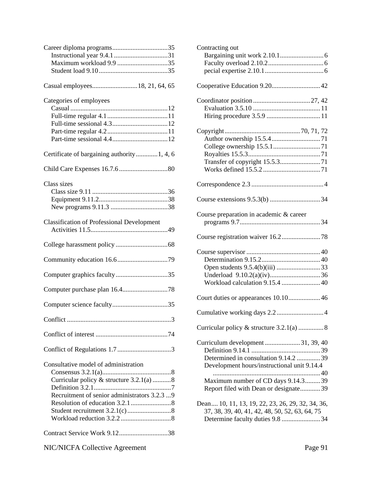| Maximum workload 9.9 35                                                                                                          |
|----------------------------------------------------------------------------------------------------------------------------------|
| Casual employees 18, 21, 64, 65                                                                                                  |
| Categories of employees                                                                                                          |
| Certificate of bargaining authority 1, 4, 6                                                                                      |
|                                                                                                                                  |
| Class sizes                                                                                                                      |
| <b>Classification of Professional Development</b>                                                                                |
|                                                                                                                                  |
|                                                                                                                                  |
| Computer graphics faculty35                                                                                                      |
|                                                                                                                                  |
|                                                                                                                                  |
|                                                                                                                                  |
|                                                                                                                                  |
|                                                                                                                                  |
| Consultative model of administration<br>Curricular policy & structure 3.2.1(a) 8<br>Recruitment of senior administrators 3.2.3 9 |
| Contract Service Work 9.1238                                                                                                     |

| Contracting out                                  |
|--------------------------------------------------|
|                                                  |
|                                                  |
|                                                  |
|                                                  |
|                                                  |
|                                                  |
|                                                  |
|                                                  |
|                                                  |
|                                                  |
|                                                  |
|                                                  |
|                                                  |
|                                                  |
|                                                  |
|                                                  |
| Course preparation in academic & career          |
|                                                  |
|                                                  |
|                                                  |
|                                                  |
|                                                  |
|                                                  |
| Workload calculation 9.15.4  40                  |
| Court duties or appearances 10.10 46             |
|                                                  |
|                                                  |
|                                                  |
|                                                  |
|                                                  |
| Determined in consultation 9.14.2 39             |
| Development hours/instructional unit 9.14.4      |
|                                                  |
| Maximum number of CD days 9.14.339               |
| Report filed with Dean or designate39            |
| Dean 10, 11, 13, 19, 22, 23, 26, 29, 32, 34, 36, |
| 37, 38, 39, 40, 41, 42, 48, 50, 52, 63, 64, 75   |
| Determine faculty duties 9.8 34                  |
|                                                  |

NIC/NICFA Collective Agreement Page 91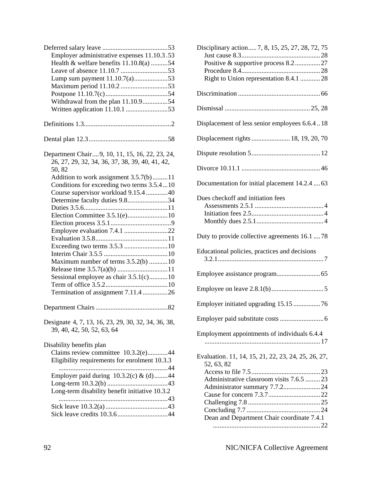| Employer administrative expenses 11.10.3.53<br>Health & welfare benefits 11.10.8(a) 54<br>Lump sum payment 11.10.7(a)53<br>Withdrawal from the plan 11.10.954                                                                                                                                                                                                                                                                                                        |
|----------------------------------------------------------------------------------------------------------------------------------------------------------------------------------------------------------------------------------------------------------------------------------------------------------------------------------------------------------------------------------------------------------------------------------------------------------------------|
|                                                                                                                                                                                                                                                                                                                                                                                                                                                                      |
|                                                                                                                                                                                                                                                                                                                                                                                                                                                                      |
| Department Chair 9, 10, 11, 15, 16, 22, 23, 24,<br>26, 27, 29, 32, 34, 36, 37, 38, 39, 40, 41, 42,<br>50,82<br>Addition to work assignment 3.5.7(b)11<br>Conditions for exceeding two terms 3.5.410<br>Course supervisor workload 9.15.4 40<br>Determine faculty duties 9.834<br>Employee evaluation 7.4.1 22<br>Exceeding two terms 3.5.3 10<br>Maximum number of terms 3.5.2(b) 10<br>Sessional employee as chair 3.5.1(c)10<br>Termination of assignment 7.11.426 |
|                                                                                                                                                                                                                                                                                                                                                                                                                                                                      |
| Designate 4, 7, 13, 16, 23, 29, 30, 32, 34, 36, 38,<br>39, 40, 42, 50, 52, 63, 64                                                                                                                                                                                                                                                                                                                                                                                    |
| Disability benefits plan<br>Claims review committee 10.3.2(e)44<br>Eligibility requirements for enrolment 10.3.3<br><br>Employer paid during $10.3.2(c)$ & (d)44<br>Long-term disability benefit initiative 10.3.2                                                                                                                                                                                                                                                   |
|                                                                                                                                                                                                                                                                                                                                                                                                                                                                      |

| Disciplinary action 7, 8, 15, 25, 27, 28, 72, 75<br>Positive & supportive process 8.227<br>Right to Union representation 8.4.1 28                            |
|--------------------------------------------------------------------------------------------------------------------------------------------------------------|
|                                                                                                                                                              |
|                                                                                                                                                              |
| Displacement of less senior employees 6.6.418                                                                                                                |
| Displacement rights 18, 19, 20, 70                                                                                                                           |
|                                                                                                                                                              |
|                                                                                                                                                              |
| Documentation for initial placement 14.2.4  63                                                                                                               |
| Dues checkoff and initiation fees                                                                                                                            |
| Duty to provide collective agreements 16.1  78                                                                                                               |
| Educational policies, practices and decisions                                                                                                                |
|                                                                                                                                                              |
|                                                                                                                                                              |
| Employer initiated upgrading 15.15  76                                                                                                                       |
|                                                                                                                                                              |
| Employment appointments of individuals 6.4.4                                                                                                                 |
| Evaluation. 11, 14, 15, 21, 22, 23, 24, 25, 26, 27,<br>52, 63, 82<br>Administrative classroom visits 7.6.5  23<br>Dean and Department Chair coordinate 7.4.1 |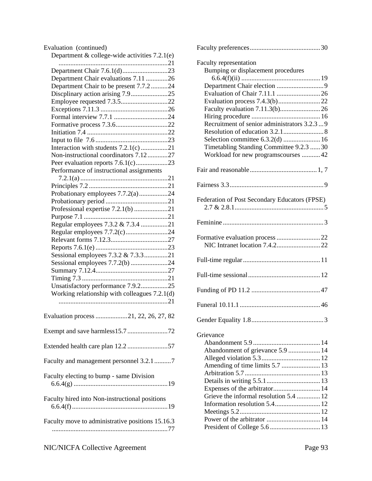| Evaluation (continued)                           |
|--------------------------------------------------|
| Department & college-wide activities 7.2.1(e)    |
|                                                  |
|                                                  |
| Department Chair evaluations 7.11 26             |
| Department Chair to be present 7.7.224           |
| Discplinary action arising 7.925                 |
|                                                  |
| Employee requested 7.3.522                       |
|                                                  |
|                                                  |
|                                                  |
|                                                  |
|                                                  |
| Interaction with students 7.2.1(c)21             |
| Non-instructional coordinators 7.1227            |
| Peer evaluation reports 7.6.1(c)23               |
| Performance of instructional assignments         |
|                                                  |
|                                                  |
| Probationary employees 7.7.2(a)24                |
|                                                  |
|                                                  |
| Professional expertise 7.2.1(b) 21               |
|                                                  |
| Regular employees 7.3.2 & 7.3.4 21               |
| Regular employees 7.7.2(c)24                     |
|                                                  |
|                                                  |
| Sessional employees 7.3.2 & 7.3.321              |
| Sessional employees 7.7.2(b) 24                  |
|                                                  |
|                                                  |
| Unsatisfactory performance 7.9.225               |
| Working relationship with colleagues 7.2.1(d)    |
|                                                  |
|                                                  |
| Evaluation process 21, 22, 26, 27, 82            |
|                                                  |
| Extended health care plan 12.2 57                |
| Faculty and management personnel 3.2.17          |
| Faculty electing to bump - same Division         |
| Faculty hired into Non-instructional positions   |
| Faculty move to administrative positions 15.16.3 |
|                                                  |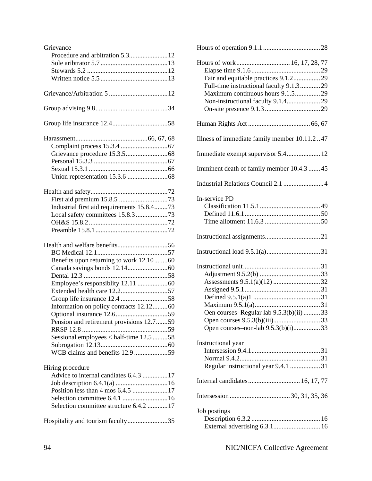| Industrial first aid requirements 15.8.473 |  |
|--------------------------------------------|--|
| Local safety committees 15.8.3 73          |  |
|                                            |  |
|                                            |  |
|                                            |  |
|                                            |  |
|                                            |  |
|                                            |  |
| Benefits upon returning to work 12.1060    |  |
|                                            |  |
|                                            |  |
|                                            |  |
|                                            |  |
|                                            |  |
| Information on policy contracts 12.1260    |  |
|                                            |  |
| Pension and retirement provisions 12.759   |  |
|                                            |  |
| Sessional employees < half-time 12.5 58    |  |
|                                            |  |
| WCB claims and benefits 12.9 59            |  |
|                                            |  |
| Hiring procedure                           |  |
| Advice to internal candiates 6.4.3 17      |  |
|                                            |  |
|                                            |  |
|                                            |  |
| Selection committee structure 6.4.2  17    |  |

| Hours of work 16, 17, 28, 77<br>Fair and equitable practices 9.1.229<br>Full-time instructional faculty 9.1.329<br>Maximum continuous hours 9.1.529 |
|-----------------------------------------------------------------------------------------------------------------------------------------------------|
|                                                                                                                                                     |
| Illness of immediate family member 10.11.247                                                                                                        |
| Immediate exempt supervisor 5.4 12                                                                                                                  |
| Imminent death of family member 10.4.3  45                                                                                                          |
| Industrial Relations Council 2.1  4                                                                                                                 |
| In-service PD                                                                                                                                       |
|                                                                                                                                                     |
|                                                                                                                                                     |
| Oen courses-Regular lab 9.5.3(b)(ii)  33<br>Open courses-non-lab 9.5.3(b)(i)33                                                                      |
| Instructional year<br>Regular instructional year 9.4.1 31                                                                                           |
| Internal candidates 16, 17, 77                                                                                                                      |
|                                                                                                                                                     |
| Job postings<br>External advertising 6.3.1 16                                                                                                       |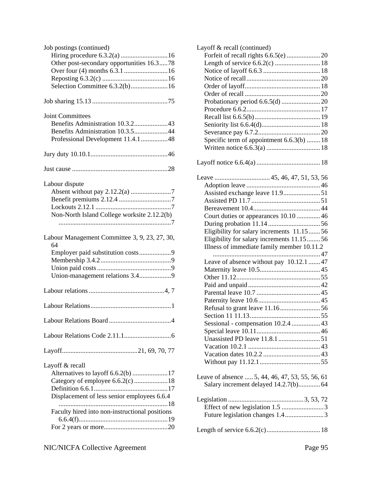| Job postings (continued)<br>Hiring procedure 6.3.2(a)  16<br>Other post-secondary opportunities 16.378<br>Selection Committee 6.3.2(b)16             |
|------------------------------------------------------------------------------------------------------------------------------------------------------|
|                                                                                                                                                      |
| <b>Joint Committees</b><br>Benefits Administration 10.3.243<br>Benefits Administration 10.3.544<br>Professional Development 11.4.148                 |
|                                                                                                                                                      |
|                                                                                                                                                      |
| Labour dispute<br>Non-North Island College worksite 2.12.2(b)                                                                                        |
| Labour Management Committee 3, 9, 23, 27, 30,<br>64<br>Employer paid substitution costs9                                                             |
|                                                                                                                                                      |
|                                                                                                                                                      |
|                                                                                                                                                      |
|                                                                                                                                                      |
|                                                                                                                                                      |
| Layoff & recall<br>Category of employee 6.6.2(c) 18<br>Displacement of less senior employees 6.6.4<br>Faculty hired into non-instructional positions |
|                                                                                                                                                      |

| Layoff & recall (continued)                     |  |
|-------------------------------------------------|--|
|                                                 |  |
| Length of service 6.6.2(c)  18                  |  |
|                                                 |  |
|                                                 |  |
|                                                 |  |
|                                                 |  |
|                                                 |  |
|                                                 |  |
|                                                 |  |
|                                                 |  |
|                                                 |  |
| Specific term of appointment 6.6.3(b)  18       |  |
|                                                 |  |
|                                                 |  |
|                                                 |  |
|                                                 |  |
|                                                 |  |
|                                                 |  |
|                                                 |  |
| Court duties or appearances 10.10  46           |  |
|                                                 |  |
| Eligibility for salary increments 11.15  56     |  |
|                                                 |  |
| Eligibility for salary increments 11.15  56     |  |
| Illness of immediate family member 10.11.2      |  |
|                                                 |  |
| Leave of absence without pay 10.12.1  47        |  |
|                                                 |  |
|                                                 |  |
|                                                 |  |
|                                                 |  |
|                                                 |  |
|                                                 |  |
|                                                 |  |
| Sessional - compensation 10.2.4  43             |  |
|                                                 |  |
|                                                 |  |
|                                                 |  |
|                                                 |  |
| Leave of absence  5, 44, 46, 47, 53, 55, 56, 61 |  |
|                                                 |  |
|                                                 |  |
| Future legislation changes 1.43                 |  |
|                                                 |  |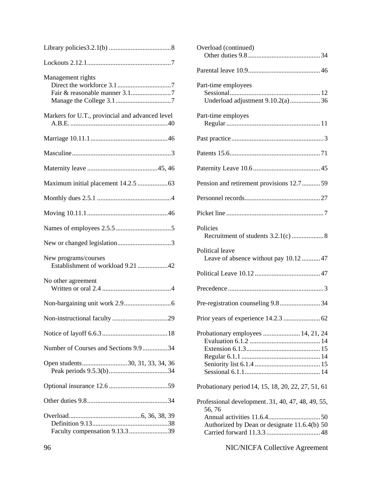| Management rights                                         |
|-----------------------------------------------------------|
| Markers for U.T., provincial and advanced level           |
|                                                           |
|                                                           |
|                                                           |
|                                                           |
|                                                           |
|                                                           |
|                                                           |
|                                                           |
| New programs/courses<br>Establishment of workload 9.21 42 |
| No other agreement                                        |
|                                                           |
|                                                           |
|                                                           |
| Number of Courses and Sections 9.9 34                     |
| Open students30, 31, 33, 34, 36                           |
|                                                           |
|                                                           |
| Faculty compensation 9.13.3 39                            |

| Overload (continued)                                                                                        |
|-------------------------------------------------------------------------------------------------------------|
|                                                                                                             |
| Part-time employees<br>Underload adjustment 9.10.2(a) 36                                                    |
| Part-time employes                                                                                          |
|                                                                                                             |
|                                                                                                             |
|                                                                                                             |
| Pension and retirement provisions 12.759                                                                    |
|                                                                                                             |
|                                                                                                             |
| Policies                                                                                                    |
| Political leave<br>Leave of absence without pay 10.1247                                                     |
|                                                                                                             |
|                                                                                                             |
|                                                                                                             |
|                                                                                                             |
| Probationary employees  14, 21, 24                                                                          |
| Probationary period 14, 15, 18, 20, 22, 27, 51, 61                                                          |
| Professional development. 31, 40, 47, 48, 49, 55,<br>56, 76<br>Authorized by Dean or designate 11.6.4(b) 50 |

# 96 NIC/NICFA Collective Agreement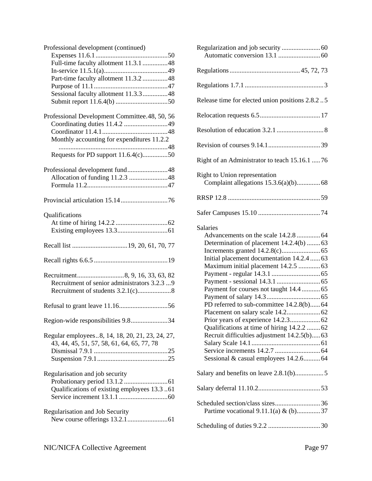| Professional development (continued)            |
|-------------------------------------------------|
|                                                 |
| Full-time faculty allotment 11.3.1 48           |
|                                                 |
| Part-time faculty allotment 11.3.2 48           |
|                                                 |
| Sessional faculty allotment 11.3.348            |
|                                                 |
|                                                 |
| Professional Development Committee.48, 50, 56   |
| Coordinating duties 11.4.2 49                   |
|                                                 |
| Monthly accounting for expenditures 11.2.2      |
|                                                 |
| Requests for PD support 11.6.4(c)50             |
|                                                 |
| Professional development fund48                 |
| Allocation of funding 11.2.3 48                 |
|                                                 |
|                                                 |
|                                                 |
| Qualifications                                  |
|                                                 |
|                                                 |
|                                                 |
|                                                 |
|                                                 |
|                                                 |
|                                                 |
|                                                 |
| Recruitment of senior administrators 3.2.3 9    |
|                                                 |
|                                                 |
|                                                 |
|                                                 |
| Region-wide responsibilities 9.834              |
|                                                 |
| Regular employees8, 14, 18, 20, 21, 23, 24, 27, |
| 43, 44, 45, 51, 57, 58, 61, 64, 65, 77, 78      |
|                                                 |
|                                                 |
|                                                 |
| Regularisation and job security                 |
|                                                 |
| Qualifications of existing employees 13.3 61    |
|                                                 |
|                                                 |
| Regularisation and Job Security                 |
|                                                 |

| Release time for elected union positions 2.8.2.5                                                                                                                                                                                                                                                                                                                                                                          |
|---------------------------------------------------------------------------------------------------------------------------------------------------------------------------------------------------------------------------------------------------------------------------------------------------------------------------------------------------------------------------------------------------------------------------|
|                                                                                                                                                                                                                                                                                                                                                                                                                           |
|                                                                                                                                                                                                                                                                                                                                                                                                                           |
|                                                                                                                                                                                                                                                                                                                                                                                                                           |
| Right of an Administrator to teach 15.16.1  76                                                                                                                                                                                                                                                                                                                                                                            |
| Right to Union representation<br>Complaint allegations 15.3.6(a)(b) 68                                                                                                                                                                                                                                                                                                                                                    |
|                                                                                                                                                                                                                                                                                                                                                                                                                           |
|                                                                                                                                                                                                                                                                                                                                                                                                                           |
| <b>Salaries</b><br>Advancements on the scale 14.2.8  64<br>Determination of placement 14.2.4(b)  63<br>Initial placement documentation 14.2.4  63<br>Maximum initial placement 14.2.5  63<br>Payment for courses not taught 14.4  65<br>PD referred to sub-committee 14.2.8(b) 64<br>Qualifications at time of hiring 14.2.2  62<br>Recruit difficulties adjustment 14.2.5(b) 63<br>Sessional & casual employees 14.2.664 |
|                                                                                                                                                                                                                                                                                                                                                                                                                           |
|                                                                                                                                                                                                                                                                                                                                                                                                                           |
| Partime vocational 9.11.1(a) & (b)37                                                                                                                                                                                                                                                                                                                                                                                      |
|                                                                                                                                                                                                                                                                                                                                                                                                                           |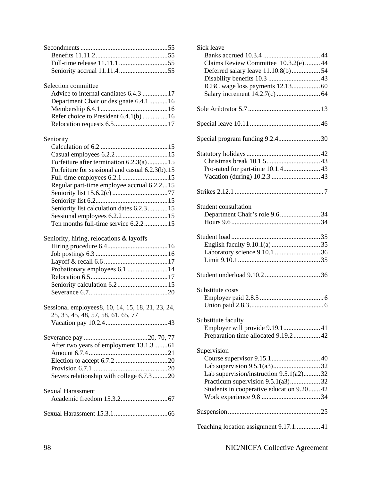Selection committee

| Advice to internal candiates 6.4.3 17 |  |
|---------------------------------------|--|
| Department Chair or designate 6.4.116 |  |
|                                       |  |
|                                       |  |
|                                       |  |

# Seniority

| Forfeiture after termination 6.2.3(a)15         |
|-------------------------------------------------|
| Forfeiture for sessional and casual 6.2.3(b).15 |
|                                                 |
| Regular part-time employee accrual 6.2.215      |
|                                                 |
|                                                 |
| Seniority list calculation dates 6.2.315        |
|                                                 |
| Ten months full-time service 6.2.215            |

#### Seniority, hiring, relocations & layoffs

Sessional employees8, 10, 14, 15, 18, 21, 23, 24, 25, 33, 45, 48, 57, 58, 61, 65, 77 Vacation pay 10.2.4.....................................43

| Severs relationship with college 6.7.320 |  |
|------------------------------------------|--|
| Savual Hargesmant                        |  |

| эслиаг гтагазмныг |  |
|-------------------|--|
|                   |  |
|                   |  |

Sexual Harassment 15.3.1................................66

| Sick leave<br>Claims Review Committee 10.3.2(e)44                                                                                       |
|-----------------------------------------------------------------------------------------------------------------------------------------|
| Deferred salary leave 11.10.8(b)54                                                                                                      |
|                                                                                                                                         |
|                                                                                                                                         |
|                                                                                                                                         |
| Special program funding 9.2.430                                                                                                         |
|                                                                                                                                         |
|                                                                                                                                         |
| Student consultation<br>Department Chair's role 9.634                                                                                   |
| Student load                                                                                                                            |
|                                                                                                                                         |
| Substitute costs                                                                                                                        |
| Substitute faculty<br>Preparation time allocated 9.19.2  42                                                                             |
| Supervision<br>Lab supervision/instruction 9.5.1(a2)32<br>Practicum supervision 9.5.1(a3)32<br>Students in cooperative education 9.2042 |
|                                                                                                                                         |
| Teaching location assignment 9.17.1 41                                                                                                  |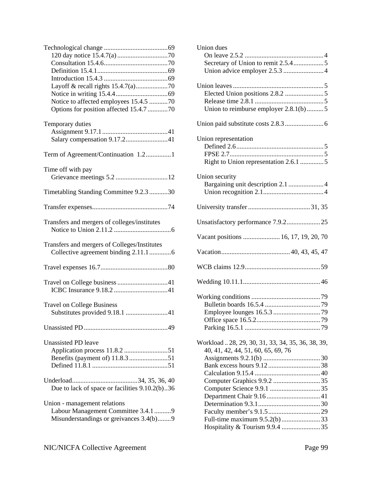| Notice to affected employees 15.4.5 70                                               |
|--------------------------------------------------------------------------------------|
| Options for position affected 15.4.7 70                                              |
|                                                                                      |
| Temporary duties                                                                     |
|                                                                                      |
| Salary compensation 9.17.241                                                         |
|                                                                                      |
| Term of Agreement/Continuation 1.21                                                  |
| Time off with pay                                                                    |
|                                                                                      |
|                                                                                      |
| Timetabling Standing Committee 9.2.3 30                                              |
|                                                                                      |
| Transfers and mergers of colleges/institutes                                         |
| Transfers and mergers of Colleges/Institutes<br>Collective agreement binding 2.11.16 |
|                                                                                      |
|                                                                                      |
|                                                                                      |
| <b>Travel on College Business</b><br>Substitutes provided 9.18.1 41                  |
|                                                                                      |
| Unassisted PD leave                                                                  |
| Due to lack of space or facilities 9.10.2(b)36                                       |